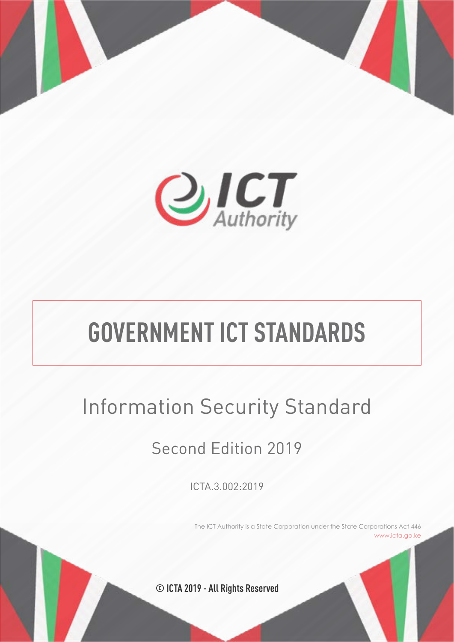

# **GOVERNMENT ICT STANDARDS**

# Information Security Standard

# Second Edition 2019

ICTA.3.002:2019

The ICT Authority is a State Corporation under the State Corporations Act 446 www.icta.go.ke

**© ICTA 2019 - All Rights Reserved**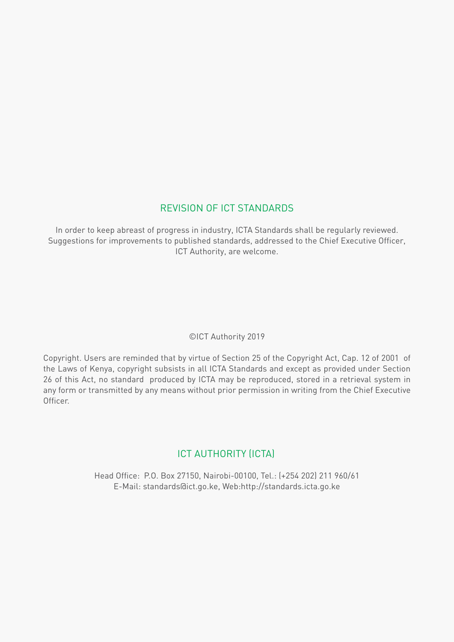## REVISION OF ICT STANDARDS

In order to keep abreast of progress in industry, ICTA Standards shall be regularly reviewed. Suggestions for improvements to published standards, addressed to the Chief Executive Officer, ICT Authority, are welcome.

## ©ICT Authority 2019

Copyright. Users are reminded that by virtue of Section 25 of the Copyright Act, Cap. 12 of 2001 of the Laws of Kenya, copyright subsists in all ICTA Standards and except as provided under Section 26 of this Act, no standard produced by ICTA may be reproduced, stored in a retrieval system in any form or transmitted by any means without prior permission in writing from the Chief Executive Officer.

## ICT AUTHORITY (ICTA)

Head Office: P.O. Box 27150, Nairobi-00100, Tel.: (+254 202) 211 960/61 E-Mail: standards@ict.go.ke, Web:http://standards.icta.go.ke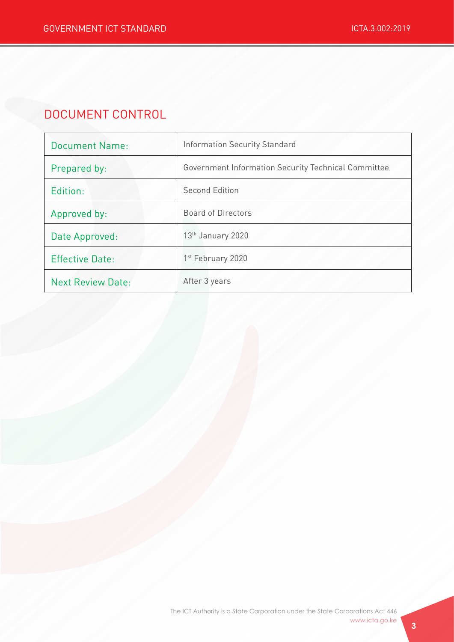# DOCUMENT CONTROL

| <b>Document Name:</b>    | <b>Information Security Standard</b>                |  |
|--------------------------|-----------------------------------------------------|--|
| Prepared by:             | Government Information Security Technical Committee |  |
| Edition:                 | <b>Second Edition</b>                               |  |
| Approved by:             | Board of Directors                                  |  |
| Date Approved:           | 13 <sup>th</sup> January 2020                       |  |
| <b>Effective Date:</b>   | 1 <sup>st</sup> February 2020                       |  |
| <b>Next Review Date:</b> | After 3 years                                       |  |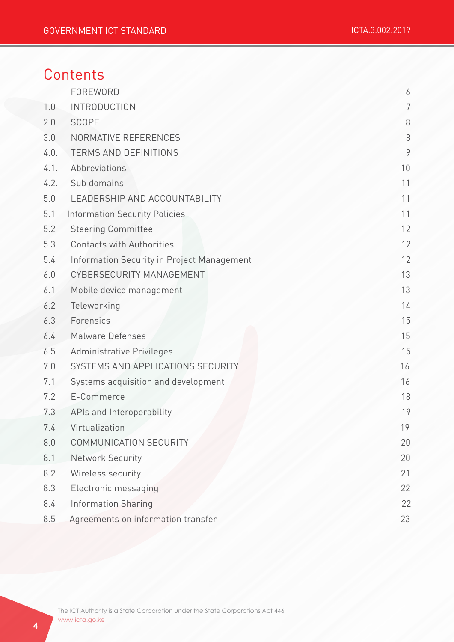# **Contents**

|      | FOREWORD                                   | 6       |
|------|--------------------------------------------|---------|
| 1.0  | <b>INTRODUCTION</b>                        | 7       |
| 2.0  | <b>SCOPE</b>                               | $8\,$   |
| 3.0  | NORMATIVE REFERENCES                       | $\,8\,$ |
| 4.0. | <b>TERMS AND DEFINITIONS</b>               | 9       |
| 4.1. | Abbreviations                              | 10      |
| 4.2. | Sub domains                                | 11      |
| 5.0  | LEADERSHIP AND ACCOUNTABILITY              | 11      |
| 5.1  | <b>Information Security Policies</b>       | 11      |
| 5.2  | <b>Steering Committee</b>                  | 12      |
| 5.3  | <b>Contacts with Authorities</b>           | 12      |
| 5.4  | Information Security in Project Management | 12      |
| 6.0  | CYBERSECURITY MANAGEMENT                   | 13      |
| 6.1  | Mobile device management                   | 13      |
| 6.2  | Teleworking                                | 14      |
| 6.3  | Forensics                                  | 15      |
| 6.4  | <b>Malware Defenses</b>                    | 15      |
| 6.5  | <b>Administrative Privileges</b>           | 15      |
| 7.0  | SYSTEMS AND APPLICATIONS SECURITY          | 16      |
| 7.1  | Systems acquisition and development        | 16      |
| 7.2  | E-Commerce                                 | 18      |
| 7.3  | APIs and Interoperability                  | 19      |
| 7.4  | Virtualization                             | 19      |
| 8.0  | COMMUNICATION SECURITY                     | 20      |
| 8.1  | Network Security                           | 20      |
| 8.2  | Wireless security                          | 21      |
| 8.3  | Electronic messaging                       | 22      |
| 8.4  | Information Sharing                        | 22      |
| 8.5  | Agreements on information transfer         | 23      |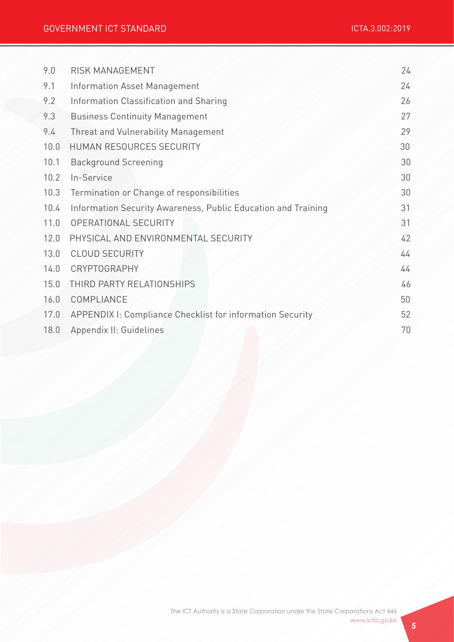| 9.0  | RISK MANAGEMENT                                               | 24 |
|------|---------------------------------------------------------------|----|
| 9.1  | Information Asset Management                                  | 24 |
| 9.2  | Information Classification and Sharing                        | 26 |
| 9.3  | <b>Business Continuity Management</b>                         | 27 |
| 9.4  | Threat and Vulnerability Management                           | 29 |
| 10.0 | HUMAN RESOURCES SECURITY                                      | 30 |
| 10.1 | <b>Background Screening</b>                                   | 30 |
| 10.2 | In-Service                                                    | 30 |
| 10.3 | Termination or Change of responsibilities                     | 30 |
| 10.4 | Information Security Awareness, Public Education and Training | 31 |
| 11.0 | OPERATIONAL SECURITY                                          | 31 |
| 12.0 | PHYSICAL AND ENVIRONMENTAL SECURITY                           | 42 |
| 13.0 | <b>CLOUD SECURITY</b>                                         | 44 |
| 14.0 | CRYPTOGRAPHY                                                  | 44 |
| 15.0 | THIRD PARTY RELATIONSHIPS                                     | 46 |
| 16.0 | COMPLIANCE                                                    | 50 |
| 17.0 | APPENDIX I: Compliance Checklist for information Security     | 52 |
| 18.0 | Appendix II: Guidelines                                       | 70 |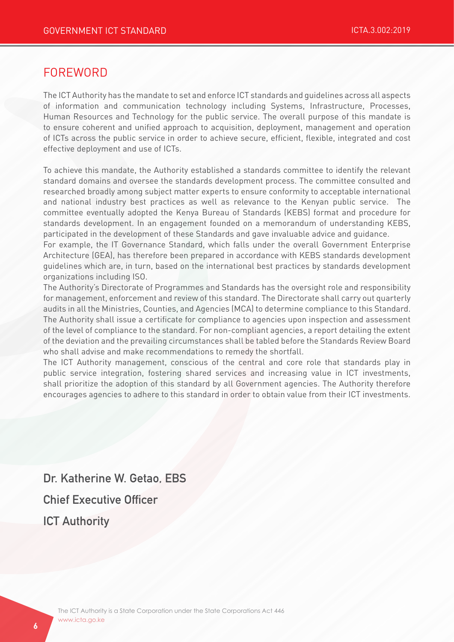## FOREWORD

The ICT Authority has the mandate to set and enforce ICT standards and guidelines across all aspects of information and communication technology including Systems, Infrastructure, Processes, Human Resources and Technology for the public service. The overall purpose of this mandate is to ensure coherent and unified approach to acquisition, deployment, management and operation of ICTs across the public service in order to achieve secure, efficient, flexible, integrated and cost effective deployment and use of ICTs.

To achieve this mandate, the Authority established a standards committee to identify the relevant standard domains and oversee the standards development process. The committee consulted and researched broadly among subject matter experts to ensure conformity to acceptable international and national industry best practices as well as relevance to the Kenyan public service. The committee eventually adopted the Kenya Bureau of Standards (KEBS) format and procedure for standards development. In an engagement founded on a memorandum of understanding KEBS, participated in the development of these Standards and gave invaluable advice and guidance.

For example, the IT Governance Standard, which falls under the overall Government Enterprise Architecture (GEA), has therefore been prepared in accordance with KEBS standards development guidelines which are, in turn, based on the international best practices by standards development organizations including ISO.

The Authority's Directorate of Programmes and Standards has the oversight role and responsibility for management, enforcement and review of this standard. The Directorate shall carry out quarterly audits in all the Ministries, Counties, and Agencies (MCA) to determine compliance to this Standard. The Authority shall issue a certificate for compliance to agencies upon inspection and assessment of the level of compliance to the standard. For non-compliant agencies, a report detailing the extent of the deviation and the prevailing circumstances shall be tabled before the Standards Review Board who shall advise and make recommendations to remedy the shortfall.

The ICT Authority management, conscious of the central and core role that standards play in public service integration, fostering shared services and increasing value in ICT investments, shall prioritize the adoption of this standard by all Government agencies. The Authority therefore encourages agencies to adhere to this standard in order to obtain value from their ICT investments.

Dr. Katherine W. Getao, EBS Chief Executive Officer ICT Authority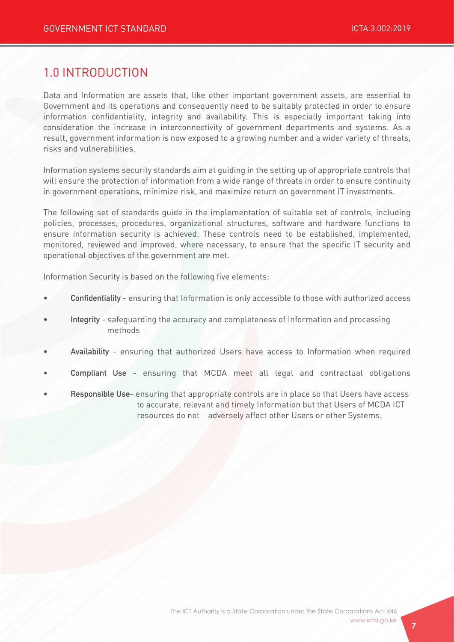# 1.0 INTRODUCTION

Data and Information are assets that, like other important government assets, are essential to Government and its operations and consequently need to be suitably protected in order to ensure information confidentiality, integrity and availability. This is especially important taking into consideration the increase in interconnectivity of government departments and systems. As a result, government information is now exposed to a growing number and a wider variety of threats, risks and vulnerabilities.

Information systems security standards aim at guiding in the setting up of appropriate controls that will ensure the protection of information from a wide range of threats in order to ensure continuity in government operations, minimize risk, and maximize return on government IT investments.

The following set of standards guide in the implementation of suitable set of controls, including policies, processes, procedures, organizational structures, software and hardware functions to ensure information security is achieved. These controls need to be established, implemented, monitored, reviewed and improved, where necessary, to ensure that the specific IT security and operational objectives of the government are met.

Information Security is based on the following five elements:

- Confidentiality ensuring that Information is only accessible to those with authorized access
- Integrity safequarding the accuracy and completeness of Information and processing methods
- Availability ensuring that authorized Users have access to Information when required
- Compliant Use ensuring that MCDA meet all legal and contractual obligations
- Responsible Use- ensuring that appropriate controls are in place so that Users have access to accurate, relevant and timely Information but that Users of MCDA ICT resources do not adversely affect other Users or other Systems.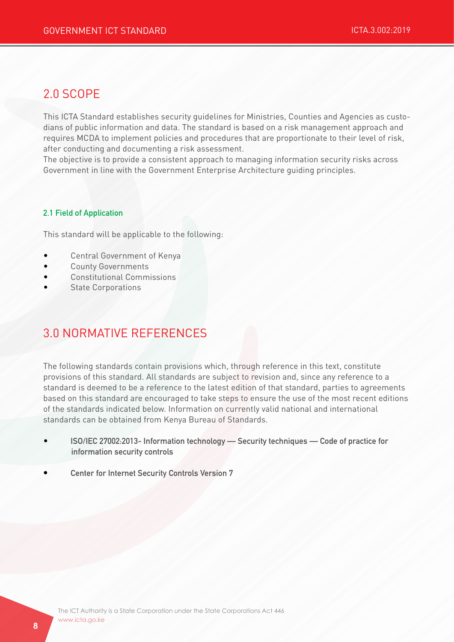# 2.0 SCOPE

This ICTA Standard establishes security guidelines for Ministries, Counties and Agencies as custodians of public information and data. The standard is based on a risk management approach and requires MCDA to implement policies and procedures that are proportionate to their level of risk, after conducting and documenting a risk assessment.

The objective is to provide a consistent approach to managing information security risks across Government in line with the Government Enterprise Architecture guiding principles.

#### 2.1 Field of Application

This standard will be applicable to the following:

- Central Government of Kenya
- County Governments
- Constitutional Commissions
- **State Corporations**

# 3.0 NORMATIVE REFERENCES

The following standards contain provisions which, through reference in this text, constitute provisions of this standard. All standards are subject to revision and, since any reference to a standard is deemed to be a reference to the latest edition of that standard, parties to agreements based on this standard are encouraged to take steps to ensure the use of the most recent editions of the standards indicated below. Information on currently valid national and international standards can be obtained from Kenya Bureau of Standards.

- ISO/IEC 27002:2013- Information technology Security techniques Code of practice for information security controls
- Center for Internet Security Controls Version 7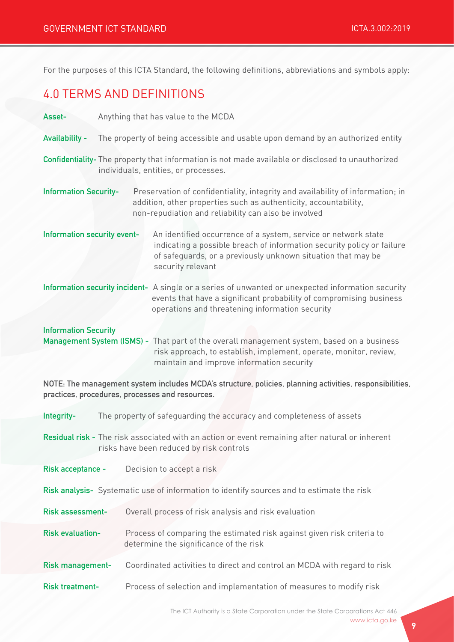For the purposes of this ICTA Standard, the following definitions, abbreviations and symbols apply:

# 4.0 TERMS AND DEFINITIONS

| Anything that has value to the MCDA<br>Asset-                                                                                                                                                                                               |                                                                                                                                                                                                                               |  |
|---------------------------------------------------------------------------------------------------------------------------------------------------------------------------------------------------------------------------------------------|-------------------------------------------------------------------------------------------------------------------------------------------------------------------------------------------------------------------------------|--|
| The property of being accessible and usable upon demand by an authorized entity<br><b>Availability -</b>                                                                                                                                    |                                                                                                                                                                                                                               |  |
| Confidentiality- The property that information is not made available or disclosed to unauthorized<br>individuals, entities, or processes.                                                                                                   |                                                                                                                                                                                                                               |  |
| <b>Information Security-</b>                                                                                                                                                                                                                | Preservation of confidentiality, integrity and availability of information; in<br>addition, other properties such as authenticity, accountability,<br>non-repudiation and reliability can also be involved                    |  |
| Information security event-                                                                                                                                                                                                                 | An identified occurrence of a system, service or network state<br>indicating a possible breach of information security policy or failure<br>of safeguards, or a previously unknown situation that may be<br>security relevant |  |
|                                                                                                                                                                                                                                             | Information security incident- A single or a series of unwanted or unexpected information security<br>events that have a significant probability of compromising business<br>operations and threatening information security  |  |
| <b>Information Security</b><br>Management System (ISMS) - That part of the overall management system, based on a business<br>risk approach, to establish, implement, operate, monitor, review,<br>maintain and improve information security |                                                                                                                                                                                                                               |  |
| NOTE: The management system includes MCDA's structure, policies, planning activities, responsibilities,<br>practices, procedures, processes and resources.                                                                                  |                                                                                                                                                                                                                               |  |
| Integrity-                                                                                                                                                                                                                                  | The property of safeguarding the accuracy and completeness of assets                                                                                                                                                          |  |
| Residual risk - The risk associated with an action or event remaining after natural or inherent<br>risks have been reduced by risk controls                                                                                                 |                                                                                                                                                                                                                               |  |
| Risk acceptance -                                                                                                                                                                                                                           | Decision to accept a risk                                                                                                                                                                                                     |  |
| Risk analysis- Systematic use of information to identify sources and to estimate the risk                                                                                                                                                   |                                                                                                                                                                                                                               |  |
| <b>Risk assessment-</b>                                                                                                                                                                                                                     | Overall process of risk analysis and risk evaluation                                                                                                                                                                          |  |
| <b>Risk evaluation-</b>                                                                                                                                                                                                                     | Process of comparing the estimated risk against given risk criteria to<br>determine the significance of the risk                                                                                                              |  |

Risk management- Coordinated activities to direct and control an MCDA with regard to risk

Risk treatment- Process of selection and implementation of measures to modify risk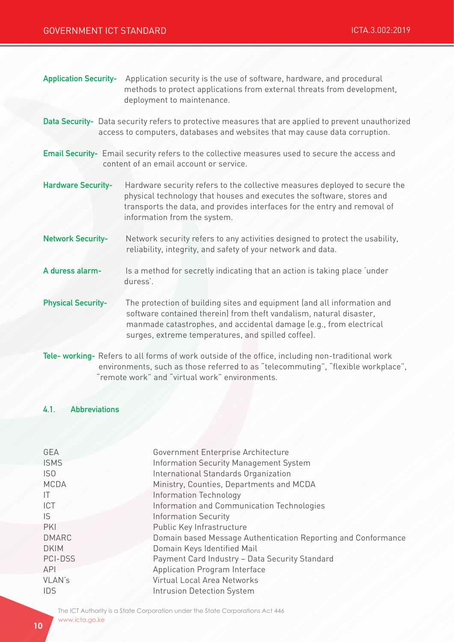| <b>Application Security-</b>                                                                                                                                                       | Application security is the use of software, hardware, and procedural<br>methods to protect applications from external threats from development,<br>deployment to maintenance.                                                                                             |  |
|------------------------------------------------------------------------------------------------------------------------------------------------------------------------------------|----------------------------------------------------------------------------------------------------------------------------------------------------------------------------------------------------------------------------------------------------------------------------|--|
| Data Security- Data security refers to protective measures that are applied to prevent unauthorized<br>access to computers, databases and websites that may cause data corruption. |                                                                                                                                                                                                                                                                            |  |
| Email Security- Email security refers to the collective measures used to secure the access and<br>content of an email account or service.                                          |                                                                                                                                                                                                                                                                            |  |
| <b>Hardware Security-</b>                                                                                                                                                          | Hardware security refers to the collective measures deployed to secure the<br>physical technology that houses and executes the software, stores and<br>transports the data, and provides interfaces for the entry and removal of<br>information from the system.           |  |
| <b>Network Security-</b>                                                                                                                                                           | Network security refers to any activities designed to protect the usability,<br>reliability, integrity, and safety of your network and data.                                                                                                                               |  |
| A duress alarm-                                                                                                                                                                    | Is a method for secretly indicating that an action is taking place 'under<br>duress'.                                                                                                                                                                                      |  |
| <b>Physical Security-</b>                                                                                                                                                          | The protection of building sites and equipment (and all information and<br>software contained therein) from theft vandalism, natural disaster,<br>manmade catastrophes, and accidental damage (e.g., from electrical<br>surges, extreme temperatures, and spilled coffee). |  |
| Tele-working- Refers to all forms of work outside of the office including non-traditional work                                                                                     |                                                                                                                                                                                                                                                                            |  |

**king-** Refers to all forms of work outside of the office, including non-traditional work environments, such as those referred to as "telecommuting", "flexible workplace", "remote work" and "virtual work" environments.

## 4.1. Abbreviations

| GEA             | Government Enterprise Architecture                            |
|-----------------|---------------------------------------------------------------|
| <b>ISMS</b>     | Information Security Management System                        |
| IS <sub>0</sub> | International Standards Organization                          |
| <b>MCDA</b>     | Ministry, Counties, Departments and MCDA                      |
| ΙT              | Information Technology                                        |
| ICT             | Information and Communication Technologies                    |
| IS.             | <b>Information Security</b>                                   |
| PKI             | Public Key Infrastructure                                     |
| <b>DMARC</b>    | Domain based Message Authentication Reporting and Conformance |
| <b>DKIM</b>     | Domain Keys Identified Mail                                   |
| PCI-DSS         | Payment Card Industry - Data Security Standard                |
| <b>API</b>      | Application Program Interface                                 |
| <b>VLAN's</b>   | Virtual Local Area Networks                                   |
| <b>IDS</b>      | <b>Intrusion Detection System</b>                             |
|                 |                                                               |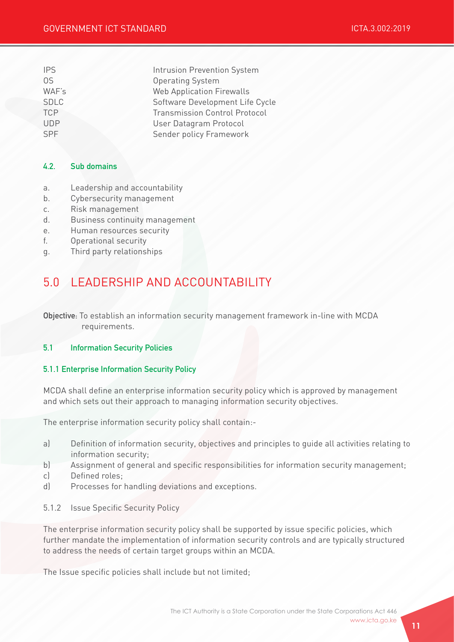| <b>IPS</b>  | Intrusion Prevention System          |
|-------------|--------------------------------------|
| 0S          | <b>Operating System</b>              |
| WAF's       | <b>Web Application Firewalls</b>     |
| <b>SDLC</b> | Software Development Life Cycle      |
| <b>TCP</b>  | <b>Transmission Control Protocol</b> |
| <b>UDP</b>  | User Datagram Protocol               |
| SPF         | Sender policy Framework              |

### 4.2. Sub domains

- a. Leadership and accountability
- b. Cybersecurity management
- c. Risk management
- d. Business continuity management
- e. Human resources security
- f. Operational security
- g. Third party relationships

# 5.0 LEADERSHIP AND ACCOUNTABILITY

Objective: To establish an information security management framework in-line with MCDA requirements.

#### 5.1 Information Security Policies

#### 5.1.1 Enterprise Information Security Policy

MCDA shall define an enterprise information security policy which is approved by management and which sets out their approach to managing information security objectives.

The enterprise information security policy shall contain:-

- a) Definition of information security, objectives and principles to guide all activities relating to information security;
- b) Assignment of general and specific responsibilities for information security management;
- c) Defined roles;
- d) Processes for handling deviations and exceptions.
- 5.1.2 Issue Specific Security Policy

The enterprise information security policy shall be supported by issue specific policies, which further mandate the implementation of information security controls and are typically structured to address the needs of certain target groups within an MCDA.

The Issue specific policies shall include but not limited;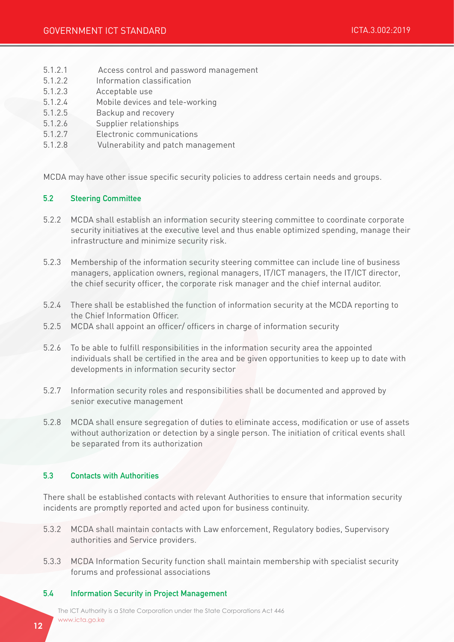- 5.1.2.1 Access control and password management
- 5.1.2.2 Information classification
- 5.1.2.3 Acceptable use
- 5.1.2.4 Mobile devices and tele-working
- 5.1.2.5 Backup and recovery
- 5.1.2.6 Supplier relationships
- 5.1.2.7 Electronic communications
- 5.1.2.8 Vulnerability and patch management

MCDA may have other issue specific security policies to address certain needs and groups.

#### 5.2 Steering Committee

- 5.2.2 MCDA shall establish an information security steering committee to coordinate corporate security initiatives at the executive level and thus enable optimized spending, manage their infrastructure and minimize security risk.
- 5.2.3 Membership of the information security steering committee can include line of business managers, application owners, regional managers, IT/ICT managers, the IT/ICT director, the chief security officer, the corporate risk manager and the chief internal auditor.
- 5.2.4 There shall be established the function of information security at the MCDA reporting to the Chief Information Officer.
- 5.2.5 MCDA shall appoint an officer/ officers in charge of information security
- 5.2.6 To be able to fulfill responsibilities in the information security area the appointed individuals shall be certified in the area and be given opportunities to keep up to date with developments in information security sector
- 5.2.7 Information security roles and responsibilities shall be documented and approved by senior executive management
- 5.2.8 MCDA shall ensure segregation of duties to eliminate access, modification or use of assets without authorization or detection by a single person. The initiation of critical events shall be separated from its authorization

#### 5.3 Contacts with Authorities

There shall be established contacts with relevant Authorities to ensure that information security incidents are promptly reported and acted upon for business continuity.

- 5.3.2 MCDA shall maintain contacts with Law enforcement, Regulatory bodies, Supervisory authorities and Service providers.
- 5.3.3 MCDA Information Security function shall maintain membership with specialist security forums and professional associations

#### 5.4 Information Security in Project Management

The ICT Authority is a State Corporation under the State Corporations Act 446 www.icta.go.ke www.icta.go.ke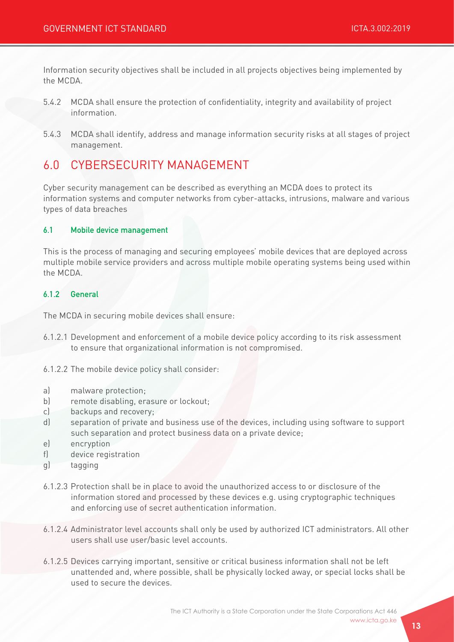Information security objectives shall be included in all projects objectives being implemented by the MCDA.

- 5.4.2 MCDA shall ensure the protection of confidentiality, integrity and availability of project information.
- 5.4.3 MCDA shall identify, address and manage information security risks at all stages of project management.

# 6.0 CYBERSECURITY MANAGEMENT

Cyber security management can be described as everything an MCDA does to protect its information systems and computer networks from cyber-attacks, intrusions, malware and various types of data breaches

#### 6.1 Mobile device management

This is the process of managing and securing employees' mobile devices that are deployed across multiple mobile service providers and across multiple mobile operating systems being used within the MCDA.

#### 6.1.2 General

The MCDA in securing mobile devices shall ensure:

- 6.1.2.1 Development and enforcement of a mobile device policy according to its risk assessment to ensure that organizational information is not compromised.
- 6.1.2.2 The mobile device policy shall consider:
- a) malware protection;
- b) remote disabling, erasure or lockout;
- c) backups and recovery;
- d) separation of private and business use of the devices, including using software to support such separation and protect business data on a private device;
- e) encryption
- f) device registration
- g) tagging
- 6.1.2.3 Protection shall be in place to avoid the unauthorized access to or disclosure of the information stored and processed by these devices e.g. using cryptographic techniques and enforcing use of secret authentication information.
- 6.1.2.4 Administrator level accounts shall only be used by authorized ICT administrators. All other users shall use user/basic level accounts.
- 6.1.2.5 Devices carrying important, sensitive or critical business information shall not be left unattended and, where possible, shall be physically locked away, or special locks shall be used to secure the devices.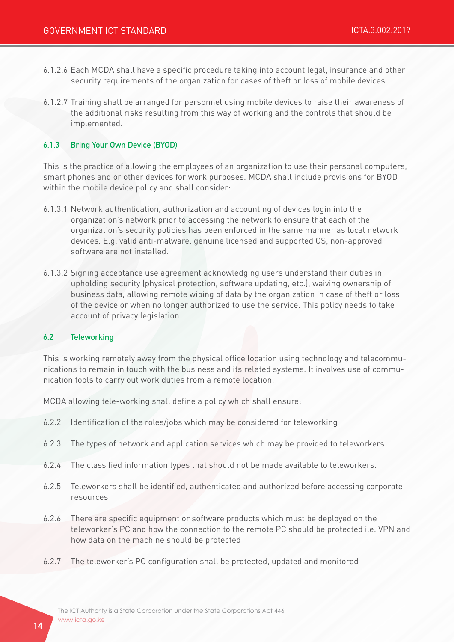- 6.1.2.6 Each MCDA shall have a specific procedure taking into account legal, insurance and other security requirements of the organization for cases of theft or loss of mobile devices.
- 6.1.2.7 Training shall be arranged for personnel using mobile devices to raise their awareness of the additional risks resulting from this way of working and the controls that should be implemented.

#### 6.1.3 Bring Your Own Device (BYOD)

This is the practice of allowing the employees of an organization to use their personal computers, smart phones and or other devices for work purposes. MCDA shall include provisions for BYOD within the mobile device policy and shall consider:

- 6.1.3.1 Network authentication, authorization and accounting of devices login into the organization's network prior to accessing the network to ensure that each of the organization's security policies has been enforced in the same manner as local network devices. E.g. valid anti-malware, genuine licensed and supported OS, non-approved software are not installed.
- 6.1.3.2 Signing acceptance use agreement acknowledging users understand their duties in upholding security (physical protection, software updating, etc.), waiving ownership of business data, allowing remote wiping of data by the organization in case of theft or loss of the device or when no longer authorized to use the service. This policy needs to take account of privacy legislation.

#### 6.2 Teleworking

This is working remotely away from the physical office location using technology and telecommunications to remain in touch with the business and its related systems. It involves use of communication tools to carry out work duties from a remote location.

MCDA allowing tele-working shall define a policy which shall ensure:

- 6.2.2 Identification of the roles/jobs which may be considered for teleworking
- 6.2.3 The types of network and application services which may be provided to teleworkers.
- 6.2.4 The classified information types that should not be made available to teleworkers.
- 6.2.5 Teleworkers shall be identified, authenticated and authorized before accessing corporate resources
- 6.2.6 There are specific equipment or software products which must be deployed on the teleworker's PC and how the connection to the remote PC should be protected i.e. VPN and how data on the machine should be protected
- 6.2.7 The teleworker's PC configuration shall be protected, updated and monitored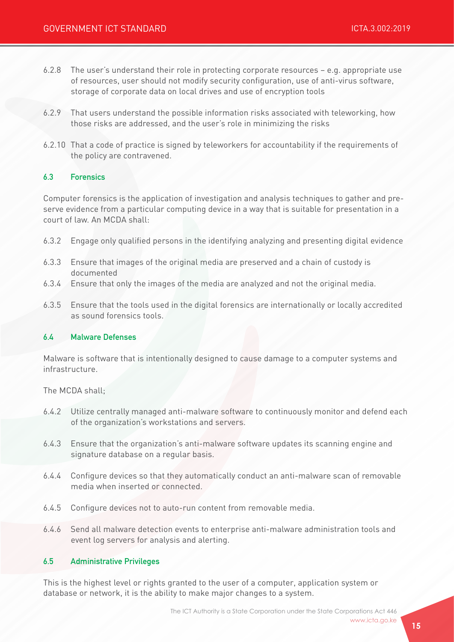- 6.2.8 The user's understand their role in protecting corporate resources e.g. appropriate use of resources, user should not modify security configuration, use of anti-virus software, storage of corporate data on local drives and use of encryption tools
- 6.2.9 That users understand the possible information risks associated with teleworking, how those risks are addressed, and the user's role in minimizing the risks
- 6.2.10 That a code of practice is signed by teleworkers for accountability if the requirements of the policy are contravened.

#### 6.3 Forensics

Computer forensics is the application of investigation and analysis techniques to gather and preserve evidence from a particular computing device in a way that is suitable for presentation in a court of law. An MCDA shall:

- 6.3.2 Engage only qualified persons in the identifying analyzing and presenting digital evidence
- 6.3.3 Ensure that images of the original media are preserved and a chain of custody is documented
- 6.3.4 Ensure that only the images of the media are analyzed and not the original media.
- 6.3.5 Ensure that the tools used in the digital forensics are internationally or locally accredited as sound forensics tools.

#### 6.4 Malware Defenses

Malware is software that is intentionally designed to cause damage to a computer systems and infrastructure.

The MCDA shall;

- 6.4.2 Utilize centrally managed anti-malware software to continuously monitor and defend each of the organization's workstations and servers.
- 6.4.3 Ensure that the organization's anti-malware software updates its scanning engine and signature database on a regular basis.
- 6.4.4 Configure devices so that they automatically conduct an anti-malware scan of removable media when inserted or connected.
- 6.4.5 Configure devices not to auto-run content from removable media.
- 6.4.6 Send all malware detection events to enterprise anti-malware administration tools and event log servers for analysis and alerting.

#### 6.5 Administrative Privileges

This is the highest level or rights granted to the user of a computer, application system or database or network, it is the ability to make major changes to a system.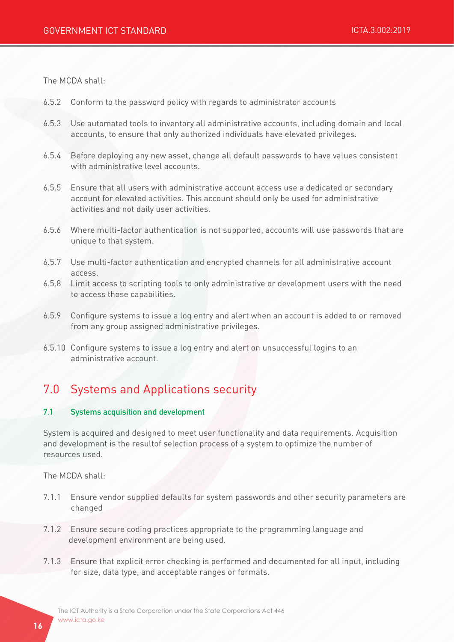The MCDA shall:

- 6.5.2 Conform to the password policy with regards to administrator accounts
- 6.5.3 Use automated tools to inventory all administrative accounts, including domain and local accounts, to ensure that only authorized individuals have elevated privileges.
- 6.5.4 Before deploying any new asset, change all default passwords to have values consistent with administrative level accounts.
- 6.5.5 Ensure that all users with administrative account access use a dedicated or secondary account for elevated activities. This account should only be used for administrative activities and not daily user activities.
- 6.5.6 Where multi-factor authentication is not supported, accounts will use passwords that are unique to that system.
- 6.5.7 Use multi-factor authentication and encrypted channels for all administrative account access.
- 6.5.8 Limit access to scripting tools to only administrative or development users with the need to access those capabilities.
- 6.5.9 Configure systems to issue a log entry and alert when an account is added to or removed from any group assigned administrative privileges.
- 6.5.10 Configure systems to issue a log entry and alert on unsuccessful logins to an administrative account.

# 7.0 Systems and Applications security

#### 7.1 Systems acquisition and development

System is acquired and designed to meet user functionality and data requirements. Acquisition and development is the resultof selection process of a system to optimize the number of resources used.

The MCDA shall:

- 7.1.1 Ensure vendor supplied defaults for system passwords and other security parameters are changed
- 7.1.2 Ensure secure coding practices appropriate to the programming language and development environment are being used.
- 7.1.3 Ensure that explicit error checking is performed and documented for all input, including for size, data type, and acceptable ranges or formats.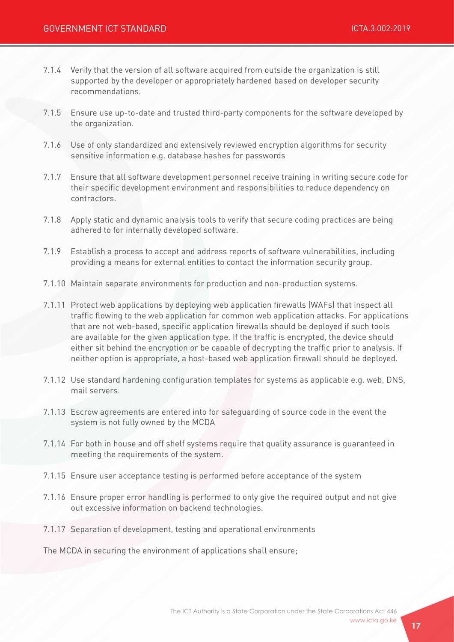- 7.1.4 Verify that the version of all software acquired from outside the organization is still supported by the developer or appropriately hardened based on developer security recommendations.
- 7.1.5 Ensure use up-to-date and trusted third-party components for the software developed by the organization.
- 7.1.6 Use of only standardized and extensively reviewed encryption algorithms for security sensitive information e.g. database hashes for passwords
- 7.1.7 Ensure that all software development personnel receive training in writing secure code for their specific development environment and responsibilities to reduce dependency on contractors.
- 7.1.8 Apply static and dynamic analysis tools to verify that secure coding practices are being adhered to for internally developed software.
- 7.1.9 Establish a process to accept and address reports of software vulnerabilities, including providing a means for external entities to contact the information security group.
- 7.1.10 Maintain separate environments for production and non-production systems.
- 7.1.11 Protect web applications by deploying web application firewalls (WAFs) that inspect all traffic flowing to the web application for common web application attacks. For applications that are not web-based, specific application firewalls should be deployed if such tools are available for the given application type. If the traffic is encrypted, the device should either sit behind the encryption or be capable of decrypting the traffic prior to analysis. If neither option is appropriate, a host-based web application firewall should be deployed.
- 7.1.12 Use standard hardening configuration templates for systems as applicable e.g. web, DNS, mail servers.
- 7.1.13 Escrow agreements are entered into for safeguarding of source code in the event the system is not fully owned by the MCDA
- 7.1.14 For both in house and off shelf systems require that quality assurance is guaranteed in meeting the requirements of the system.
- 7.1.15 Ensure user acceptance testing is performed before acceptance of the system
- 7.1.16 Ensure proper error handling is performed to only give the required output and not give out excessive information on backend technologies.
- 7.1.17 Separation of development, testing and operational environments

The MCDA in securing the environment of applications shall ensure;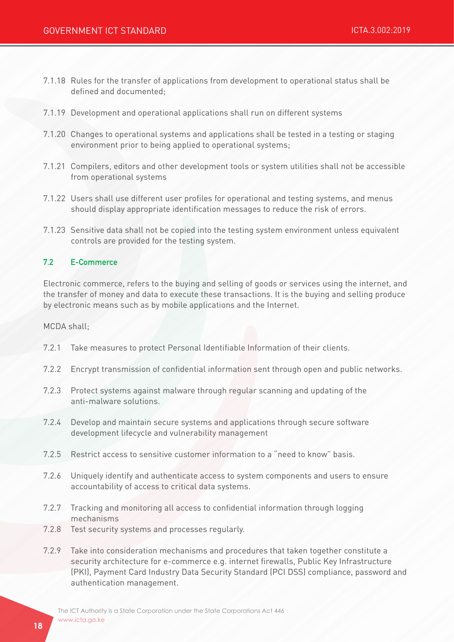- 7.1.18 Rules for the transfer of applications from development to operational status shall be defined and documented;
- 7.1.19 Development and operational applications shall run on different systems
- 7.1.20 Changes to operational systems and applications shall be tested in a testing or staging environment prior to being applied to operational systems;
- 7.1.21 Compilers, editors and other development tools or system utilities shall not be accessible from operational systems
- 7.1.22 Users shall use different user profiles for operational and testing systems, and menus should display appropriate identification messages to reduce the risk of errors.
- 7.1.23 Sensitive data shall not be copied into the testing system environment unless equivalent controls are provided for the testing system.

#### 7.2 E-Commerce

Electronic commerce, refers to the buying and selling of goods or services using the internet, and the transfer of money and data to execute these transactions. It is the buying and selling produce by electronic means such as by mobile applications and the Internet.

MCDA shall;

- 7.2.1 Take measures to protect Personal Identifiable Information of their clients.
- 7.2.2 Encrypt transmission of confidential information sent through open and public networks.
- 7.2.3 Protect systems against malware through regular scanning and updating of the anti-malware solutions.
- 7.2.4 Develop and maintain secure systems and applications through secure software development lifecycle and vulnerability management
- 7.2.5 Restrict access to sensitive customer information to a "need to know" basis.
- 7.2.6 Uniquely identify and authenticate access to system components and users to ensure accountability of access to critical data systems.
- 7.2.7 Tracking and monitoring all access to confidential information through logging mechanisms
- 7.2.8 Test security systems and processes regularly.
- 7.2.9 Take into consideration mechanisms and procedures that taken together constitute a security architecture for e-commerce e.g. internet firewalls, Public Key Infrastructure (PKI), Payment Card Industry Data Security Standard (PCI DSS) compliance, password and authentication management.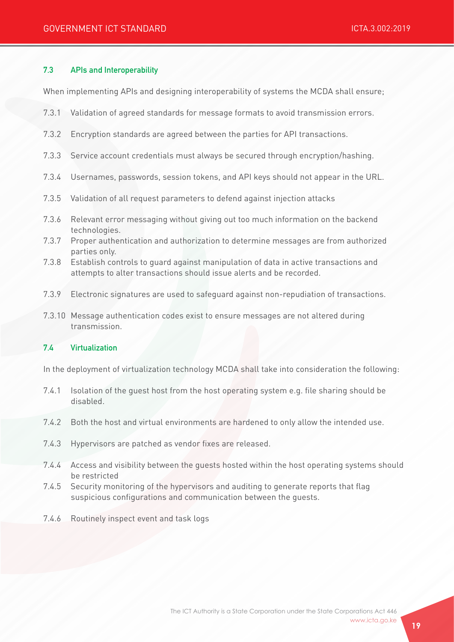#### 7.3 APIs and Interoperability

When implementing APIs and designing interoperability of systems the MCDA shall ensure;

- 7.3.1 Validation of agreed standards for message formats to avoid transmission errors.
- 7.3.2 Encryption standards are agreed between the parties for API transactions.
- 7.3.3 Service account credentials must always be secured through encryption/hashing.
- 7.3.4 Usernames, passwords, session tokens, and API keys should not appear in the URL.
- 7.3.5 Validation of all request parameters to defend against injection attacks
- 7.3.6 Relevant error messaging without giving out too much information on the backend technologies.
- 7.3.7 Proper authentication and authorization to determine messages are from authorized parties only.
- 7.3.8 Establish controls to guard against manipulation of data in active transactions and attempts to alter transactions should issue alerts and be recorded.
- 7.3.9 Electronic signatures are used to safeguard against non-repudiation of transactions.
- 7.3.10 Message authentication codes exist to ensure messages are not altered during transmission.

#### 7.4 Virtualization

In the deployment of virtualization technology MCDA shall take into consideration the following:

- 7.4.1 Isolation of the guest host from the host operating system e.g. file sharing should be disabled.
- 7.4.2 Both the host and virtual environments are hardened to only allow the intended use.
- 7.4.3 Hypervisors are patched as vendor fixes are released.
- 7.4.4 Access and visibility between the guests hosted within the host operating systems should be restricted
- 7.4.5 Security monitoring of the hypervisors and auditing to generate reports that flag suspicious configurations and communication between the guests.
- 7.4.6 Routinely inspect event and task logs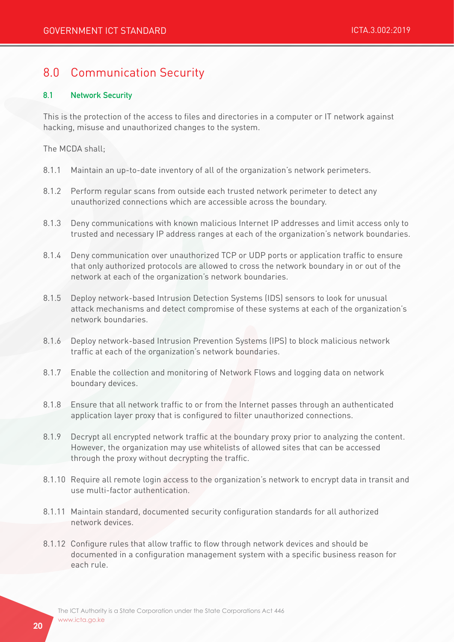# 8.0 Communication Security

#### 8.1 Network Security

This is the protection of the access to files and directories in a computer or IT network against hacking, misuse and unauthorized changes to the system.

The MCDA shall;

- 8.1.1 Maintain an up-to-date inventory of all of the organization's network perimeters.
- 8.1.2 Perform regular scans from outside each trusted network perimeter to detect any unauthorized connections which are accessible across the boundary.
- 8.1.3 Deny communications with known malicious Internet IP addresses and limit access only to trusted and necessary IP address ranges at each of the organization's network boundaries.
- 8.1.4 Deny communication over unauthorized TCP or UDP ports or application traffic to ensure that only authorized protocols are allowed to cross the network boundary in or out of the network at each of the organization's network boundaries.
- 8.1.5 Deploy network-based Intrusion Detection Systems (IDS) sensors to look for unusual attack mechanisms and detect compromise of these systems at each of the organization's network boundaries.
- 8.1.6 Deploy network-based Intrusion Prevention Systems (IPS) to block malicious network traffic at each of the organization's network boundaries.
- 8.1.7 Enable the collection and monitoring of Network Flows and logging data on network boundary devices.
- 8.1.8 Ensure that all network traffic to or from the Internet passes through an authenticated application layer proxy that is configured to filter unauthorized connections.
- 8.1.9 Decrypt all encrypted network traffic at the boundary proxy prior to analyzing the content. However, the organization may use whitelists of allowed sites that can be accessed through the proxy without decrypting the traffic.
- 8.1.10 Require all remote login access to the organization's network to encrypt data in transit and use multi-factor authentication.
- 8.1.11 Maintain standard, documented security configuration standards for all authorized network devices.
- 8.1.12 Configure rules that allow traffic to flow through network devices and should be documented in a configuration management system with a specific business reason for each rule.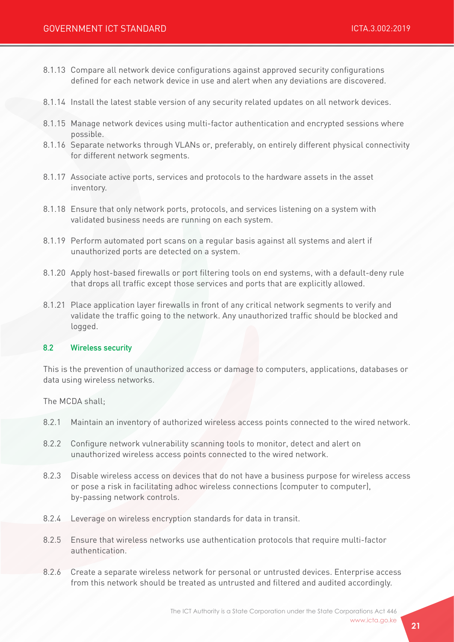- 8.1.13 Compare all network device configurations against approved security configurations defined for each network device in use and alert when any deviations are discovered.
- 8.1.14 Install the latest stable version of any security related updates on all network devices.
- 8.1.15 Manage network devices using multi-factor authentication and encrypted sessions where possible.
- 8.1.16 Separate networks through VLANs or, preferably, on entirely different physical connectivity for different network segments.
- 8.1.17 Associate active ports, services and protocols to the hardware assets in the asset inventory.
- 8.1.18 Ensure that only network ports, protocols, and services listening on a system with validated business needs are running on each system.
- 8.1.19 Perform automated port scans on a regular basis against all systems and alert if unauthorized ports are detected on a system.
- 8.1.20 Apply host-based firewalls or port filtering tools on end systems, with a default-deny rule that drops all traffic except those services and ports that are explicitly allowed.
- 8.1.21 Place application layer firewalls in front of any critical network segments to verify and validate the traffic going to the network. Any unauthorized traffic should be blocked and logged.

#### 8.2 Wireless security

This is the prevention of unauthorized access or damage to computers, applications, databases or data using wireless networks.

The MCDA shall;

- 8.2.1 Maintain an inventory of authorized wireless access points connected to the wired network.
- 8.2.2 Configure network vulnerability scanning tools to monitor, detect and alert on unauthorized wireless access points connected to the wired network.
- 8.2.3 Disable wireless access on devices that do not have a business purpose for wireless access or pose a risk in facilitating adhoc wireless connections (computer to computer), by-passing network controls.
- 8.2.4 Leverage on wireless encryption standards for data in transit.
- 8.2.5 Ensure that wireless networks use authentication protocols that require multi-factor authentication.
- 8.2.6 Create a separate wireless network for personal or untrusted devices. Enterprise access from this network should be treated as untrusted and filtered and audited accordingly.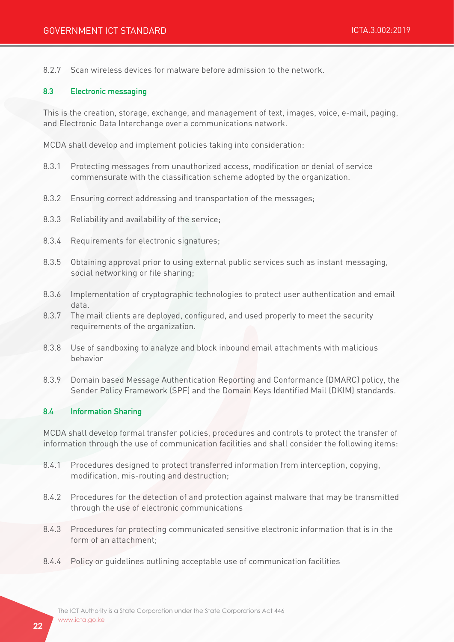8.2.7 Scan wireless devices for malware before admission to the network.

#### 8.3 Electronic messaging

This is the creation, storage, exchange, and management of text, images, voice, e-mail, paging, and Electronic Data Interchange over a communications network.

MCDA shall develop and implement policies taking into consideration:

- 8.3.1 Protecting messages from unauthorized access, modification or denial of service commensurate with the classification scheme adopted by the organization.
- 8.3.2 Ensuring correct addressing and transportation of the messages;
- 8.3.3 Reliability and availability of the service;
- 8.3.4 Requirements for electronic signatures;
- 8.3.5 Obtaining approval prior to using external public services such as instant messaging, social networking or file sharing;
- 8.3.6 Implementation of cryptographic technologies to protect user authentication and email data.
- 8.3.7 The mail clients are deployed, configured, and used properly to meet the security requirements of the organization.
- 8.3.8 Use of sandboxing to analyze and block inbound email attachments with malicious behavior
- 8.3.9 Domain based Message Authentication Reporting and Conformance (DMARC) policy, the Sender Policy Framework (SPF) and the Domain Keys Identified Mail (DKIM) standards.

#### 8.4 Information Sharing

MCDA shall develop formal transfer policies, procedures and controls to protect the transfer of information through the use of communication facilities and shall consider the following items:

- 8.4.1 Procedures designed to protect transferred information from interception, copying, modification, mis-routing and destruction;
- 8.4.2 Procedures for the detection of and protection against malware that may be transmitted through the use of electronic communications
- 8.4.3 Procedures for protecting communicated sensitive electronic information that is in the form of an attachment;
- 8.4.4 Policy or guidelines outlining acceptable use of communication facilities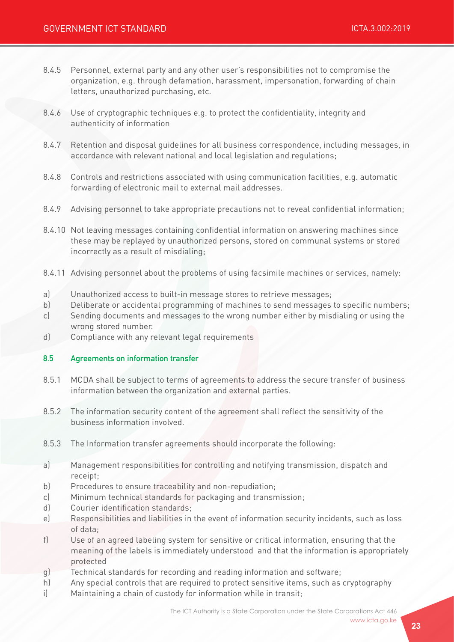- 8.4.5 Personnel, external party and any other user's responsibilities not to compromise the organization, e.g. through defamation, harassment, impersonation, forwarding of chain letters, unauthorized purchasing, etc.
- 8.4.6 Use of cryptographic techniques e.g. to protect the confidentiality, integrity and authenticity of information
- 8.4.7 Retention and disposal guidelines for all business correspondence, including messages, in accordance with relevant national and local legislation and regulations;
- 8.4.8 Controls and restrictions associated with using communication facilities, e.g. automatic forwarding of electronic mail to external mail addresses.
- 8.4.9 Advising personnel to take appropriate precautions not to reveal confidential information;
- 8.4.10 Not leaving messages containing confidential information on answering machines since these may be replayed by unauthorized persons, stored on communal systems or stored incorrectly as a result of misdialing;
- 8.4.11 Advising personnel about the problems of using facsimile machines or services, namely:
- a) Unauthorized access to built-in message stores to retrieve messages;
- b) Deliberate or accidental programming of machines to send messages to specific numbers;
- c) Sending documents and messages to the wrong number either by misdialing or using the wrong stored number.
- d) Compliance with any relevant legal requirements

#### 8.5 Agreements on information transfer

- 8.5.1 MCDA shall be subject to terms of agreements to address the secure transfer of business information between the organization and external parties.
- 8.5.2 The information security content of the agreement shall reflect the sensitivity of the business information involved.
- 8.5.3 The Information transfer agreements should incorporate the following:
- a) Management responsibilities for controlling and notifying transmission, dispatch and receipt;
- b) Procedures to ensure traceability and non-repudiation;
- c) Minimum technical standards for packaging and transmission;
- d) Courier identification standards;
- e) Responsibilities and liabilities in the event of information security incidents, such as loss of data;
- f) Use of an agreed labeling system for sensitive or critical information, ensuring that the meaning of the labels is immediately understood and that the information is appropriately protected
- g) Technical standards for recording and reading information and software;
- h) Any special controls that are required to protect sensitive items, such as cryptography
- i) Maintaining a chain of custody for information while in transit;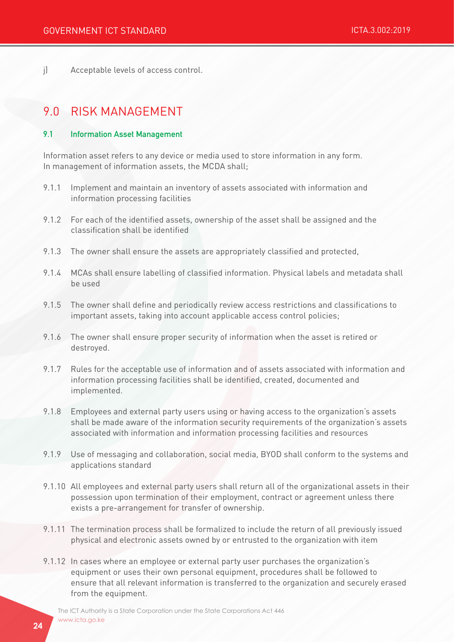j) Acceptable levels of access control.

# 9.0 RISK MANAGEMENT

#### 9.1 Information Asset Management

Information asset refers to any device or media used to store information in any form. In management of information assets, the MCDA shall;

- 9.1.1 Implement and maintain an inventory of assets associated with information and information processing facilities
- 9.1.2 For each of the identified assets, ownership of the asset shall be assigned and the classification shall be identified
- 9.1.3 The owner shall ensure the assets are appropriately classified and protected,
- 9.1.4 MCAs shall ensure labelling of classified information. Physical labels and metadata shall be used
- 9.1.5 The owner shall define and periodically review access restrictions and classifications to important assets, taking into account applicable access control policies;
- 9.1.6 The owner shall ensure proper security of information when the asset is retired or destroyed.
- 9.1.7 Rules for the acceptable use of information and of assets associated with information and information processing facilities shall be identified, created, documented and implemented.
- 9.1.8 Employees and external party users using or having access to the organization's assets shall be made aware of the information security requirements of the organization's assets associated with information and information processing facilities and resources
- 9.1.9 Use of messaging and collaboration, social media, BYOD shall conform to the systems and applications standard
- 9.1.10 All employees and external party users shall return all of the organizational assets in their possession upon termination of their employment, contract or agreement unless there exists a pre-arrangement for transfer of ownership.
- 9.1.11 The termination process shall be formalized to include the return of all previously issued physical and electronic assets owned by or entrusted to the organization with item
- 9.1.12 In cases where an employee or external party user purchases the organization's equipment or uses their own personal equipment, procedures shall be followed to ensure that all relevant information is transferred to the organization and securely erased from the equipment.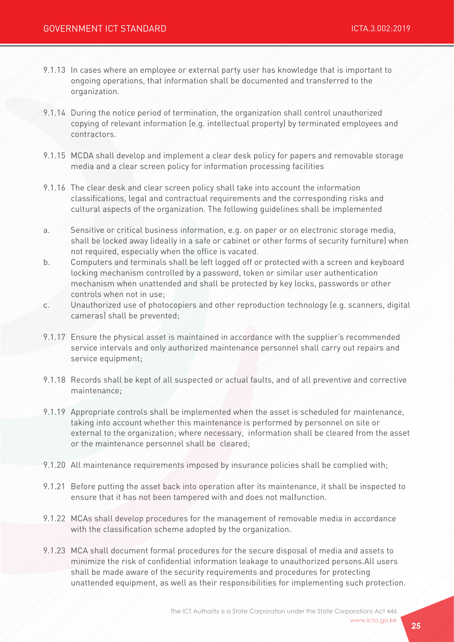- 9.1.13 In cases where an employee or external party user has knowledge that is important to ongoing operations, that information shall be documented and transferred to the organization.
- 9.1.14 During the notice period of termination, the organization shall control unauthorized copying of relevant information (e.g. intellectual property) by terminated employees and contractors.
- 9.1.15 MCDA shall develop and implement a clear desk policy for papers and removable storage media and a clear screen policy for information processing facilities
- 9.1.16 The clear desk and clear screen policy shall take into account the information classifications, legal and contractual requirements and the corresponding risks and cultural aspects of the organization. The following guidelines shall be implemented
- a. Sensitive or critical business information, e.g. on paper or on electronic storage media, shall be locked away (ideally in a safe or cabinet or other forms of security furniture) when not required, especially when the office is vacated.
- b. Computers and terminals shall be left logged off or protected with a screen and keyboard locking mechanism controlled by a password, token or similar user authentication mechanism when unattended and shall be protected by key locks, passwords or other controls when not in use;
- c. Unauthorized use of photocopiers and other reproduction technology (e.g. scanners, digital cameras) shall be prevented;
- 9.1.17 Ensure the physical asset is maintained in accordance with the supplier's recommended service intervals and only authorized maintenance personnel shall carry out repairs and service equipment;
- 9.1.18 Records shall be kept of all suspected or actual faults, and of all preventive and corrective maintenance;
- 9.1.19 Appropriate controls shall be implemented when the asset is scheduled for maintenance, taking into account whether this maintenance is performed by personnel on site or external to the organization; where necessary, information shall be cleared from the asset or the maintenance personnel shall be cleared;
- 9.1.20 All maintenance requirements imposed by insurance policies shall be complied with;
- 9.1.21 Before putting the asset back into operation after its maintenance, it shall be inspected to ensure that it has not been tampered with and does not malfunction.
- 9.1.22 MCAs shall develop procedures for the management of removable media in accordance with the classification scheme adopted by the organization.
- 9.1.23 MCA shall document formal procedures for the secure disposal of media and assets to minimize the risk of confidential information leakage to unauthorized persons.All users shall be made aware of the security requirements and procedures for protecting unattended equipment, as well as their responsibilities for implementing such protection.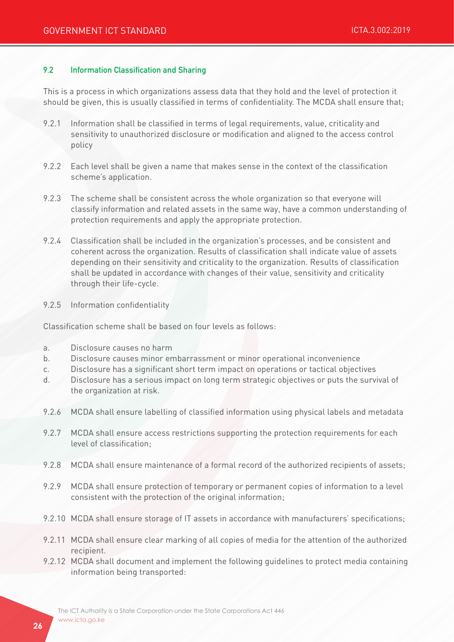#### 9.2 Information Classification and Sharing

This is a process in which organizations assess data that they hold and the level of protection it should be given, this is usually classified in terms of confidentiality. The MCDA shall ensure that;

- 9.2.1 Information shall be classified in terms of legal requirements, value, criticality and sensitivity to unauthorized disclosure or modification and aligned to the access control policy
- 9.2.2 Each level shall be given a name that makes sense in the context of the classification scheme's application.
- 9.2.3 The scheme shall be consistent across the whole organization so that everyone will classify information and related assets in the same way, have a common understanding of protection requirements and apply the appropriate protection.
- 9.2.4 Classification shall be included in the organization's processes, and be consistent and coherent across the organization. Results of classification shall indicate value of assets depending on their sensitivity and criticality to the organization. Results of classification shall be updated in accordance with changes of their value, sensitivity and criticality through their life-cycle.
- 9.2.5 Information confidentiality

Classification scheme shall be based on four levels as follows:

- a. Disclosure causes no harm
- b. Disclosure causes minor embarrassment or minor operational inconvenience
- c. Disclosure has a significant short term impact on operations or tactical objectives
- d. Disclosure has a serious impact on long term strategic objectives or puts the survival of the organization at risk.
- 9.2.6 MCDA shall ensure labelling of classified information using physical labels and metadata
- 9.2.7 MCDA shall ensure access restrictions supporting the protection requirements for each level of classification;
- 9.2.8 MCDA shall ensure maintenance of a formal record of the authorized recipients of assets;
- 9.2.9 MCDA shall ensure protection of temporary or permanent copies of information to a level consistent with the protection of the original information;
- 9.2.10 MCDA shall ensure storage of IT assets in accordance with manufacturers' specifications;
- 9.2.11 MCDA shall ensure clear marking of all copies of media for the attention of the authorized recipient.
- 9.2.12 MCDA shall document and implement the following guidelines to protect media containing information being transported: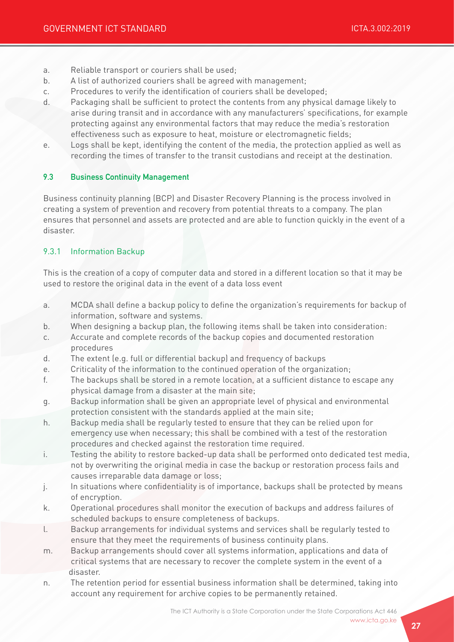- a. Reliable transport or couriers shall be used;
- b. A list of authorized couriers shall be agreed with management;
- c. Procedures to verify the identification of couriers shall be developed;
- d. Packaging shall be sufficient to protect the contents from any physical damage likely to arise during transit and in accordance with any manufacturers' specifications, for example protecting against any environmental factors that may reduce the media's restoration effectiveness such as exposure to heat, moisture or electromagnetic fields;
- e. Logs shall be kept, identifying the content of the media, the protection applied as well as recording the times of transfer to the transit custodians and receipt at the destination.

#### 9.3 Business Continuity Management

Business continuity planning (BCP) and Disaster Recovery Planning is the process involved in creating a system of prevention and recovery from potential threats to a company. The plan ensures that personnel and assets are protected and are able to function quickly in the event of a disaster.

### 9.3.1 Information Backup

This is the creation of a copy of computer data and stored in a different location so that it may be used to restore the original data in the event of a data loss event

- a. MCDA shall define a backup policy to define the organization's requirements for backup of information, software and systems.
- b. When designing a backup plan, the following items shall be taken into consideration:
- c. Accurate and complete records of the backup copies and documented restoration procedures
- d. The extent (e.g. full or differential backup) and frequency of backups
- e. Criticality of the information to the continued operation of the organization;
- f. The backups shall be stored in a remote location, at a sufficient distance to escape any physical damage from a disaster at the main site;
- g. Backup information shall be given an appropriate level of physical and environmental protection consistent with the standards applied at the main site;
- h. Backup media shall be regularly tested to ensure that they can be relied upon for emergency use when necessary; this shall be combined with a test of the restoration procedures and checked against the restoration time required.
- i. Testing the ability to restore backed-up data shall be performed onto dedicated test media, not by overwriting the original media in case the backup or restoration process fails and causes irreparable data damage or loss;
- j. In situations where confidentiality is of importance, backups shall be protected by means of encryption.
- k. Operational procedures shall monitor the execution of backups and address failures of scheduled backups to ensure completeness of backups.
- l. Backup arrangements for individual systems and services shall be regularly tested to ensure that they meet the requirements of business continuity plans.
- m. Backup arrangements should cover all systems information, applications and data of critical systems that are necessary to recover the complete system in the event of a disaster.
- n. The retention period for essential business information shall be determined, taking into account any requirement for archive copies to be permanently retained.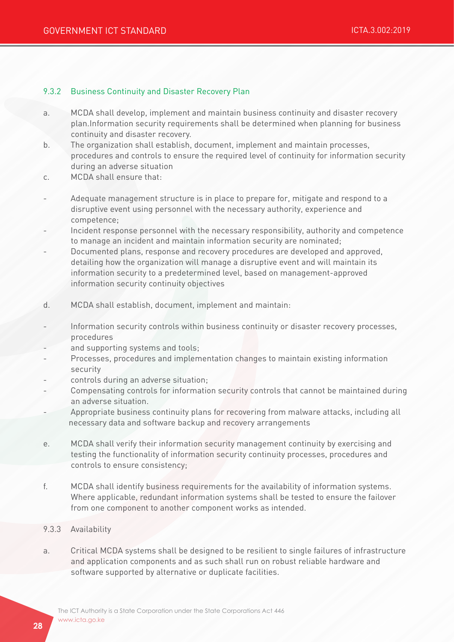#### 9.3.2 Business Continuity and Disaster Recovery Plan

- a. MCDA shall develop, implement and maintain business continuity and disaster recovery plan.Information security requirements shall be determined when planning for business continuity and disaster recovery.
- b. The organization shall establish, document, implement and maintain processes, procedures and controls to ensure the required level of continuity for information security during an adverse situation
- c. MCDA shall ensure that:
- Adequate management structure is in place to prepare for, mitigate and respond to a disruptive event using personnel with the necessary authority, experience and competence;
- Incident response personnel with the necessary responsibility, authority and competence to manage an incident and maintain information security are nominated;
- Documented plans, response and recovery procedures are developed and approved, detailing how the organization will manage a disruptive event and will maintain its information security to a predetermined level, based on management-approved information security continuity objectives
- d. MCDA shall establish, document, implement and maintain:
- Information security controls within business continuity or disaster recovery processes, procedures
- and supporting systems and tools;
- Processes, procedures and implementation changes to maintain existing information security
- controls during an adverse situation;
- Compensating controls for information security controls that cannot be maintained during an adverse situation.
- Appropriate business continuity plans for recovering from malware attacks, including all necessary data and software backup and recovery arrangements
- e. MCDA shall verify their information security management continuity by exercising and testing the functionality of information security continuity processes, procedures and controls to ensure consistency;
- f. MCDA shall identify business requirements for the availability of information systems. Where applicable, redundant information systems shall be tested to ensure the failover from one component to another component works as intended.
- 9.3.3 Availability
- a. Critical MCDA systems shall be designed to be resilient to single failures of infrastructure and application components and as such shall run on robust reliable hardware and software supported by alternative or duplicate facilities.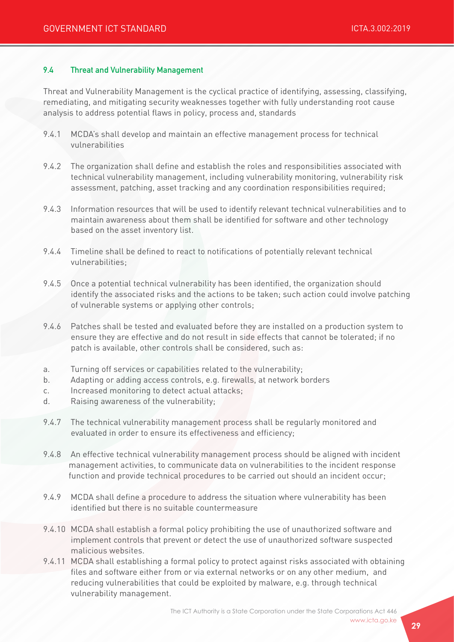#### 9.4 Threat and Vulnerability Management

Threat and Vulnerability Management is the cyclical practice of identifying, assessing, classifying, remediating, and mitigating security weaknesses together with fully understanding root cause analysis to address potential flaws in policy, process and, standards

- 9.4.1 MCDA's shall develop and maintain an effective management process for technical vulnerabilities
- 9.4.2 The organization shall define and establish the roles and responsibilities associated with technical vulnerability management, including vulnerability monitoring, vulnerability risk assessment, patching, asset tracking and any coordination responsibilities required;
- 9.4.3 Information resources that will be used to identify relevant technical vulnerabilities and to maintain awareness about them shall be identified for software and other technology based on the asset inventory list.
- 9.4.4 Timeline shall be defined to react to notifications of potentially relevant technical vulnerabilities;
- 9.4.5 Once a potential technical vulnerability has been identified, the organization should identify the associated risks and the actions to be taken; such action could involve patching of vulnerable systems or applying other controls;
- 9.4.6 Patches shall be tested and evaluated before they are installed on a production system to ensure they are effective and do not result in side effects that cannot be tolerated; if no patch is available, other controls shall be considered, such as:
- a. Turning off services or capabilities related to the vulnerability;
- b. Adapting or adding access controls, e.g. firewalls, at network borders
- c. Increased monitoring to detect actual attacks;
- d. Raising awareness of the vulnerability;
- 9.4.7 The technical vulnerability management process shall be regularly monitored and evaluated in order to ensure its effectiveness and efficiency;
- 9.4.8 An effective technical vulnerability management process should be aligned with incident management activities, to communicate data on vulnerabilities to the incident response function and provide technical procedures to be carried out should an incident occur;
- 9.4.9 MCDA shall define a procedure to address the situation where vulnerability has been identified but there is no suitable countermeasure
- 9.4.10 MCDA shall establish a formal policy prohibiting the use of unauthorized software and implement controls that prevent or detect the use of unauthorized software suspected malicious websites.
- 9.4.11 MCDA shall establishing a formal policy to protect against risks associated with obtaining files and software either from or via external networks or on any other medium, and reducing vulnerabilities that could be exploited by malware, e.g. through technical vulnerability management.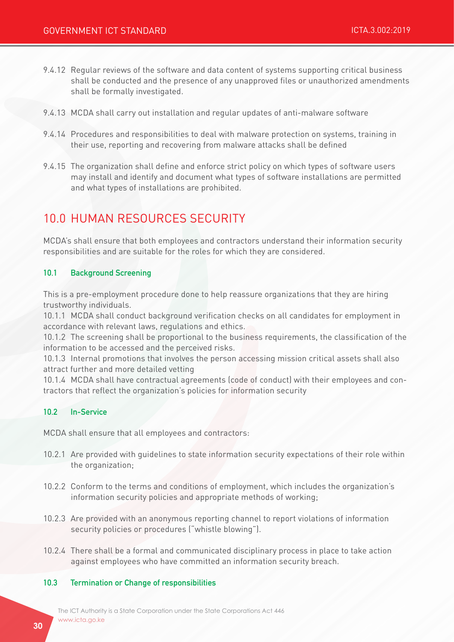- 9.4.12 Regular reviews of the software and data content of systems supporting critical business shall be conducted and the presence of any unapproved files or unauthorized amendments shall be formally investigated.
- 9.4.13 MCDA shall carry out installation and regular updates of anti-malware software
- 9.4.14 Procedures and responsibilities to deal with malware protection on systems, training in their use, reporting and recovering from malware attacks shall be defined
- 9.4.15 The organization shall define and enforce strict policy on which types of software users may install and identify and document what types of software installations are permitted and what types of installations are prohibited.

# 10.0 HUMAN RESOURCES SECURITY

MCDA's shall ensure that both employees and contractors understand their information security responsibilities and are suitable for the roles for which they are considered.

#### 10.1 Background Screening

This is a pre-employment procedure done to help reassure organizations that they are hiring trustworthy individuals.

10.1.1 MCDA shall conduct background verification checks on all candidates for employment in accordance with relevant laws, regulations and ethics.

10.1.2 The screening shall be proportional to the business requirements, the classification of the information to be accessed and the perceived risks.

10.1.3 Internal promotions that involves the person accessing mission critical assets shall also attract further and more detailed vetting

10.1.4 MCDA shall have contractual agreements (code of conduct) with their employees and contractors that reflect the organization's policies for information security

#### 10.2 In-Service

MCDA shall ensure that all employees and contractors:

- 10.2.1 Are provided with guidelines to state information security expectations of their role within the organization;
- 10.2.2 Conform to the terms and conditions of employment, which includes the organization's information security policies and appropriate methods of working;
- 10.2.3 Are provided with an anonymous reporting channel to report violations of information security policies or procedures ("whistle blowing").
- 10.2.4 There shall be a formal and communicated disciplinary process in place to take action against employees who have committed an information security breach.

#### 10.3 Termination or Change of responsibilities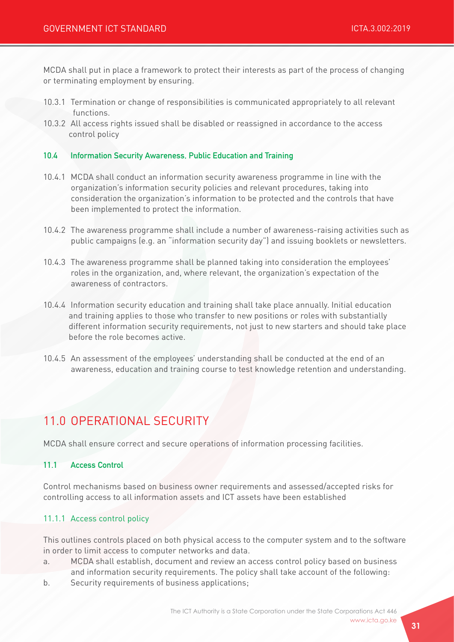MCDA shall put in place a framework to protect their interests as part of the process of changing or terminating employment by ensuring.

- 10.3.1 Termination or change of responsibilities is communicated appropriately to all relevant functions.
- 10.3.2 All access rights issued shall be disabled or reassigned in accordance to the access control policy

#### 10.4 Information Security Awareness, Public Education and Training

- 10.4.1 MCDA shall conduct an information security awareness programme in line with the organization's information security policies and relevant procedures, taking into consideration the organization's information to be protected and the controls that have been implemented to protect the information.
- 10.4.2 The awareness programme shall include a number of awareness-raising activities such as public campaigns (e.g. an "information security day") and issuing booklets or newsletters.
- 10.4.3 The awareness programme shall be planned taking into consideration the employees' roles in the organization, and, where relevant, the organization's expectation of the awareness of contractors.
- 10.4.4 Information security education and training shall take place annually. Initial education and training applies to those who transfer to new positions or roles with substantially different information security requirements, not just to new starters and should take place before the role becomes active.
- 10.4.5 An assessment of the employees' understanding shall be conducted at the end of an awareness, education and training course to test knowledge retention and understanding.

# 11.0 OPERATIONAL SECURITY

MCDA shall ensure correct and secure operations of information processing facilities.

#### 11.1 Access Control

Control mechanisms based on business owner requirements and assessed/accepted risks for controlling access to all information assets and ICT assets have been established

#### 11.1.1 Access control policy

This outlines controls placed on both physical access to the computer system and to the software in order to limit access to computer networks and data.

- a. MCDA shall establish, document and review an access control policy based on business and information security requirements. The policy shall take account of the following:
- b. Security requirements of business applications;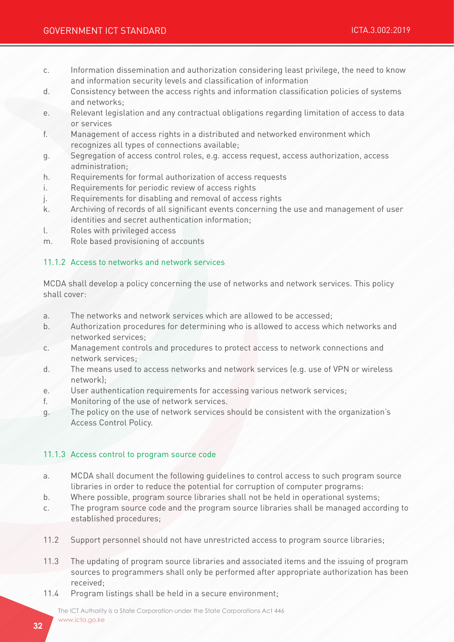- c. Information dissemination and authorization considering least privilege, the need to know and information security levels and classification of information
- d. Consistency between the access rights and information classification policies of systems and networks;
- e. Relevant legislation and any contractual obligations regarding limitation of access to data or services
- f. Management of access rights in a distributed and networked environment which recognizes all types of connections available;
- g. Segregation of access control roles, e.g. access request, access authorization, access administration;
- h. Requirements for formal authorization of access requests
- i. Requirements for periodic review of access rights
- j. Requirements for disabling and removal of access rights
- k. Archiving of records of all significant events concerning the use and management of user identities and secret authentication information;
- l. Roles with privileged access
- m. Role based provisioning of accounts

## 11.1.2 Access to networks and network services

MCDA shall develop a policy concerning the use of networks and network services. This policy shall cover:

- a. The networks and network services which are allowed to be accessed;
- b. Authorization procedures for determining who is allowed to access which networks and networked services;
- c. Management controls and procedures to protect access to network connections and network services;
- d. The means used to access networks and network services (e.g. use of VPN or wireless network);
- e. User authentication requirements for accessing various network services;
- f. Monitoring of the use of network services.
- g. The policy on the use of network services should be consistent with the organization's Access Control Policy.

### 11.1.3 Access control to program source code

- a. MCDA shall document the following guidelines to control access to such program source libraries in order to reduce the potential for corruption of computer programs:
- b. Where possible, program source libraries shall not be held in operational systems;
- c. The program source code and the program source libraries shall be managed according to established procedures;
- 11.2 Support personnel should not have unrestricted access to program source libraries;
- 11.3 The updating of program source libraries and associated items and the issuing of program sources to programmers shall only be performed after appropriate authorization has been received;
- 11.4 Program listings shall be held in a secure environment;

The ICT Authority is a State Corporation under the State Corporations Act 446 www.icta.go.ke www.icta.go.ke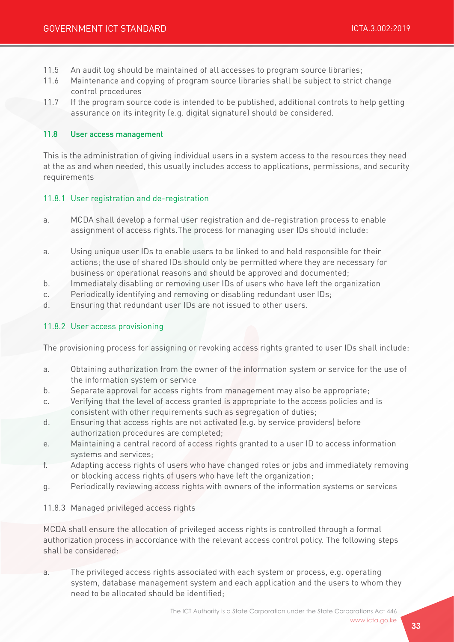- 11.5 An audit log should be maintained of all accesses to program source libraries;
- 11.6 Maintenance and copying of program source libraries shall be subject to strict change control procedures
- 11.7 If the program source code is intended to be published, additional controls to help getting assurance on its integrity (e.g. digital signature) should be considered.

#### 11.8 User access management

This is the administration of giving individual users in a system access to the resources they need at the as and when needed, this usually includes access to applications, permissions, and security requirements

#### 11.8.1 User registration and de-registration

- a. MCDA shall develop a formal user registration and de-registration process to enable assignment of access rights.The process for managing user IDs should include:
- a. Using unique user IDs to enable users to be linked to and held responsible for their actions; the use of shared IDs should only be permitted where they are necessary for business or operational reasons and should be approved and documented;
- b. Immediately disabling or removing user IDs of users who have left the organization
- c. Periodically identifying and removing or disabling redundant user IDs;
- d. Ensuring that redundant user IDs are not issued to other users.

#### 11.8.2 User access provisioning

The provisioning process for assigning or revoking access rights granted to user IDs shall include:

- a. Obtaining authorization from the owner of the information system or service for the use of the information system or service
- b. Separate approval for access rights from management may also be appropriate;
- c. Verifying that the level of access granted is appropriate to the access policies and is consistent with other requirements such as segregation of duties;
- d. Ensuring that access rights are not activated (e.g. by service providers) before authorization procedures are completed;
- e. Maintaining a central record of access rights granted to a user ID to access information systems and services;
- f. Adapting access rights of users who have changed roles or jobs and immediately removing or blocking access rights of users who have left the organization;
- g. Periodically reviewing access rights with owners of the information systems or services

#### 11.8.3 Managed privileged access rights

MCDA shall ensure the allocation of privileged access rights is controlled through a formal authorization process in accordance with the relevant access control policy. The following steps shall be considered:

a. The privileged access rights associated with each system or process, e.g. operating system, database management system and each application and the users to whom they need to be allocated should be identified;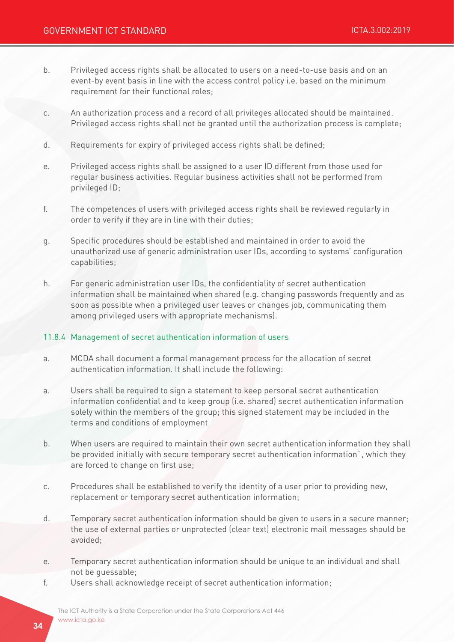- b. Privileged access rights shall be allocated to users on a need-to-use basis and on an event-by event basis in line with the access control policy i.e. based on the minimum requirement for their functional roles;
- c. An authorization process and a record of all privileges allocated should be maintained. Privileged access rights shall not be granted until the authorization process is complete;
- d. Requirements for expiry of privileged access rights shall be defined;
- e. Privileged access rights shall be assigned to a user ID different from those used for regular business activities. Regular business activities shall not be performed from privileged ID;
- f. The competences of users with privileged access rights shall be reviewed regularly in order to verify if they are in line with their duties;
- g. Specific procedures should be established and maintained in order to avoid the unauthorized use of generic administration user IDs, according to systems' configuration capabilities;
- h. For generic administration user IDs, the confidentiality of secret authentication information shall be maintained when shared (e.g. changing passwords frequently and as soon as possible when a privileged user leaves or changes job, communicating them among privileged users with appropriate mechanisms).

#### 11.8.4 Management of secret authentication information of users

- a. MCDA shall document a formal management process for the allocation of secret authentication information. It shall include the following:
- a. Users shall be required to sign a statement to keep personal secret authentication information confidential and to keep group (i.e. shared) secret authentication information solely within the members of the group; this signed statement may be included in the terms and conditions of employment
- b. When users are required to maintain their own secret authentication information they shall be provided initially with secure temporary secret authentication information`, which they are forced to change on first use;
- c. Procedures shall be established to verify the identity of a user prior to providing new, replacement or temporary secret authentication information;
- d. Temporary secret authentication information should be given to users in a secure manner; the use of external parties or unprotected (clear text) electronic mail messages should be avoided;
- e. Temporary secret authentication information should be unique to an individual and shall not be guessable;
- f. Users shall acknowledge receipt of secret authentication information;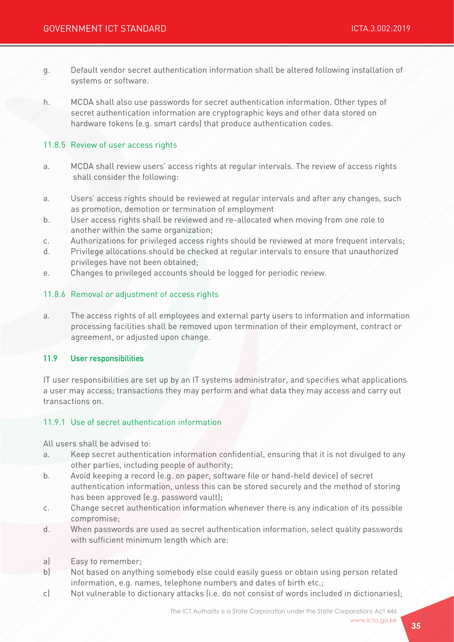- g. Default vendor secret authentication information shall be altered following installation of systems or software.
- h. MCDA shall also use passwords for secret authentication information. Other types of secret authentication information are cryptographic keys and other data stored on hardware tokens (e.g. smart cards) that produce authentication codes.

#### 11.8.5 Review of user access rights

- a. MCDA shall review users' access rights at regular intervals. The review of access rights shall consider the following:
- a. Users' access rights should be reviewed at regular intervals and after any changes, such as promotion, demotion or termination of employment
- b. User access rights shall be reviewed and re-allocated when moving from one role to another within the same organization;
- c. Authorizations for privileged access rights should be reviewed at more frequent intervals;
- d. Privilege allocations should be checked at regular intervals to ensure that unauthorized privileges have not been obtained;
- e. Changes to privileged accounts should be logged for periodic review.

#### 11.8.6 Removal or adjustment of access rights

a. The access rights of all employees and external party users to information and information processing facilities shall be removed upon termination of their employment, contract or agreement, or adjusted upon change.

#### 11.9 User responsibilities

IT user responsibilities are set up by an IT systems administrator, and specifies what applications a user may access; transactions they may perform and what data they may access and carry out transactions on.

#### 11.9.1 Use of secret authentication information

All users shall be advised to:

- a. Keep secret authentication information confidential, ensuring that it is not divulged to any other parties, including people of authority;
- b. Avoid keeping a record (e.g. on paper, software file or hand-held device) of secret authentication information, unless this can be stored securely and the method of storing has been approved (e.g. password vault);
- c. Change secret authentication information whenever there is any indication of its possible compromise;
- d. When passwords are used as secret authentication information, select quality passwords with sufficient minimum length which are:
- a) Easy to remember;
- b) Not based on anything somebody else could easily guess or obtain using person related information, e.g. names, telephone numbers and dates of birth etc.;
- c) Not vulnerable to dictionary attacks (i.e. do not consist of words included in dictionaries);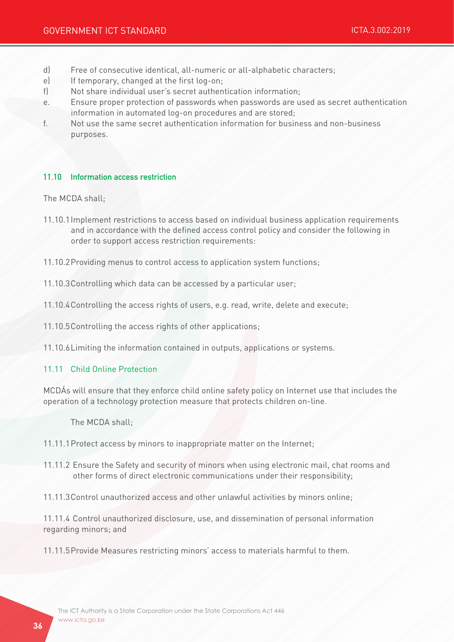- d) Free of consecutive identical, all-numeric or all-alphabetic characters;
- e) If temporary, changed at the first log-on;
- f) Not share individual user's secret authentication information;
- e. Ensure proper protection of passwords when passwords are used as secret authentication information in automated log-on procedures and are stored;
- f. Not use the same secret authentication information for business and non-business purposes.

#### 11.10 Information access restriction

The MCDA shall;

- 11.10.1Implement restrictions to access based on individual business application requirements and in accordance with the defined access control policy and consider the following in order to support access restriction requirements:
- 11.10.2Providing menus to control access to application system functions;
- 11.10.3Controlling which data can be accessed by a particular user;
- 11.10.4Controlling the access rights of users, e.g. read, write, delete and execute;
- 11.10.5Controlling the access rights of other applications;

11.10.6Limiting the information contained in outputs, applications or systems.

#### 11.11 Child Online Protection

MCDÁs will ensure that they enforce child online safety policy on Internet use that includes the operation of a technology protection measure that protects children on-line.

The MCDA shall;

- 11.11.1Protect access by minors to inappropriate matter on the Internet;
- 11.11.2 Ensure the Safety and security of minors when using electronic mail, chat rooms and other forms of direct electronic communications under their responsibility;
- 11.11.3Control unauthorized access and other unlawful activities by minors online;

11.11.4 Control unauthorized disclosure, use, and dissemination of personal information regarding minors; and

11.11.5Provide Measures restricting minors' access to materials harmful to them.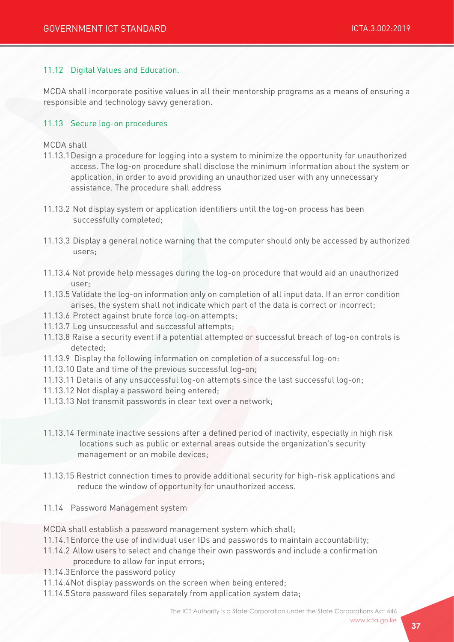## 11.12 Digital Values and Education.

MCDA shall incorporate positive values in all their mentorship programs as a means of ensuring a responsible and technology savvy generation.

### 11.13 Secure log-on procedures

#### MCDA shall

- 11.13.1Design a procedure for logging into a system to minimize the opportunity for unauthorized access. The log-on procedure shall disclose the minimum information about the system or application, in order to avoid providing an unauthorized user with any unnecessary assistance. The procedure shall address
- 11.13.2 Not display system or application identifiers until the log-on process has been successfully completed;
- 11.13.3 Display a general notice warning that the computer should only be accessed by authorized users;
- 11.13.4 Not provide help messages during the log-on procedure that would aid an unauthorized user;
- 11.13.5 Validate the log-on information only on completion of all input data. If an error condition arises, the system shall not indicate which part of the data is correct or incorrect;
- 11.13.6 Protect against brute force log-on attempts;
- 11.13.7 Log unsuccessful and successful attempts;
- 11.13.8 Raise a security event if a potential attempted or successful breach of log-on controls is detected;
- 11.13.9 Display the following information on completion of a successful log-on:
- 11.13.10 Date and time of the previous successful log-on;
- 11.13.11 Details of any unsuccessful log-on attempts since the last successful log-on;
- 11.13.12 Not display a password being entered;
- 11.13.13 Not transmit passwords in clear text over a network;
- 11.13.14 Terminate inactive sessions after a defined period of inactivity, especially in high risk locations such as public or external areas outside the organization's security management or on mobile devices;
- 11.13.15 Restrict connection times to provide additional security for high-risk applications and reduce the window of opportunity for unauthorized access.
- 11.14 Password Management system

MCDA shall establish a password management system which shall;

- 11.14.1Enforce the use of individual user IDs and passwords to maintain accountability;
- 11.14.2 Allow users to select and change their own passwords and include a confirmation procedure to allow for input errors;
- 11.14.3Enforce the password policy
- 11.14.4Not display passwords on the screen when being entered;
- 11.14.5Store password files separately from application system data;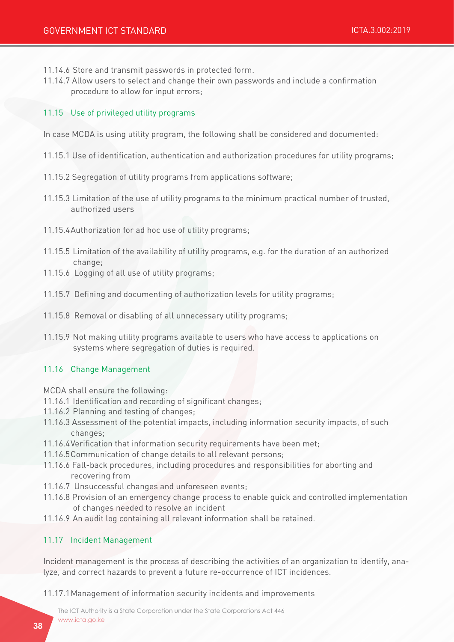- 11.14.6 Store and transmit passwords in protected form.
- 11.14.7 Allow users to select and change their own passwords and include a confirmation procedure to allow for input errors;

#### 11.15 Use of privileged utility programs

In case MCDA is using utility program, the following shall be considered and documented:

- 11.15.1 Use of identification, authentication and authorization procedures for utility programs;
- 11.15.2 Segregation of utility programs from applications software;
- 11.15.3 Limitation of the use of utility programs to the minimum practical number of trusted, authorized users
- 11.15.4Authorization for ad hoc use of utility programs;
- 11.15.5 Limitation of the availability of utility programs, e.g. for the duration of an authorized change;
- 11.15.6 Logging of all use of utility programs;
- 11.15.7 Defining and documenting of authorization levels for utility programs;
- 11.15.8 Removal or disabling of all unnecessary utility programs;
- 11.15.9 Not making utility programs available to users who have access to applications on systems where segregation of duties is required.

#### 11.16 Change Management

MCDA shall ensure the following:

- 11.16.1 Identification and recording of significant changes;
- 11.16.2 Planning and testing of changes;
- 11.16.3 Assessment of the potential impacts, including information security impacts, of such changes;
- 11.16.4Verification that information security requirements have been met;
- 11.16.5Communication of change details to all relevant persons;
- 11.16.6 Fall-back procedures, including procedures and responsibilities for aborting and recovering from
- 11.16.7 Unsuccessful changes and unforeseen events;
- 11.16.8 Provision of an emergency change process to enable quick and controlled implementation of changes needed to resolve an incident
- 11.16.9 An audit log containing all relevant information shall be retained.

# 11.17 Incident Management

Incident management is the process of describing the activities of an organization to identify, analyze, and correct hazards to prevent a future re-occurrence of ICT incidences.

11.17.1Management of information security incidents and improvements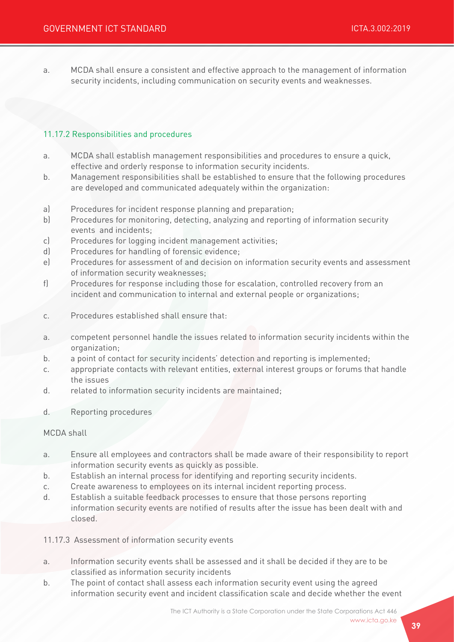a. MCDA shall ensure a consistent and effective approach to the management of information security incidents, including communication on security events and weaknesses.

### 11.17.2 Responsibilities and procedures

- a. MCDA shall establish management responsibilities and procedures to ensure a quick, effective and orderly response to information security incidents.
- b. Management responsibilities shall be established to ensure that the following procedures are developed and communicated adequately within the organization:
- a) Procedures for incident response planning and preparation;
- b) Procedures for monitoring, detecting, analyzing and reporting of information security events and incidents;
- c) Procedures for logging incident management activities;
- d) Procedures for handling of forensic evidence;
- e) Procedures for assessment of and decision on information security events and assessment of information security weaknesses;
- f) Procedures for response including those for escalation, controlled recovery from an incident and communication to internal and external people or organizations;
- c. Procedures established shall ensure that:
- a. competent personnel handle the issues related to information security incidents within the organization;
- b. a point of contact for security incidents' detection and reporting is implemented;
- c. appropriate contacts with relevant entities, external interest groups or forums that handle the issues
- d. related to information security incidents are maintained;
- d. Reporting procedures

#### MCDA shall

- a. Ensure all employees and contractors shall be made aware of their responsibility to report information security events as quickly as possible.
- b. Establish an internal process for identifying and reporting security incidents.
- c. Create awareness to employees on its internal incident reporting process.
- d. Establish a suitable feedback processes to ensure that those persons reporting information security events are notified of results after the issue has been dealt with and closed.
- 11.17.3 Assessment of information security events
- a. Information security events shall be assessed and it shall be decided if they are to be classified as information security incidents
- b. The point of contact shall assess each information security event using the agreed information security event and incident classification scale and decide whether the event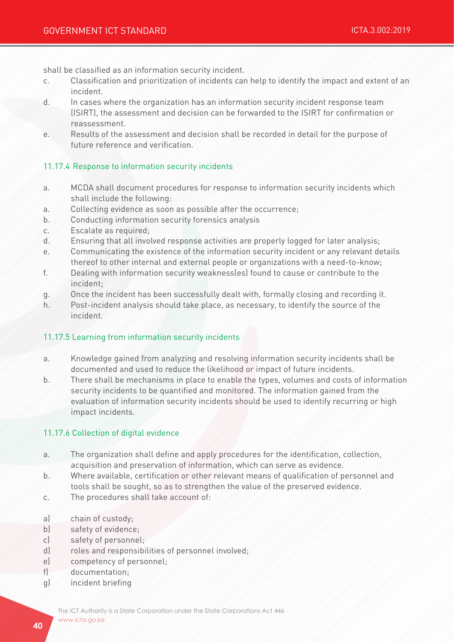shall be classified as an information security incident.

- c. Classification and prioritization of incidents can help to identify the impact and extent of an incident.
- d. In cases where the organization has an information security incident response team (ISIRT), the assessment and decision can be forwarded to the ISIRT for confirmation or reassessment.
- e. Results of the assessment and decision shall be recorded in detail for the purpose of future reference and verification.

### 11.17.4 Response to information security incidents

- a. MCDA shall document procedures for response to information security incidents which shall include the following:
- a. Collecting evidence as soon as possible after the occurrence;
- b. Conducting information security forensics analysis
- c. Escalate as required;
- d. Ensuring that all involved response activities are properly logged for later analysis;
- e. Communicating the existence of the information security incident or any relevant details thereof to other internal and external people or organizations with a need-to-know;
- f. Dealing with information security weakness(es) found to cause or contribute to the incident;
- g. Once the incident has been successfully dealt with, formally closing and recording it.
- h. Post-incident analysis should take place, as necessary, to identify the source of the incident.

### 11.17.5 Learning from information security incidents

- a. Knowledge gained from analyzing and resolving information security incidents shall be documented and used to reduce the likelihood or impact of future incidents.
- b. There shall be mechanisms in place to enable the types, volumes and costs of information security incidents to be quantified and monitored. The information gained from the evaluation of information security incidents should be used to identify recurring or high impact incidents.

### 11.17.6 Collection of digital evidence

- a. The organization shall define and apply procedures for the identification, collection, acquisition and preservation of information, which can serve as evidence.
- b. Where available, certification or other relevant means of qualification of personnel and tools shall be sought, so as to strengthen the value of the preserved evidence.
- c. The procedures shall take account of:
- a) chain of custody;
- b) safety of evidence;
- c) safety of personnel;
- d) roles and responsibilities of personnel involved;
- e) competency of personnel;
- f) documentation;
- g) incident briefing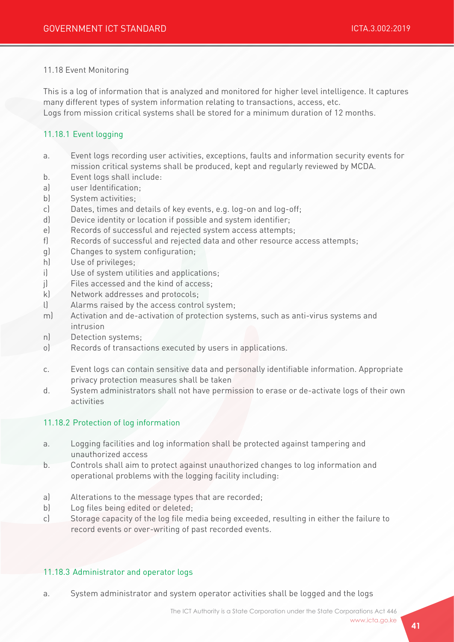#### 11.18 Event Monitoring

This is a log of information that is analyzed and monitored for higher level intelligence. It captures many different types of system information relating to transactions, access, etc. Logs from mission critical systems shall be stored for a minimum duration of 12 months.

## 11.18.1 Event logging

- a. Event logs recording user activities, exceptions, faults and information security events for mission critical systems shall be produced, kept and regularly reviewed by MCDA.
- b. Event logs shall include:
- a) user Identification;
- b) System activities;
- c) Dates, times and details of key events, e.g. log-on and log-off;
- d) Device identity or location if possible and system identifier;
- e) Records of successful and rejected system access attempts;
- f) Records of successful and rejected data and other resource access attempts;
- g) Changes to system configuration;
- h) Use of privileges;
- i) Use of system utilities and applications;
- j) Files accessed and the kind of access;
- k) Network addresses and protocols;
- l) Alarms raised by the access control system;
- m) Activation and de-activation of protection systems, such as anti-virus systems and intrusion
- n) Detection systems;
- o) Records of transactions executed by users in applications.
- c. Event logs can contain sensitive data and personally identifiable information. Appropriate privacy protection measures shall be taken
- d. System administrators shall not have permission to erase or de-activate logs of their own activities

### 11.18.2 Protection of log information

- a. Logging facilities and log information shall be protected against tampering and unauthorized access
- b. Controls shall aim to protect against unauthorized changes to log information and operational problems with the logging facility including:
- a) Alterations to the message types that are recorded;
- b) Log files being edited or deleted;
- c) Storage capacity of the log file media being exceeded, resulting in either the failure to record events or over-writing of past recorded events.

#### 11.18.3 Administrator and operator logs

a. System administrator and system operator activities shall be logged and the logs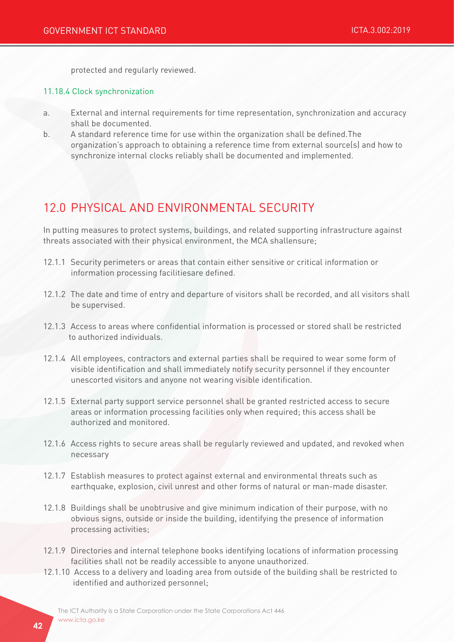protected and regularly reviewed.

#### 11.18.4 Clock synchronization

- a. External and internal requirements for time representation, synchronization and accuracy shall be documented.
- b. A standard reference time for use within the organization shall be defined.The organization's approach to obtaining a reference time from external source(s) and how to synchronize internal clocks reliably shall be documented and implemented.

# 12.0 PHYSICAL AND ENVIRONMENTAL SECURITY

In putting measures to protect systems, buildings, and related supporting infrastructure against threats associated with their physical environment, the MCA shallensure;

- 12.1.1 Security perimeters or areas that contain either sensitive or critical information or information processing facilitiesare defined.
- 12.1.2 The date and time of entry and departure of visitors shall be recorded, and all visitors shall be supervised.
- 12.1.3 Access to areas where confidential information is processed or stored shall be restricted to authorized individuals.
- 12.1.4 All employees, contractors and external parties shall be required to wear some form of visible identification and shall immediately notify security personnel if they encounter unescorted visitors and anyone not wearing visible identification.
- 12.1.5 External party support service personnel shall be granted restricted access to secure areas or information processing facilities only when required; this access shall be authorized and monitored.
- 12.1.6 Access rights to secure areas shall be regularly reviewed and updated, and revoked when necessary
- 12.1.7 Establish measures to protect against external and environmental threats such as earthquake, explosion, civil unrest and other forms of natural or man-made disaster.
- 12.1.8 Buildings shall be unobtrusive and give minimum indication of their purpose, with no obvious signs, outside or inside the building, identifying the presence of information processing activities;
- 12.1.9 Directories and internal telephone books identifying locations of information processing facilities shall not be readily accessible to anyone unauthorized.
- 12.1.10 Access to a delivery and loading area from outside of the building shall be restricted to identified and authorized personnel;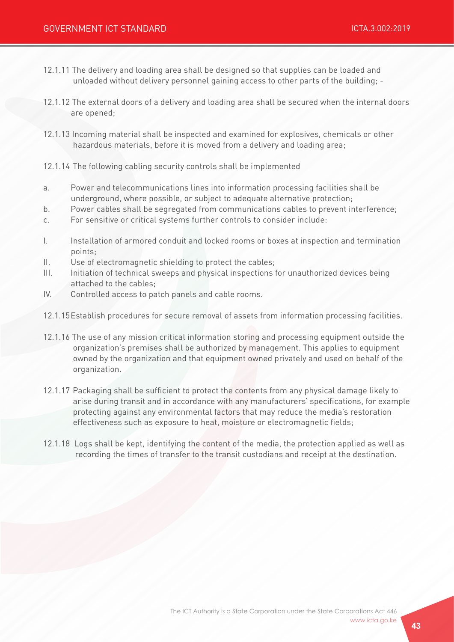- 12.1.11 The delivery and loading area shall be designed so that supplies can be loaded and unloaded without delivery personnel gaining access to other parts of the building; -
- 12.1.12 The external doors of a delivery and loading area shall be secured when the internal doors are opened;
- 12.1.13 Incoming material shall be inspected and examined for explosives, chemicals or other hazardous materials, before it is moved from a delivery and loading area;
- 12.1.14 The following cabling security controls shall be implemented
- a. Power and telecommunications lines into information processing facilities shall be underground, where possible, or subject to adequate alternative protection;
- b. Power cables shall be segregated from communications cables to prevent interference;
- c. For sensitive or critical systems further controls to consider include:
- I. Installation of armored conduit and locked rooms or boxes at inspection and termination points;
- II. Use of electromagnetic shielding to protect the cables;
- III. Initiation of technical sweeps and physical inspections for unauthorized devices being attached to the cables;
- IV. Controlled access to patch panels and cable rooms.
- 12.1.15Establish procedures for secure removal of assets from information processing facilities.
- 12.1.16 The use of any mission critical information storing and processing equipment outside the organization's premises shall be authorized by management. This applies to equipment owned by the organization and that equipment owned privately and used on behalf of the organization.
- 12.1.17 Packaging shall be sufficient to protect the contents from any physical damage likely to arise during transit and in accordance with any manufacturers' specifications, for example protecting against any environmental factors that may reduce the media's restoration effectiveness such as exposure to heat, moisture or electromagnetic fields;
- 12.1.18 Logs shall be kept, identifying the content of the media, the protection applied as well as recording the times of transfer to the transit custodians and receipt at the destination.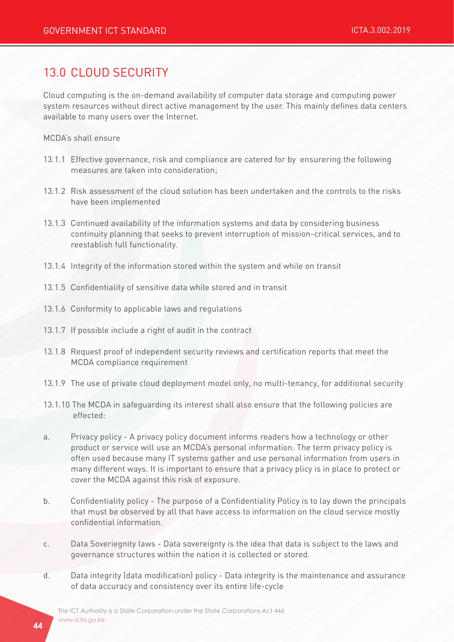# 13.0 CLOUD SECURITY

Cloud computing is the on-demand availability of computer data storage and computing power system resources without direct active management by the user. This mainly defines data centers available to many users over the Internet.

MCDA's shall ensure

- 13.1.1 Effective governance, risk and compliance are catered for by ensurering the following measures are taken into consideration;
- 13.1.2 Risk assessment of the cloud solution has been undertaken and the controls to the risks have been implemented
- 13.1.3 Continued availability of the information systems and data by considering business continuity planning that seeks to prevent interruption of mission-critical services, and to reestablish full functionality.
- 13.1.4 Integrity of the information stored within the system and while on transit
- 13.1.5 Confidentiality of sensitive data while stored and in transit
- 13.1.6 Conformity to applicable laws and regulations
- 13.1.7 If possible include a right of audit in the contract
- 13.1.8 Request proof of independent security reviews and certification reports that meet the MCDA compliance requirement
- 13.1.9 The use of private cloud deployment model only, no multi-tenancy, for additional security
- 13.1.10 The MCDA in safeguarding its interest shall also ensure that the following policies are effected:
- a. Privacy policy A privacy policy document informs readers how a technology or other product or service will use an MCDA's personal information. The term privacy policy is often used because many IT systems gather and use personal information from users in many different ways. It is important to ensure that a privacy plicy is in place to protect or cover the MCDA against this risk of exposure.
- b. Confidentiality policy The purpose of a Confidentiality Policy is to lay down the principals that must be observed by all that have access to information on the cloud service mostly confidential information.
- c. Data Soveriegnity laws Data sovereignty is the idea that data is subject to the laws and governance structures within the nation it is collected or stored.
- d. Data integrity (data modification) policy Data integrity is the maintenance and assurance of data accuracy and consistency over its entire life-cycle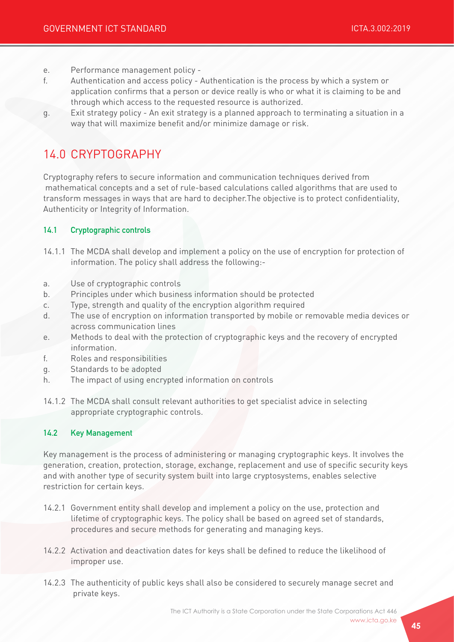- e. Performance management policy -
- f. Authentication and access policy Authentication is the process by which a system or application confirms that a person or device really is who or what it is claiming to be and through which access to the requested resource is authorized.
- g. Exit strategy policy An exit strategy is a planned approach to terminating a situation in a way that will maximize benefit and/or minimize damage or risk.

# 14.0 CRYPTOGRAPHY

Cryptography refers to secure information and communication techniques derived from mathematical concepts and a set of rule-based calculations called algorithms that are used to transform messages in ways that are hard to decipher.The objective is to protect confidentiality, Authenticity or Integrity of Information.

## 14.1 Cryptographic controls

- 14.1.1 The MCDA shall develop and implement a policy on the use of encryption for protection of information. The policy shall address the following:-
- a. Use of cryptographic controls
- b. Principles under which business information should be protected
- c. Type, strength and quality of the encryption algorithm required
- d. The use of encryption on information transported by mobile or removable media devices or across communication lines
- e. Methods to deal with the protection of cryptographic keys and the recovery of encrypted information.
- f. Roles and responsibilities
- g. Standards to be adopted
- h. The impact of using encrypted information on controls
- 14.1.2 The MCDA shall consult relevant authorities to get specialist advice in selecting appropriate cryptographic controls.

### 14.2 Key Management

Key management is the process of administering or managing cryptographic keys. It involves the generation, creation, protection, storage, exchange, replacement and use of specific security keys and with another type of security system built into large cryptosystems, enables selective restriction for certain keys.

- 14.2.1 Government entity shall develop and implement a policy on the use, protection and lifetime of cryptographic keys. The policy shall be based on agreed set of standards, procedures and secure methods for generating and managing keys.
- 14.2.2 Activation and deactivation dates for keys shall be defined to reduce the likelihood of improper use.
- 14.2.3 The authenticity of public keys shall also be considered to securely manage secret and private keys.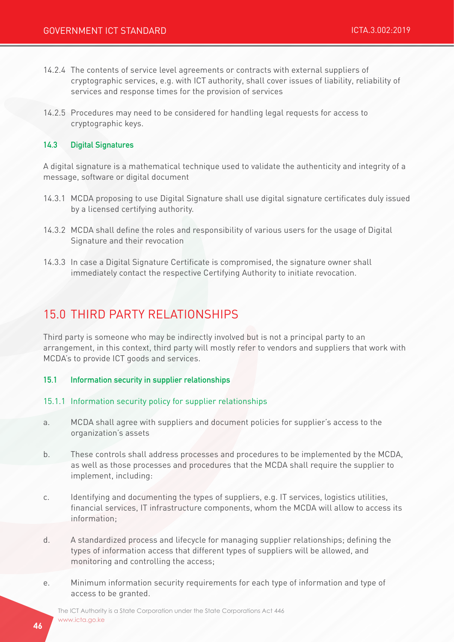- 14.2.4 The contents of service level agreements or contracts with external suppliers of cryptographic services, e.g. with ICT authority, shall cover issues of liability, reliability of services and response times for the provision of services
- 14.2.5 Procedures may need to be considered for handling legal requests for access to cryptographic keys.

#### 14.3 Digital Signatures

A digital signature is a mathematical technique used to validate the authenticity and integrity of a message, software or digital document

- 14.3.1 MCDA proposing to use Digital Signature shall use digital signature certificates duly issued by a licensed certifying authority.
- 14.3.2 MCDA shall define the roles and responsibility of various users for the usage of Digital Signature and their revocation
- 14.3.3 In case a Digital Signature Certificate is compromised, the signature owner shall immediately contact the respective Certifying Authority to initiate revocation.

# 15.0 THIRD PARTY RELATIONSHIPS

Third party is someone who may be indirectly involved but is not a principal party to an arrangement, in this context, third party will mostly refer to vendors and suppliers that work with MCDA's to provide ICT goods and services.

- 15.1 Information security in supplier relationships
- 15.1.1 Information security policy for supplier relationships
- a. MCDA shall agree with suppliers and document policies for supplier's access to the organization's assets
- b. These controls shall address processes and procedures to be implemented by the MCDA, as well as those processes and procedures that the MCDA shall require the supplier to implement, including:
- c. Identifying and documenting the types of suppliers, e.g. IT services, logistics utilities, financial services, IT infrastructure components, whom the MCDA will allow to access its information;
- d. A standardized process and lifecycle for managing supplier relationships; defining the types of information access that different types of suppliers will be allowed, and monitoring and controlling the access;
- e. Minimum information security requirements for each type of information and type of access to be granted.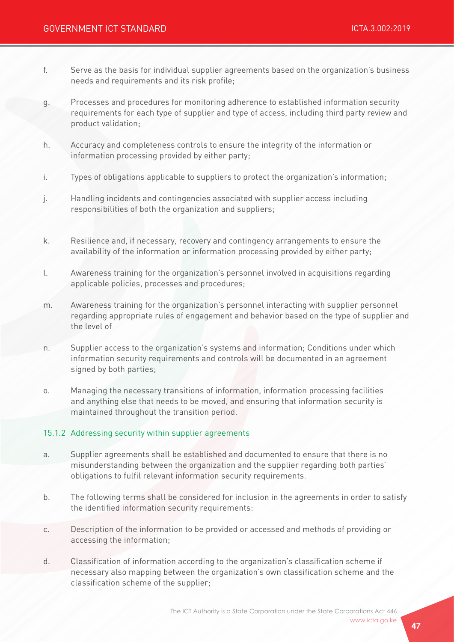- f. Serve as the basis for individual supplier agreements based on the organization's business needs and requirements and its risk profile;
- g. Processes and procedures for monitoring adherence to established information security requirements for each type of supplier and type of access, including third party review and product validation;
- h. Accuracy and completeness controls to ensure the integrity of the information or information processing provided by either party;
- i. Types of obligations applicable to suppliers to protect the organization's information;
- j. Handling incidents and contingencies associated with supplier access including responsibilities of both the organization and suppliers;
- k. Resilience and, if necessary, recovery and contingency arrangements to ensure the availability of the information or information processing provided by either party;
- l. Awareness training for the organization's personnel involved in acquisitions regarding applicable policies, processes and procedures;
- m. Awareness training for the organization's personnel interacting with supplier personnel regarding appropriate rules of engagement and behavior based on the type of supplier and the level of
- n. Supplier access to the organization's systems and information; Conditions under which information security requirements and controls will be documented in an agreement signed by both parties;
- o. Managing the necessary transitions of information, information processing facilities and anything else that needs to be moved, and ensuring that information security is maintained throughout the transition period.

### 15.1.2 Addressing security within supplier agreements

- a. Supplier agreements shall be established and documented to ensure that there is no misunderstanding between the organization and the supplier regarding both parties' obligations to fulfil relevant information security requirements.
- b. The following terms shall be considered for inclusion in the agreements in order to satisfy the identified information security requirements:
- c. Description of the information to be provided or accessed and methods of providing or accessing the information;
- d. Classification of information according to the organization's classification scheme if necessary also mapping between the organization's own classification scheme and the classification scheme of the supplier;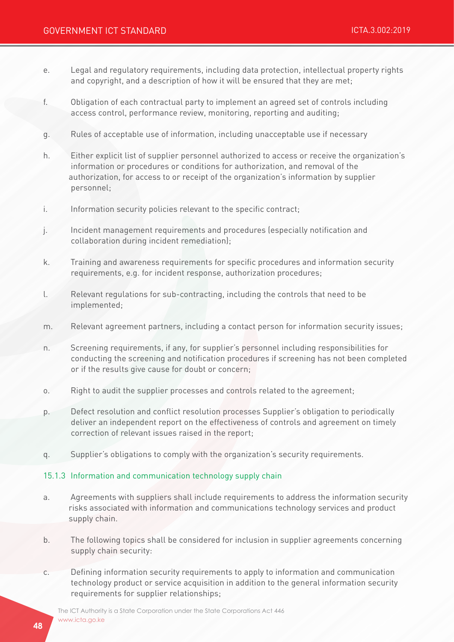- e. Legal and regulatory requirements, including data protection, intellectual property rights and copyright, and a description of how it will be ensured that they are met;
- f. Obligation of each contractual party to implement an agreed set of controls including access control, performance review, monitoring, reporting and auditing;
- g. Rules of acceptable use of information, including unacceptable use if necessary
- h. Either explicit list of supplier personnel authorized to access or receive the organization's information or procedures or conditions for authorization, and removal of the authorization, for access to or receipt of the organization's information by supplier personnel;
- i. Information security policies relevant to the specific contract;
- j. Incident management requirements and procedures (especially notification and collaboration during incident remediation);
- k. Training and awareness requirements for specific procedures and information security requirements, e.g. for incident response, authorization procedures;
- l. Relevant regulations for sub-contracting, including the controls that need to be implemented;
- m. Relevant agreement partners, including a contact person for information security issues;
- n. Screening requirements, if any, for supplier's personnel including responsibilities for conducting the screening and notification procedures if screening has not been completed or if the results give cause for doubt or concern;
- o. Right to audit the supplier processes and controls related to the agreement;
- p. Defect resolution and conflict resolution processes Supplier's obligation to periodically deliver an independent report on the effectiveness of controls and agreement on timely correction of relevant issues raised in the report;
- q. Supplier's obligations to comply with the organization's security requirements.

### 15.1.3 Information and communication technology supply chain

- a. Agreements with suppliers shall include requirements to address the information security risks associated with information and communications technology services and product supply chain.
- b. The following topics shall be considered for inclusion in supplier agreements concerning supply chain security:
- c. Defining information security requirements to apply to information and communication technology product or service acquisition in addition to the general information security requirements for supplier relationships;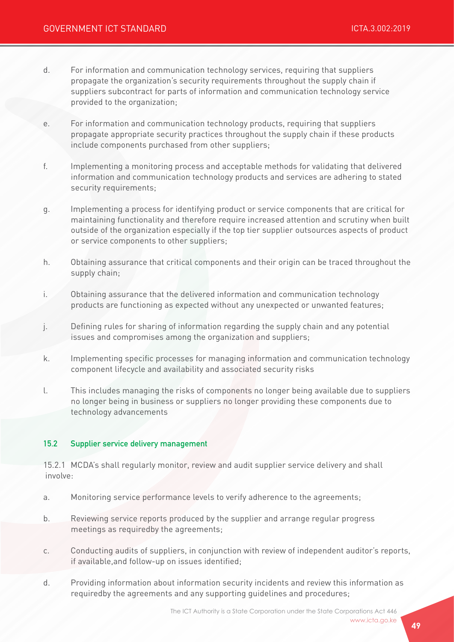- d. For information and communication technology services, requiring that suppliers propagate the organization's security requirements throughout the supply chain if suppliers subcontract for parts of information and communication technology service provided to the organization;
- e. For information and communication technology products, requiring that suppliers propagate appropriate security practices throughout the supply chain if these products include components purchased from other suppliers;
- f. Implementing a monitoring process and acceptable methods for validating that delivered information and communication technology products and services are adhering to stated security requirements;
- g. Implementing a process for identifying product or service components that are critical for maintaining functionality and therefore require increased attention and scrutiny when built outside of the organization especially if the top tier supplier outsources aspects of product or service components to other suppliers;
- h. Obtaining assurance that critical components and their origin can be traced throughout the supply chain;
- i. Obtaining assurance that the delivered information and communication technology products are functioning as expected without any unexpected or unwanted features;
- j. Defining rules for sharing of information regarding the supply chain and any potential issues and compromises among the organization and suppliers;
- k. Implementing specific processes for managing information and communication technology component lifecycle and availability and associated security risks
- l. This includes managing the risks of components no longer being available due to suppliers no longer being in business or suppliers no longer providing these components due to technology advancements

### 15.2 Supplier service delivery management

15.2.1 MCDA's shall regularly monitor, review and audit supplier service delivery and shall involve:

- a. Monitoring service performance levels to verify adherence to the agreements;
- b. Reviewing service reports produced by the supplier and arrange regular progress meetings as requiredby the agreements;
- c. Conducting audits of suppliers, in conjunction with review of independent auditor's reports, if available,and follow-up on issues identified;
- d. Providing information about information security incidents and review this information as requiredby the agreements and any supporting guidelines and procedures;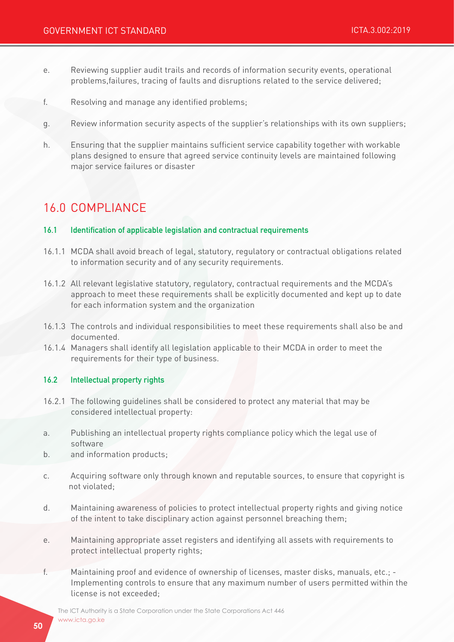- e. Reviewing supplier audit trails and records of information security events, operational problems,failures, tracing of faults and disruptions related to the service delivered;
- f. Resolving and manage any identified problems;
- g. Review information security aspects of the supplier's relationships with its own suppliers;
- h. Ensuring that the supplier maintains sufficient service capability together with workable plans designed to ensure that agreed service continuity levels are maintained following major service failures or disaster

# 16.0 COMPLIANCE

#### 16.1 Identification of applicable legislation and contractual requirements

- 16.1.1 MCDA shall avoid breach of legal, statutory, regulatory or contractual obligations related to information security and of any security requirements.
- 16.1.2 All relevant legislative statutory, regulatory, contractual requirements and the MCDA's approach to meet these requirements shall be explicitly documented and kept up to date for each information system and the organization
- 16.1.3 The controls and individual responsibilities to meet these requirements shall also be and documented.
- 16.1.4 Managers shall identify all legislation applicable to their MCDA in order to meet the requirements for their type of business.

#### 16.2 Intellectual property rights

- 16.2.1 The following guidelines shall be considered to protect any material that may be considered intellectual property:
- a. Publishing an intellectual property rights compliance policy which the legal use of software
- b. and information products;
- c. Acquiring software only through known and reputable sources, to ensure that copyright is not violated;
- d. Maintaining awareness of policies to protect intellectual property rights and giving notice of the intent to take disciplinary action against personnel breaching them;
- e. Maintaining appropriate asset registers and identifying all assets with requirements to protect intellectual property rights;
- f. Maintaining proof and evidence of ownership of licenses, master disks, manuals, etc.; Implementing controls to ensure that any maximum number of users permitted within the license is not exceeded;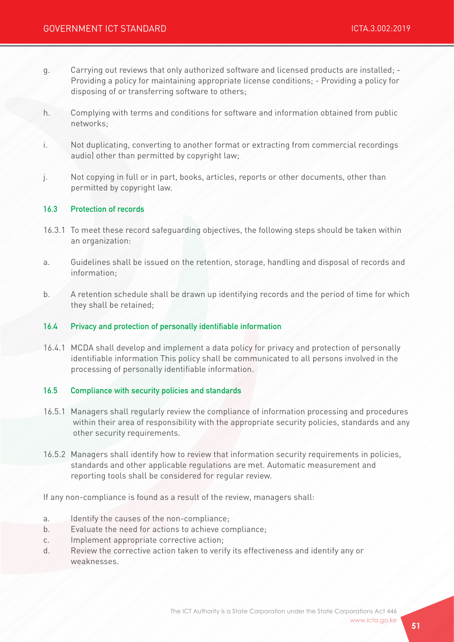- g. Carrying out reviews that only authorized software and licensed products are installed; Providing a policy for maintaining appropriate license conditions; - Providing a policy for disposing of or transferring software to others;
- h. Complying with terms and conditions for software and information obtained from public networks;
- i. Not duplicating, converting to another format or extracting from commercial recordings audio) other than permitted by copyright law;
- j. Not copying in full or in part, books, articles, reports or other documents, other than permitted by copyright law.

#### 16.3 Protection of records

- 16.3.1 To meet these record safeguarding objectives, the following steps should be taken within an organization:
- a. Guidelines shall be issued on the retention, storage, handling and disposal of records and information;
- b. A retention schedule shall be drawn up identifying records and the period of time for which they shall be retained;

#### 16.4 Privacy and protection of personally identifiable information

16.4.1 MCDA shall develop and implement a data policy for privacy and protection of personally identifiable information This policy shall be communicated to all persons involved in the processing of personally identifiable information.

#### 16.5 Compliance with security policies and standards

- 16.5.1 Managers shall regularly review the compliance of information processing and procedures within their area of responsibility with the appropriate security policies, standards and any other security requirements.
- 16.5.2 Managers shall identify how to review that information security requirements in policies, standards and other applicable regulations are met. Automatic measurement and reporting tools shall be considered for regular review.

If any non-compliance is found as a result of the review, managers shall:

- a. Identify the causes of the non-compliance;
- b. Evaluate the need for actions to achieve compliance;
- c. Implement appropriate corrective action;
- d. Review the corrective action taken to verify its effectiveness and identify any or weaknesses.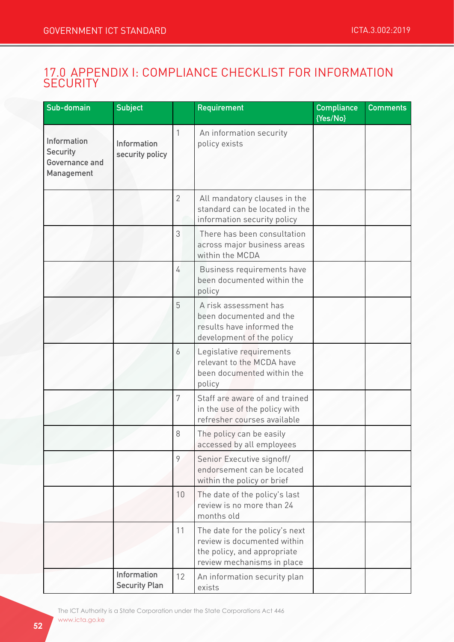# 17.0 APPENDIX I: COMPLIANCE CHECKLIST FOR INFORMATION **SECURITY**

| Sub-domain                                                            | <b>Subject</b>                      |                | <b>Requirement</b>                                                                                                         | <b>Compliance</b><br>{Yes/No} | <b>Comments</b> |
|-----------------------------------------------------------------------|-------------------------------------|----------------|----------------------------------------------------------------------------------------------------------------------------|-------------------------------|-----------------|
| <b>Information</b><br><b>Security</b><br>Governance and<br>Management | Information<br>security policy      | 1              | An information security<br>policy exists                                                                                   |                               |                 |
|                                                                       |                                     | $\overline{2}$ | All mandatory clauses in the<br>standard can be located in the<br>information security policy                              |                               |                 |
|                                                                       |                                     | 3              | There has been consultation<br>across major business areas<br>within the MCDA                                              |                               |                 |
|                                                                       |                                     | 4              | Business requirements have<br>been documented within the<br>policy                                                         |                               |                 |
|                                                                       |                                     | 5              | A risk assessment has<br>been documented and the<br>results have informed the<br>development of the policy                 |                               |                 |
|                                                                       |                                     | 6              | Legislative requirements<br>relevant to the MCDA have<br>been documented within the<br>policy                              |                               |                 |
|                                                                       |                                     | 7              | Staff are aware of and trained<br>in the use of the policy with<br>refresher courses available                             |                               |                 |
|                                                                       |                                     | 8              | The policy can be easily<br>accessed by all employees                                                                      |                               |                 |
|                                                                       |                                     | 9              | Senior Executive signoff/<br>endorsement can be located<br>within the policy or brief                                      |                               |                 |
|                                                                       |                                     | 10             | The date of the policy's last<br>review is no more than 24<br>months old                                                   |                               |                 |
|                                                                       |                                     | 11             | The date for the policy's next<br>review is documented within<br>the policy, and appropriate<br>review mechanisms in place |                               |                 |
|                                                                       | Information<br><b>Security Plan</b> | 12             | An information security plan<br>exists                                                                                     |                               |                 |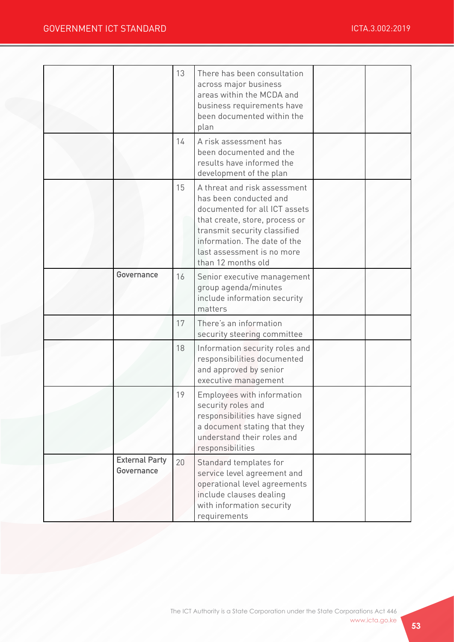|                                     | 13 | There has been consultation<br>across major business<br>areas within the MCDA and<br>business requirements have<br>been documented within the<br>plan                                                                                         |  |
|-------------------------------------|----|-----------------------------------------------------------------------------------------------------------------------------------------------------------------------------------------------------------------------------------------------|--|
|                                     | 14 | A risk assessment has<br>been documented and the<br>results have informed the<br>development of the plan                                                                                                                                      |  |
|                                     | 15 | A threat and risk assessment<br>has been conducted and<br>documented for all ICT assets<br>that create, store, process or<br>transmit security classified<br>information. The date of the<br>last assessment is no more<br>than 12 months old |  |
| Governance                          | 16 | Senior executive management<br>group agenda/minutes<br>include information security<br>matters                                                                                                                                                |  |
|                                     | 17 | There's an information<br>security steering committee                                                                                                                                                                                         |  |
|                                     | 18 | Information security roles and<br>responsibilities documented<br>and approved by senior<br>executive management                                                                                                                               |  |
|                                     | 19 | Employees with information<br>security roles and<br>responsibilities have signed<br>a document stating that they<br>understand their roles and<br>responsibilities                                                                            |  |
| <b>External Party</b><br>Governance | 20 | Standard templates for<br>service level agreement and<br>operational level agreements<br>include clauses dealing<br>with information security<br>requirements                                                                                 |  |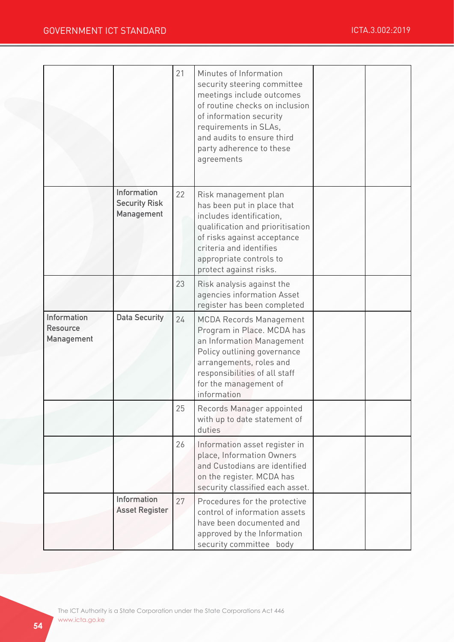|                                                            |                                                   | 21 | Minutes of Information<br>security steering committee<br>meetings include outcomes<br>of routine checks on inclusion<br>of information security<br>requirements in SLAs,<br>and audits to ensure third<br>party adherence to these<br>agreements |  |
|------------------------------------------------------------|---------------------------------------------------|----|--------------------------------------------------------------------------------------------------------------------------------------------------------------------------------------------------------------------------------------------------|--|
|                                                            | Information<br><b>Security Risk</b><br>Management | 22 | Risk management plan<br>has been put in place that<br>includes identification,<br>qualification and prioritisation<br>of risks against acceptance<br>criteria and identifies<br>appropriate controls to<br>protect against risks.                |  |
|                                                            |                                                   | 23 | Risk analysis against the<br>agencies information Asset<br>register has been completed                                                                                                                                                           |  |
| <b>Information</b><br><b>Resource</b><br><b>Management</b> | <b>Data Security</b>                              | 24 | <b>MCDA Records Management</b><br>Program in Place. MCDA has<br>an Information Management<br>Policy outlining governance<br>arrangements, roles and<br>responsibilities of all staff<br>for the management of<br>information                     |  |
|                                                            |                                                   | 25 | Records Manager appointed<br>with up to date statement of<br>duties                                                                                                                                                                              |  |
|                                                            |                                                   | 26 | Information asset register in<br>place, Information Owners<br>and Custodians are identified<br>on the register. MCDA has<br>security classified each asset.                                                                                      |  |
|                                                            | Information<br><b>Asset Register</b>              | 27 | Procedures for the protective<br>control of information assets<br>have been documented and<br>approved by the Information<br>security committee body                                                                                             |  |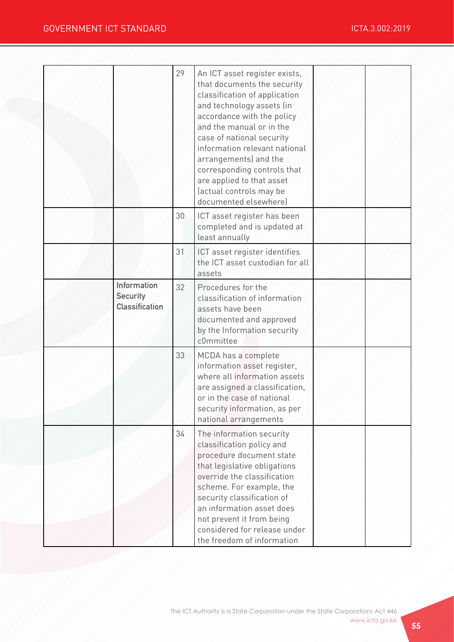|                                                         | 29 | An ICT asset register exists,<br>that documents the security<br>classification of application<br>and technology assets (in<br>accordance with the policy<br>and the manual or in the<br>case of national security<br>information relevant national<br>arrangements) and the<br>corresponding controls that<br>are applied to that asset<br>(actual controls may be<br>documented elsewhere) |  |
|---------------------------------------------------------|----|---------------------------------------------------------------------------------------------------------------------------------------------------------------------------------------------------------------------------------------------------------------------------------------------------------------------------------------------------------------------------------------------|--|
|                                                         | 30 | ICT asset register has been<br>completed and is updated at<br>least annually                                                                                                                                                                                                                                                                                                                |  |
|                                                         | 31 | ICT asset register identifies<br>the ICT asset custodian for all<br>assets                                                                                                                                                                                                                                                                                                                  |  |
| Information<br><b>Security</b><br><b>Classification</b> | 32 | Procedures for the<br>classification of information<br>assets have been<br>documented and approved<br>by the Information security<br>c0mmittee                                                                                                                                                                                                                                              |  |
|                                                         | 33 | MCDA has a complete<br>information asset register,<br>where all information assets<br>are assigned a classification,<br>or in the case of national<br>security information, as per<br>national arrangements                                                                                                                                                                                 |  |
|                                                         | 34 | The information security<br>classification policy and<br>procedure document state<br>that legislative obligations<br>override the classification<br>scheme. For example, the<br>security classification of<br>an information asset does<br>not prevent it from being<br>considered for release under<br>the freedom of information                                                          |  |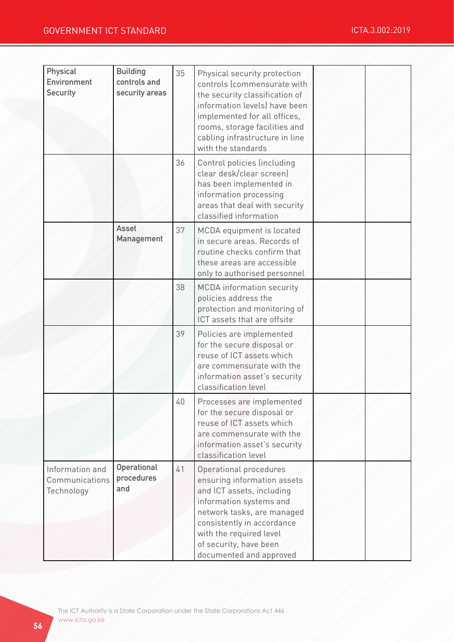| Physical<br>Environment<br><b>Security</b>      | <b>Building</b><br>controls and<br>security areas | 35 | Physical security protection<br>controls (commensurate with<br>the security classification of<br>information levels) have been<br>implemented for all offices,<br>rooms, storage facilities and<br>cabling infrastructure in line<br>with the standards   |  |
|-------------------------------------------------|---------------------------------------------------|----|-----------------------------------------------------------------------------------------------------------------------------------------------------------------------------------------------------------------------------------------------------------|--|
|                                                 |                                                   | 36 | Control policies (including<br>clear desk/clear screen)<br>has been implemented in<br>information processing<br>areas that deal with security<br>classified information                                                                                   |  |
|                                                 | <b>Asset</b><br>Management                        | 37 | MCDA equipment is located<br>in secure areas. Records of<br>routine checks confirm that<br>these areas are accessible<br>only to authorised personnel                                                                                                     |  |
|                                                 |                                                   | 38 | <b>MCDA</b> information security<br>policies address the<br>protection and monitoring of<br>ICT assets that are offsite                                                                                                                                   |  |
|                                                 |                                                   | 39 | Policies are implemented<br>for the secure disposal or<br>reuse of ICT assets which<br>are commensurate with the<br>information asset's security<br>classification level                                                                                  |  |
|                                                 |                                                   | 40 | Processes are implemented<br>for the secure disposal or<br>reuse of ICT assets which<br>are commensurate with the<br>information asset's security<br>classification level                                                                                 |  |
| Information and<br>Communications<br>Technology | Operational<br>procedures<br>and                  | 41 | Operational procedures<br>ensuring information assets<br>and ICT assets, including<br>information systems and<br>network tasks, are managed<br>consistently in accordance<br>with the required level<br>of security, have been<br>documented and approved |  |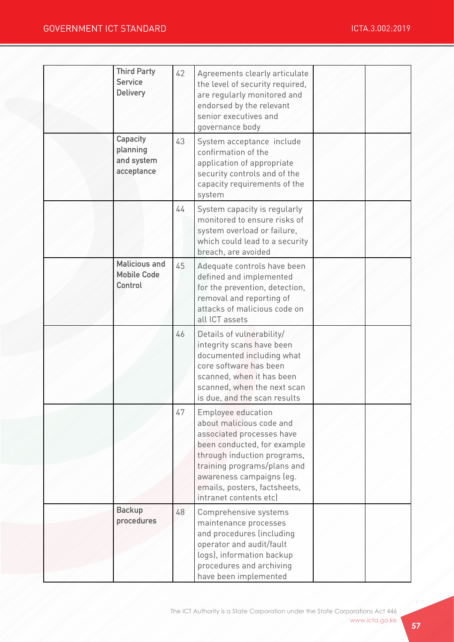| <b>Third Party</b><br><b>Service</b><br><b>Delivery</b> | 42 | Agreements clearly articulate<br>the level of security required,<br>are regularly monitored and<br>endorsed by the relevant<br>senior executives and<br>governance body                                                                                               |  |
|---------------------------------------------------------|----|-----------------------------------------------------------------------------------------------------------------------------------------------------------------------------------------------------------------------------------------------------------------------|--|
| Capacity<br>planning<br>and system<br>acceptance        | 43 | System acceptance include<br>confirmation of the<br>application of appropriate<br>security controls and of the<br>capacity requirements of the<br>system                                                                                                              |  |
|                                                         | 44 | System capacity is regularly<br>monitored to ensure risks of<br>system overload or failure,<br>which could lead to a security<br>breach, are avoided                                                                                                                  |  |
| <b>Malicious and</b><br><b>Mobile Code</b><br>Control   | 45 | Adequate controls have been<br>defined and implemented<br>for the prevention, detection,<br>removal and reporting of<br>attacks of malicious code on<br>all ICT assets                                                                                                |  |
|                                                         | 46 | Details of vulnerability/<br>integrity scans have been<br>documented including what<br>core software has been<br>scanned, when it has been<br>scanned, when the next scan<br>is due, and the scan results                                                             |  |
|                                                         | 47 | <b>Employee education</b><br>about malicious code and<br>associated processes have<br>been conducted, for example<br>through induction programs,<br>training programs/plans and<br>awareness campaigns (eg.<br>emails, posters, factsheets,<br>intranet contents etc) |  |
| <b>Backup</b><br>procedures                             | 48 | Comprehensive systems<br>maintenance processes<br>and procedures (including<br>operator and audit/fault<br>logs), information backup<br>procedures and archiving<br>have been implemented                                                                             |  |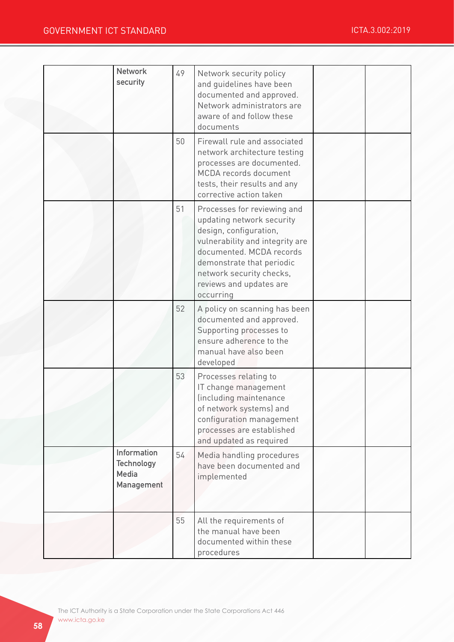| <b>Network</b>                                                 | 49 | Network security policy                                                                                                                                                                                                                            |  |
|----------------------------------------------------------------|----|----------------------------------------------------------------------------------------------------------------------------------------------------------------------------------------------------------------------------------------------------|--|
| security                                                       |    | and guidelines have been<br>documented and approved.                                                                                                                                                                                               |  |
|                                                                |    | Network administrators are                                                                                                                                                                                                                         |  |
|                                                                |    | aware of and follow these<br>documents                                                                                                                                                                                                             |  |
|                                                                | 50 | Firewall rule and associated<br>network architecture testing<br>processes are documented.<br>MCDA records document<br>tests, their results and any<br>corrective action taken                                                                      |  |
|                                                                | 51 | Processes for reviewing and<br>updating network security<br>design, configuration,<br>vulnerability and integrity are<br>documented. MCDA records<br>demonstrate that periodic<br>network security checks,<br>reviews and updates are<br>occurring |  |
|                                                                | 52 | A policy on scanning has been<br>documented and approved.<br>Supporting processes to<br>ensure adherence to the<br>manual have also been<br>developed                                                                                              |  |
|                                                                | 53 | Processes relating to<br>IT change management<br>(including maintenance<br>of network systems) and<br>configuration management<br>processes are established<br>and updated as required                                                             |  |
| Information<br><b>Technology</b><br><b>Media</b><br>Management | 54 | Media handling procedures<br>have been documented and<br>implemented                                                                                                                                                                               |  |
|                                                                | 55 | All the requirements of<br>the manual have been<br>documented within these<br>procedures                                                                                                                                                           |  |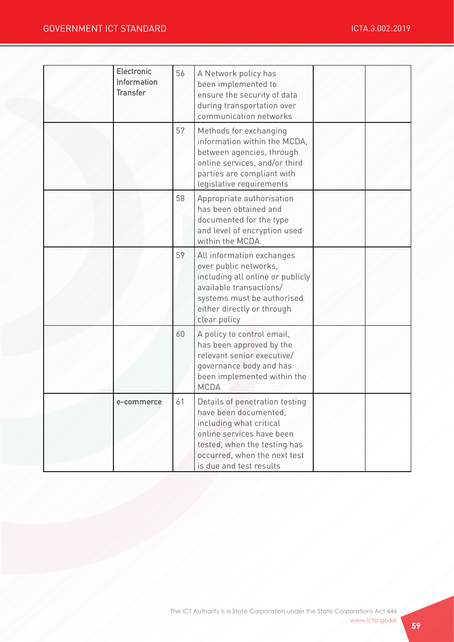| <b>Electronic</b><br>Information<br><b>Transfer</b> | 56 | A Network policy has<br>been implemented to<br>ensure the security of data<br>during transportation over<br>communication networks                                                                         |  |
|-----------------------------------------------------|----|------------------------------------------------------------------------------------------------------------------------------------------------------------------------------------------------------------|--|
|                                                     | 57 | Methods for exchanging<br>information within the MCDA,<br>between agencies, through<br>online services, and/or third<br>parties are compliant with<br>legislative requirements                             |  |
|                                                     | 58 | Appropriate authorisation<br>has been obtained and<br>documented for the type<br>and level of encryption used<br>within the MCDA.                                                                          |  |
|                                                     | 59 | All information exchanges<br>over public networks,<br>including all online or publicly<br>available transactions/<br>systems must be authorised<br>either directly or through<br>clear policy              |  |
|                                                     | 60 | A policy to control email,<br>has been approved by the<br>relevant senior executive/<br>governance body and has<br>been implemented within the<br><b>MCDA</b>                                              |  |
| e-commerce                                          | 61 | Details of penetration testing<br>have been documented,<br>including what critical<br>online services have been<br>tested, when the testing has<br>occurred, when the next test<br>is due and test results |  |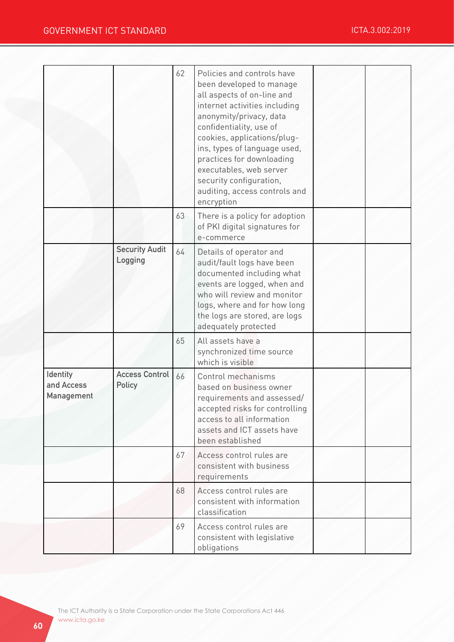|                                             |                                        | 62 | Policies and controls have<br>been developed to manage<br>all aspects of on-line and<br>internet activities including<br>anonymity/privacy, data<br>confidentiality, use of<br>cookies, applications/plug-<br>ins, types of language used,<br>practices for downloading<br>executables, web server<br>security configuration,<br>auditing, access controls and<br>encryption |  |
|---------------------------------------------|----------------------------------------|----|------------------------------------------------------------------------------------------------------------------------------------------------------------------------------------------------------------------------------------------------------------------------------------------------------------------------------------------------------------------------------|--|
|                                             |                                        | 63 | There is a policy for adoption<br>of PKI digital signatures for<br>e-commerce                                                                                                                                                                                                                                                                                                |  |
|                                             | <b>Security Audit</b><br>Logging       | 64 | Details of operator and<br>audit/fault logs have been<br>documented including what<br>events are logged, when and<br>who will review and monitor<br>logs, where and for how long<br>the logs are stored, are logs<br>adequately protected                                                                                                                                    |  |
|                                             |                                        | 65 | All assets have a<br>synchronized time source<br>which is visible                                                                                                                                                                                                                                                                                                            |  |
| Identity<br>and Access<br><b>Management</b> | <b>Access Control</b><br><b>Policy</b> | 66 | Control mechanisms<br>based on business owner<br>requirements and assessed/<br>accepted risks for controlling<br>access to all information<br>assets and ICT assets have<br>been established                                                                                                                                                                                 |  |
|                                             |                                        | 67 | Access control rules are<br>consistent with business<br>requirements                                                                                                                                                                                                                                                                                                         |  |
|                                             |                                        | 68 | Access control rules are<br>consistent with information<br>classification                                                                                                                                                                                                                                                                                                    |  |
|                                             |                                        | 69 | Access control rules are<br>consistent with legislative<br>obligations                                                                                                                                                                                                                                                                                                       |  |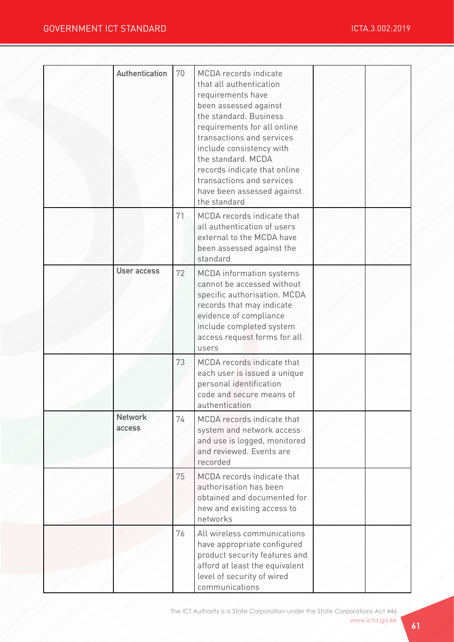| Authentication           | 70 | <b>MCDA</b> records indicate<br>that all authentication<br>requirements have<br>been assessed against<br>the standard. Business<br>requirements for all online<br>transactions and services<br>include consistency with<br>the standard. MCDA<br>records indicate that online<br>transactions and services<br>have been assessed against<br>the standard |  |
|--------------------------|----|----------------------------------------------------------------------------------------------------------------------------------------------------------------------------------------------------------------------------------------------------------------------------------------------------------------------------------------------------------|--|
|                          | 71 | MCDA records indicate that<br>all authentication of users<br>external to the MCDA have<br>been assessed against the<br>standard                                                                                                                                                                                                                          |  |
| <b>User access</b>       | 72 | <b>MCDA</b> information systems<br>cannot be accessed without<br>specific authorisation. MCDA<br>records that may indicate<br>evidence of compliance<br>include completed system<br>access request forms for all<br>users                                                                                                                                |  |
|                          | 73 | MCDA records indicate that<br>each user is issued a unique<br>personal identification<br>code and secure means of<br>authentication                                                                                                                                                                                                                      |  |
| <b>Network</b><br>access | 74 | MCDA records indicate that<br>system and network access<br>and use is logged, monitored<br>and reviewed. Events are<br>recorded                                                                                                                                                                                                                          |  |
|                          | 75 | MCDA records indicate that<br>authorisation has been<br>obtained and documented for<br>new and existing access to<br>networks                                                                                                                                                                                                                            |  |
|                          | 76 | All wireless communications<br>have appropriate configured<br>product security features and<br>afford at least the equivalent<br>level of security of wired<br>communications                                                                                                                                                                            |  |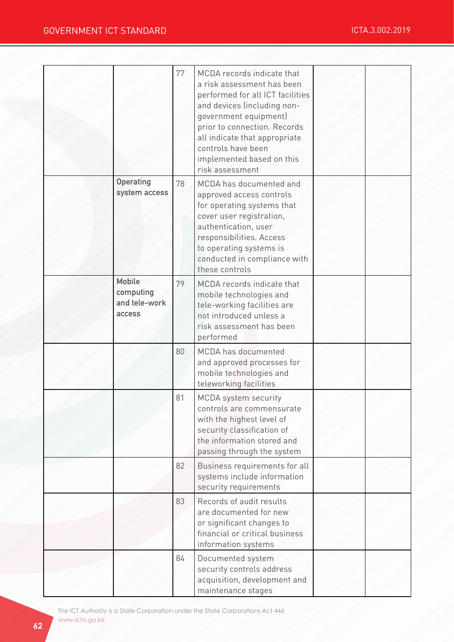|                                                              | 77 | MCDA records indicate that<br>a risk assessment has been<br>performed for all ICT facilities<br>and devices (including non-<br>government equipment)<br>prior to connection. Records<br>all indicate that appropriate<br>controls have been<br>implemented based on this<br>risk assessment |  |
|--------------------------------------------------------------|----|---------------------------------------------------------------------------------------------------------------------------------------------------------------------------------------------------------------------------------------------------------------------------------------------|--|
| <b>Operating</b><br>system access                            | 78 | MCDA has documented and<br>approved access controls<br>for operating systems that<br>cover user registration,<br>authentication, user<br>responsibilities. Access<br>to operating systems is<br>conducted in compliance with<br>these controls                                              |  |
| <b>Mobile</b><br>computing<br>and tele-work<br><b>access</b> | 79 | MCDA records indicate that<br>mobile technologies and<br>tele-working facilities are<br>not introduced unless a<br>risk assessment has been<br>performed                                                                                                                                    |  |
|                                                              | 80 | MCDA has documented<br>and approved processes for<br>mobile technologies and<br>teleworking facilities                                                                                                                                                                                      |  |
|                                                              | 81 | <b>MCDA</b> system security<br>controls are commensurate<br>with the highest level of<br>security classification of<br>the information stored and<br>passing through the system                                                                                                             |  |
|                                                              | 82 | Business requirements for all<br>systems include information<br>security requirements                                                                                                                                                                                                       |  |
|                                                              | 83 | Records of audit results<br>are documented for new<br>or significant changes to<br>financial or critical business<br>information systems                                                                                                                                                    |  |
|                                                              | 84 | Documented system<br>security controls address<br>acquisition, development and<br>maintenance stages                                                                                                                                                                                        |  |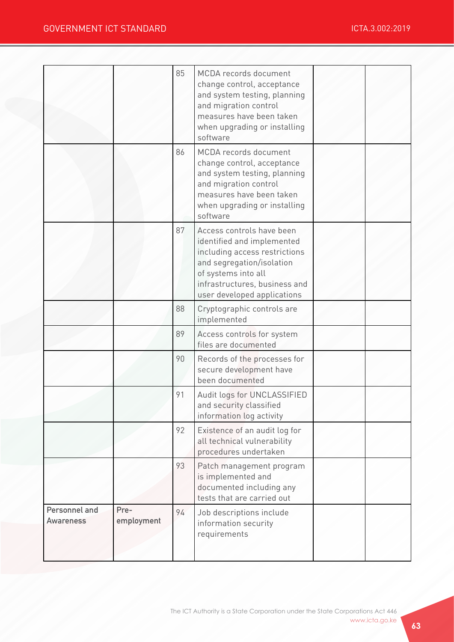|                            |                    | 85<br>86 | MCDA records document<br>change control, acceptance<br>and system testing, planning<br>and migration control<br>measures have been taken<br>when upgrading or installing<br>software<br>MCDA records document |  |
|----------------------------|--------------------|----------|---------------------------------------------------------------------------------------------------------------------------------------------------------------------------------------------------------------|--|
|                            |                    |          | change control, acceptance<br>and system testing, planning<br>and migration control<br>measures have been taken<br>when upgrading or installing<br>software                                                   |  |
|                            |                    | 87       | Access controls have been<br>identified and implemented<br>including access restrictions<br>and segregation/isolation<br>of systems into all<br>infrastructures, business and<br>user developed applications  |  |
|                            |                    | 88       | Cryptographic controls are<br>implemented                                                                                                                                                                     |  |
|                            |                    | 89       | Access controls for system<br>files are documented                                                                                                                                                            |  |
|                            |                    | 90       | Records of the processes for<br>secure development have<br>been documented                                                                                                                                    |  |
|                            |                    | 91       | Audit logs for UNCLASSIFIED<br>and security classified<br>information log activity                                                                                                                            |  |
|                            |                    | 92       | Existence of an audit log for<br>all technical vulnerability<br>procedures undertaken                                                                                                                         |  |
|                            |                    | 93       | Patch management program<br>is implemented and<br>documented including any<br>tests that are carried out                                                                                                      |  |
| Personnel and<br>Awareness | Pre-<br>employment | 94       | Job descriptions include<br>information security<br>requirements                                                                                                                                              |  |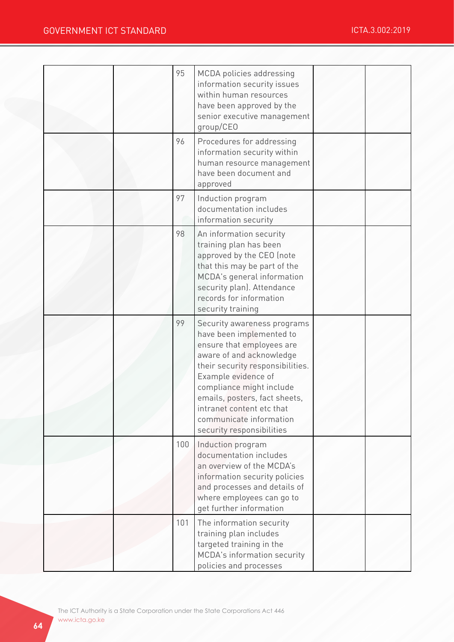|  | 95  | MCDA policies addressing<br>information security issues<br>within human resources<br>have been approved by the<br>senior executive management<br>group/CEO                                                                                                                                                                    |  |
|--|-----|-------------------------------------------------------------------------------------------------------------------------------------------------------------------------------------------------------------------------------------------------------------------------------------------------------------------------------|--|
|  | 96  | Procedures for addressing<br>information security within<br>human resource management<br>have been document and<br>approved                                                                                                                                                                                                   |  |
|  | 97  | Induction program<br>documentation includes<br>information security                                                                                                                                                                                                                                                           |  |
|  | 98  | An information security<br>training plan has been<br>approved by the CEO (note<br>that this may be part of the<br>MCDA's general information<br>security plan). Attendance<br>records for information<br>security training                                                                                                    |  |
|  | 99  | Security awareness programs<br>have been implemented to<br>ensure that employees are<br>aware of and acknowledge<br>their security responsibilities.<br>Example evidence of<br>compliance might include<br>emails, posters, fact sheets,<br>intranet content etc that<br>communicate information<br>security responsibilities |  |
|  | 100 | Induction program<br>documentation includes<br>an overview of the MCDA's<br>information security policies<br>and processes and details of<br>where employees can go to<br>get further information                                                                                                                             |  |
|  | 101 | The information security<br>training plan includes<br>targeted training in the<br>MCDA's information security<br>policies and processes                                                                                                                                                                                       |  |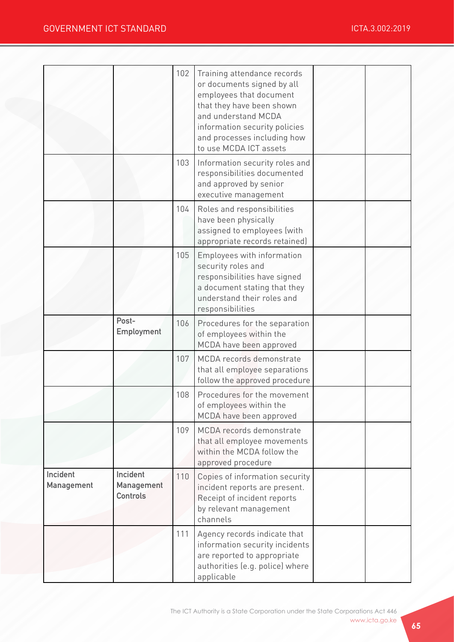|                               |                                           | 102 | Training attendance records<br>or documents signed by all<br>employees that document<br>that they have been shown<br>and understand MCDA<br>information security policies<br>and processes including how<br>to use MCDA ICT assets |  |
|-------------------------------|-------------------------------------------|-----|------------------------------------------------------------------------------------------------------------------------------------------------------------------------------------------------------------------------------------|--|
|                               |                                           | 103 | Information security roles and<br>responsibilities documented<br>and approved by senior<br>executive management                                                                                                                    |  |
|                               |                                           | 104 | Roles and responsibilities<br>have been physically<br>assigned to employees (with<br>appropriate records retained)                                                                                                                 |  |
|                               |                                           | 105 | Employees with information<br>security roles and<br>responsibilities have signed<br>a document stating that they<br>understand their roles and<br>responsibilities                                                                 |  |
|                               | Post-<br>Employment                       | 106 | Procedures for the separation<br>of employees within the<br>MCDA have been approved                                                                                                                                                |  |
|                               |                                           | 107 | MCDA records demonstrate<br>that all employee separations<br>follow the approved procedure                                                                                                                                         |  |
|                               |                                           | 108 | Procedures for the movement<br>of employees within the<br>MCDA have been approved                                                                                                                                                  |  |
|                               |                                           | 109 | MCDA records demonstrate<br>that all employee movements<br>within the MCDA follow the<br>approved procedure                                                                                                                        |  |
| Incident<br><b>Management</b> | Incident<br>Management<br><b>Controls</b> | 110 | Copies of information security<br>incident reports are present.<br>Receipt of incident reports<br>by relevant management<br>channels                                                                                               |  |
|                               |                                           | 111 | Agency records indicate that<br>information security incidents<br>are reported to appropriate<br>authorities (e.g. police) where<br>applicable                                                                                     |  |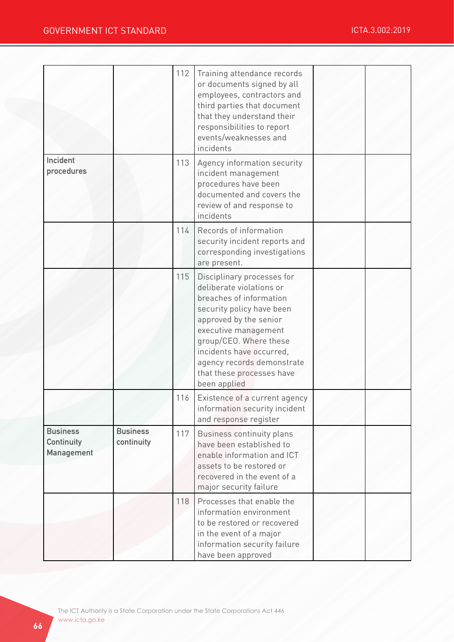|                                             |                               | 112 | Training attendance records<br>or documents signed by all<br>employees, contractors and<br>third parties that document<br>that they understand their<br>responsibilities to report<br>events/weaknesses and<br>incidents                                                                          |  |
|---------------------------------------------|-------------------------------|-----|---------------------------------------------------------------------------------------------------------------------------------------------------------------------------------------------------------------------------------------------------------------------------------------------------|--|
| Incident<br>procedures                      |                               | 113 | Agency information security<br>incident management<br>procedures have been<br>documented and covers the<br>review of and response to<br>incidents                                                                                                                                                 |  |
|                                             |                               | 114 | Records of information<br>security incident reports and<br>corresponding investigations<br>are present.                                                                                                                                                                                           |  |
|                                             |                               | 115 | Disciplinary processes for<br>deliberate violations or<br>breaches of information<br>security policy have been<br>approved by the senior<br>executive management<br>group/CEO. Where these<br>incidents have occurred,<br>agency records demonstrate<br>that these processes have<br>been applied |  |
|                                             |                               | 116 | Existence of a current agency<br>information security incident<br>and response register                                                                                                                                                                                                           |  |
| <b>Business</b><br>Continuity<br>Management | <b>Business</b><br>continuity | 117 | Business continuity plans<br>have been established to<br>enable information and ICT<br>assets to be restored or<br>recovered in the event of a<br>major security failure                                                                                                                          |  |
|                                             |                               | 118 | Processes that enable the<br>information environment<br>to be restored or recovered<br>in the event of a major<br>information security failure<br>have been approved                                                                                                                              |  |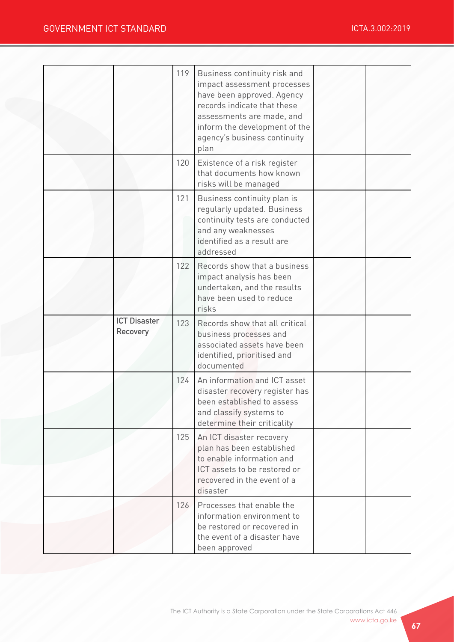|                                 | 119 | Business continuity risk and<br>impact assessment processes<br>have been approved. Agency<br>records indicate that these<br>assessments are made, and<br>inform the development of the<br>agency's business continuity<br>plan |  |
|---------------------------------|-----|--------------------------------------------------------------------------------------------------------------------------------------------------------------------------------------------------------------------------------|--|
|                                 | 120 | Existence of a risk register<br>that documents how known<br>risks will be managed                                                                                                                                              |  |
|                                 | 121 | Business continuity plan is<br>regularly updated. Business<br>continuity tests are conducted<br>and any weaknesses<br>identified as a result are<br>addressed                                                                  |  |
|                                 | 122 | Records show that a business<br>impact analysis has been<br>undertaken, and the results<br>have been used to reduce<br>risks                                                                                                   |  |
| <b>ICT Disaster</b><br>Recovery | 123 | Records show that all critical<br>business processes and<br>associated assets have been<br>identified, prioritised and<br>documented                                                                                           |  |
|                                 | 124 | An information and ICT asset<br>disaster recovery register has<br>been established to assess                                                                                                                                   |  |
|                                 |     | and classify systems to<br>determine their criticality                                                                                                                                                                         |  |
|                                 | 125 | An ICT disaster recovery<br>plan has been established<br>to enable information and<br>ICT assets to be restored or<br>recovered in the event of a<br>disaster                                                                  |  |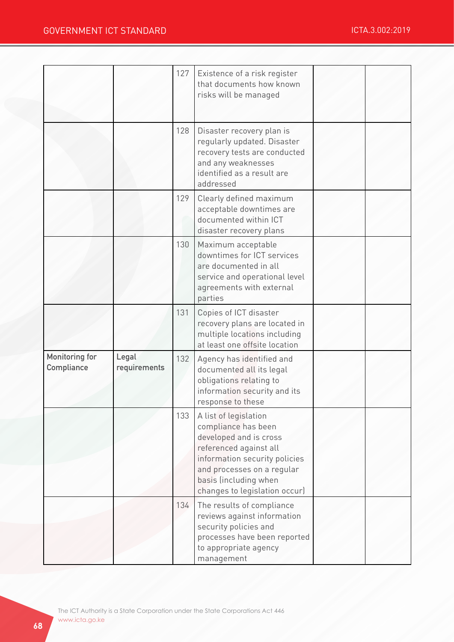|                                     |                       | 127 | Existence of a risk register<br>that documents how known<br>risks will be managed                                                                                                                                         |  |
|-------------------------------------|-----------------------|-----|---------------------------------------------------------------------------------------------------------------------------------------------------------------------------------------------------------------------------|--|
|                                     |                       | 128 | Disaster recovery plan is<br>regularly updated. Disaster<br>recovery tests are conducted<br>and any weaknesses<br>identified as a result are<br>addressed                                                                 |  |
|                                     |                       | 129 | Clearly defined maximum<br>acceptable downtimes are<br>documented within ICT<br>disaster recovery plans                                                                                                                   |  |
|                                     |                       | 130 | Maximum acceptable<br>downtimes for ICT services<br>are documented in all<br>service and operational level<br>agreements with external<br>parties                                                                         |  |
|                                     |                       | 131 | Copies of ICT disaster<br>recovery plans are located in<br>multiple locations including<br>at least one offsite location                                                                                                  |  |
| <b>Monitoring for</b><br>Compliance | Legal<br>requirements | 132 | Agency has identified and<br>documented all its legal<br>obligations relating to<br>information security and its<br>response to these                                                                                     |  |
|                                     |                       | 133 | A list of legislation<br>compliance has been<br>developed and is cross<br>referenced against all<br>information security policies<br>and processes on a regular<br>basis (including when<br>changes to legislation occur) |  |
|                                     |                       | 134 | The results of compliance<br>reviews against information<br>security policies and<br>processes have been reported<br>to appropriate agency<br>management                                                                  |  |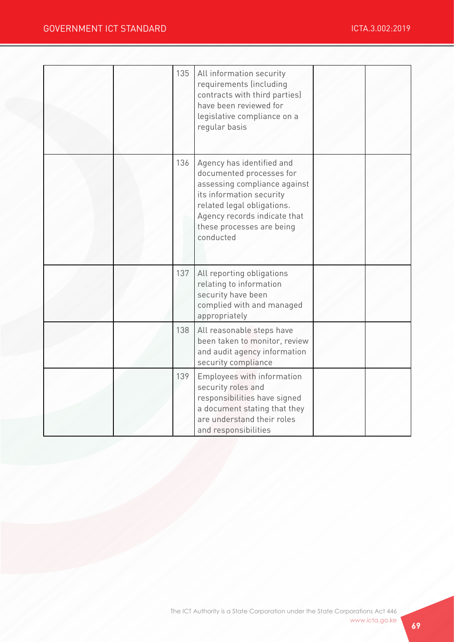|  | 135 | All information security<br>requirements (including<br>contracts with third parties)<br>have been reviewed for<br>legislative compliance on a<br>regular basis                                                            |  |
|--|-----|---------------------------------------------------------------------------------------------------------------------------------------------------------------------------------------------------------------------------|--|
|  | 136 | Agency has identified and<br>documented processes for<br>assessing compliance against<br>its information security<br>related legal obligations.<br>Agency records indicate that<br>these processes are being<br>conducted |  |
|  | 137 | All reporting obligations<br>relating to information<br>security have been<br>complied with and managed<br>appropriately                                                                                                  |  |
|  | 138 | All reasonable steps have<br>been taken to monitor, review<br>and audit agency information<br>security compliance                                                                                                         |  |
|  | 139 | Employees with information<br>security roles and<br>responsibilities have signed<br>a document stating that they<br>are understand their roles<br>and responsibilities                                                    |  |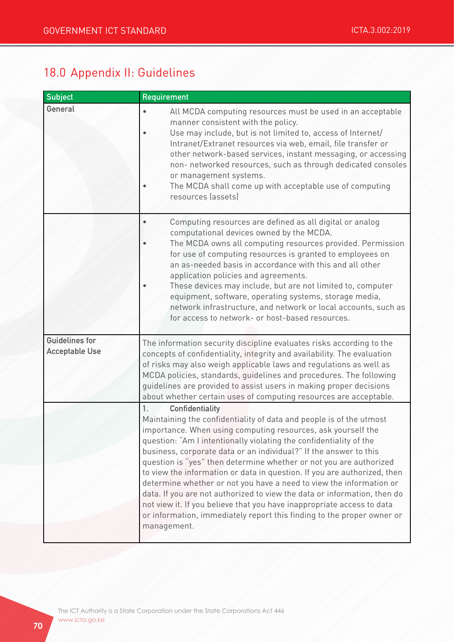# 18.0 Appendix II: Guidelines

| <b>Subject</b>                                 | <b>Requirement</b>                                                                                                                                                                                                                                                                                                                                                                                                                                                                                                                                                                                                                                                                                                                                                              |  |  |  |  |
|------------------------------------------------|---------------------------------------------------------------------------------------------------------------------------------------------------------------------------------------------------------------------------------------------------------------------------------------------------------------------------------------------------------------------------------------------------------------------------------------------------------------------------------------------------------------------------------------------------------------------------------------------------------------------------------------------------------------------------------------------------------------------------------------------------------------------------------|--|--|--|--|
| General                                        | All MCDA computing resources must be used in an acceptable<br>manner consistent with the policy.<br>Use may include, but is not limited to, access of Internet/<br>٠<br>Intranet/Extranet resources via web, email, file transfer or<br>other network-based services, instant messaging, or accessing<br>non- networked resources, such as through dedicated consoles<br>or management systems.<br>The MCDA shall come up with acceptable use of computing<br>resources (assets)                                                                                                                                                                                                                                                                                                |  |  |  |  |
|                                                | Computing resources are defined as all digital or analog<br>computational devices owned by the MCDA.<br>The MCDA owns all computing resources provided. Permission<br>for use of computing resources is granted to employees on<br>an as-needed basis in accordance with this and all other<br>application policies and agreements.<br>These devices may include, but are not limited to, computer<br>equipment, software, operating systems, storage media,<br>network infrastructure, and network or local accounts, such as<br>for access to network- or host-based resources.                                                                                                                                                                                               |  |  |  |  |
| <b>Guidelines for</b><br><b>Acceptable Use</b> | The information security discipline evaluates risks according to the<br>concepts of confidentiality, integrity and availability. The evaluation<br>of risks may also weigh applicable laws and regulations as well as<br>MCDA policies, standards, guidelines and procedures. The following<br>guidelines are provided to assist users in making proper decisions<br>about whether certain uses of computing resources are acceptable.                                                                                                                                                                                                                                                                                                                                          |  |  |  |  |
|                                                | 1.<br>Confidentiality<br>Maintaining the confidentiality of data and people is of the utmost<br>importance. When using computing resources, ask yourself the<br>question: "Am I intentionally violating the confidentiality of the<br>business, corporate data or an individual?" If the answer to this<br>question is "yes" then determine whether or not you are authorized<br>to view the information or data in question. If you are authorized, then<br>determine whether or not you have a need to view the information or<br>data. If you are not authorized to view the data or information, then do<br>not view it. If you believe that you have inappropriate access to data<br>or information, immediately report this finding to the proper owner or<br>management. |  |  |  |  |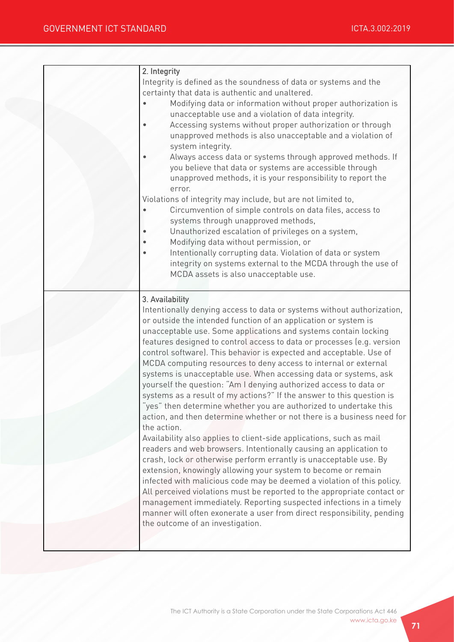| 2. Integrity<br>Integrity is defined as the soundness of data or systems and the<br>certainty that data is authentic and unaltered.<br>Modifying data or information without proper authorization is<br>unacceptable use and a violation of data integrity.<br>Accessing systems without proper authorization or through<br>unapproved methods is also unacceptable and a violation of<br>system integrity.<br>Always access data or systems through approved methods. If<br>you believe that data or systems are accessible through<br>unapproved methods, it is your responsibility to report the<br>error.<br>Violations of integrity may include, but are not limited to,<br>Circumvention of simple controls on data files, access to<br>systems through unapproved methods,<br>Unauthorized escalation of privileges on a system,<br>Modifying data without permission, or<br>Intentionally corrupting data. Violation of data or system<br>integrity on systems external to the MCDA through the use of<br>MCDA assets is also unacceptable use.                                                                                                                                                                                                                                                                                                                                                                                                       |
|---------------------------------------------------------------------------------------------------------------------------------------------------------------------------------------------------------------------------------------------------------------------------------------------------------------------------------------------------------------------------------------------------------------------------------------------------------------------------------------------------------------------------------------------------------------------------------------------------------------------------------------------------------------------------------------------------------------------------------------------------------------------------------------------------------------------------------------------------------------------------------------------------------------------------------------------------------------------------------------------------------------------------------------------------------------------------------------------------------------------------------------------------------------------------------------------------------------------------------------------------------------------------------------------------------------------------------------------------------------------------------------------------------------------------------------------------------------|
| 3. Availability<br>Intentionally denying access to data or systems without authorization,<br>or outside the intended function of an application or system is<br>unacceptable use. Some applications and systems contain locking<br>features designed to control access to data or processes (e.g. version<br>control software). This behavior is expected and acceptable. Use of<br>MCDA computing resources to deny access to internal or external<br>systems is unacceptable use. When accessing data or systems, ask<br>yourself the question: "Am I denying authorized access to data or<br>systems as a result of my actions?" If the answer to this question is<br>yes" then determine whether you are authorized to undertake this<br>action, and then determine whether or not there is a business need for<br>the action.<br>Availability also applies to client-side applications, such as mail<br>readers and web browsers. Intentionally causing an application to<br>crash, lock or otherwise perform errantly is unacceptable use. By<br>extension, knowingly allowing your system to become or remain<br>infected with malicious code may be deemed a violation of this policy.<br>All perceived violations must be reported to the appropriate contact or<br>management immediately. Reporting suspected infections in a timely<br>manner will often exonerate a user from direct responsibility, pending<br>the outcome of an investigation. |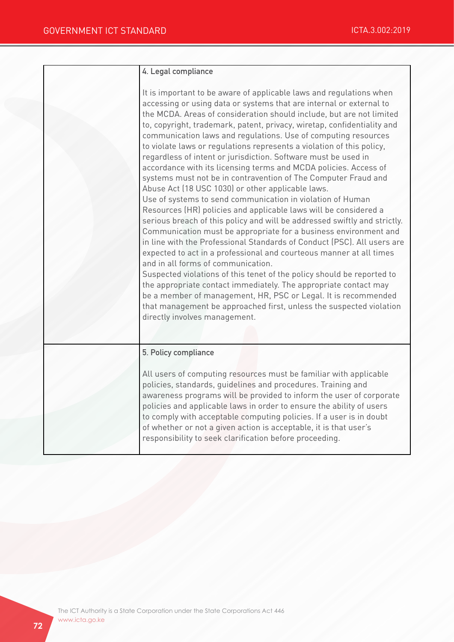| 4. Legal compliance                                                                                                                                                                                                                                                                                                                                                                                                                                                                                                                                                                                                                                                                                                                                                                                                                                                                                                                                                                                                                                                                                                                                                                                                                                                                                                                                                                                                                                                                                      |
|----------------------------------------------------------------------------------------------------------------------------------------------------------------------------------------------------------------------------------------------------------------------------------------------------------------------------------------------------------------------------------------------------------------------------------------------------------------------------------------------------------------------------------------------------------------------------------------------------------------------------------------------------------------------------------------------------------------------------------------------------------------------------------------------------------------------------------------------------------------------------------------------------------------------------------------------------------------------------------------------------------------------------------------------------------------------------------------------------------------------------------------------------------------------------------------------------------------------------------------------------------------------------------------------------------------------------------------------------------------------------------------------------------------------------------------------------------------------------------------------------------|
| It is important to be aware of applicable laws and regulations when<br>accessing or using data or systems that are internal or external to<br>the MCDA. Areas of consideration should include, but are not limited<br>to, copyright, trademark, patent, privacy, wiretap, confidentiality and<br>communication laws and regulations. Use of computing resources<br>to violate laws or regulations represents a violation of this policy,<br>regardless of intent or jurisdiction. Software must be used in<br>accordance with its licensing terms and MCDA policies. Access of<br>systems must not be in contravention of The Computer Fraud and<br>Abuse Act (18 USC 1030) or other applicable laws.<br>Use of systems to send communication in violation of Human<br>Resources (HR) policies and applicable laws will be considered a<br>serious breach of this policy and will be addressed swiftly and strictly.<br>Communication must be appropriate for a business environment and<br>in line with the Professional Standards of Conduct (PSC). All users are<br>expected to act in a professional and courteous manner at all times<br>and in all forms of communication.<br>Suspected violations of this tenet of the policy should be reported to<br>the appropriate contact immediately. The appropriate contact may<br>be a member of management, HR, PSC or Legal. It is recommended<br>that management be approached first, unless the suspected violation<br>directly involves management. |
| 5. Policy compliance<br>All users of computing resources must be familiar with applicable<br>policies, standards, guidelines and procedures. Training and<br>awareness programs will be provided to inform the user of corporate<br>policies and applicable laws in order to ensure the ability of users<br>to comply with acceptable computing policies. If a user is in doubt<br>of whether or not a given action is acceptable, it is that user's<br>responsibility to seek clarification before proceeding.                                                                                                                                                                                                                                                                                                                                                                                                                                                                                                                                                                                                                                                                                                                                                                                                                                                                                                                                                                                          |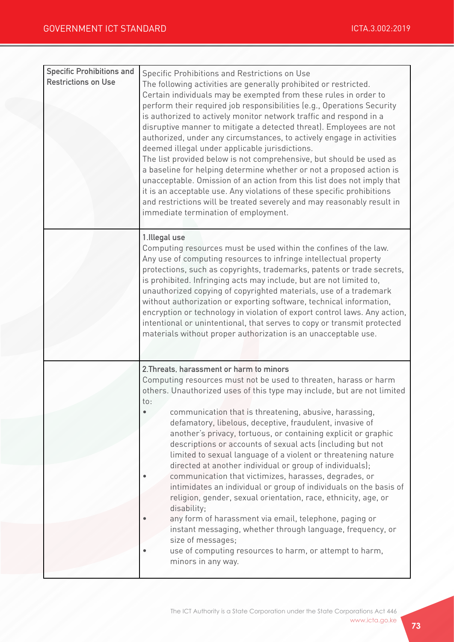| <b>Specific Prohibitions and</b><br><b>Restrictions on Use</b> | Specific Prohibitions and Restrictions on Use<br>The following activities are generally prohibited or restricted.<br>Certain individuals may be exempted from these rules in order to<br>perform their required job responsibilities (e.g., Operations Security<br>is authorized to actively monitor network traffic and respond in a<br>disruptive manner to mitigate a detected threat). Employees are not<br>authorized, under any circumstances, to actively engage in activities<br>deemed illegal under applicable jurisdictions.<br>The list provided below is not comprehensive, but should be used as<br>a baseline for helping determine whether or not a proposed action is<br>unacceptable. Omission of an action from this list does not imply that<br>it is an acceptable use. Any violations of these specific prohibitions<br>and restrictions will be treated severely and may reasonably result in<br>immediate termination of employment.                                                                   |
|----------------------------------------------------------------|--------------------------------------------------------------------------------------------------------------------------------------------------------------------------------------------------------------------------------------------------------------------------------------------------------------------------------------------------------------------------------------------------------------------------------------------------------------------------------------------------------------------------------------------------------------------------------------------------------------------------------------------------------------------------------------------------------------------------------------------------------------------------------------------------------------------------------------------------------------------------------------------------------------------------------------------------------------------------------------------------------------------------------|
|                                                                | 1.Illegal use<br>Computing resources must be used within the confines of the law.<br>Any use of computing resources to infringe intellectual property<br>protections, such as copyrights, trademarks, patents or trade secrets,<br>is prohibited. Infringing acts may include, but are not limited to,<br>unauthorized copying of copyrighted materials, use of a trademark<br>without authorization or exporting software, technical information,<br>encryption or technology in violation of export control laws. Any action,<br>intentional or unintentional, that serves to copy or transmit protected<br>materials without proper authorization is an unacceptable use.                                                                                                                                                                                                                                                                                                                                                   |
|                                                                | 2. Threats, harassment or harm to minors<br>Computing resources must not be used to threaten, harass or harm<br>others. Unauthorized uses of this type may include, but are not limited<br>to:<br>communication that is threatening, abusive, harassing,<br>defamatory, libelous, deceptive, fraudulent, invasive of<br>another's privacy, tortuous, or containing explicit or graphic<br>descriptions or accounts of sexual acts (including but not<br>limited to sexual language of a violent or threatening nature<br>directed at another individual or group of individuals);<br>communication that victimizes, harasses, degrades, or<br>intimidates an individual or group of individuals on the basis of<br>religion, gender, sexual orientation, race, ethnicity, age, or<br>disability;<br>any form of harassment via email, telephone, paging or<br>instant messaging, whether through language, frequency, or<br>size of messages;<br>use of computing resources to harm, or attempt to harm,<br>minors in any way. |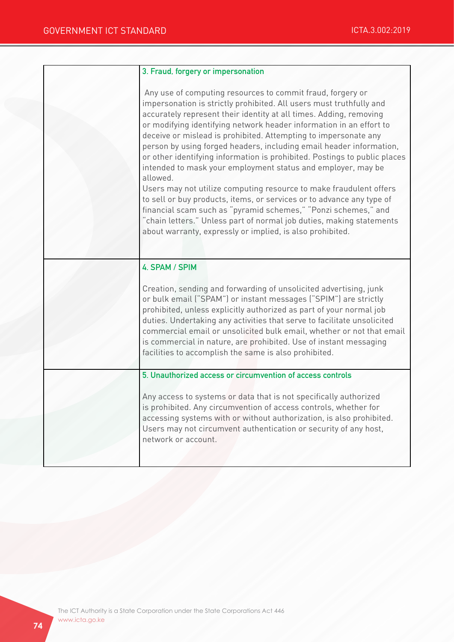| 3. Fraud, forgery or impersonation                                                                                                                                                                                                                                                                                                                                                                                                                                                                                                                                                                                                                                                                                                                                                                                                                                                                                                      |
|-----------------------------------------------------------------------------------------------------------------------------------------------------------------------------------------------------------------------------------------------------------------------------------------------------------------------------------------------------------------------------------------------------------------------------------------------------------------------------------------------------------------------------------------------------------------------------------------------------------------------------------------------------------------------------------------------------------------------------------------------------------------------------------------------------------------------------------------------------------------------------------------------------------------------------------------|
| Any use of computing resources to commit fraud, forgery or<br>impersonation is strictly prohibited. All users must truthfully and<br>accurately represent their identity at all times. Adding, removing<br>or modifying identifying network header information in an effort to<br>deceive or mislead is prohibited. Attempting to impersonate any<br>person by using forged headers, including email header information,<br>or other identifying information is prohibited. Postings to public places<br>intended to mask your employment status and employer, may be<br>allowed.<br>Users may not utilize computing resource to make fraudulent offers<br>to sell or buy products, items, or services or to advance any type of<br>financial scam such as "pyramid schemes," "Ponzi schemes," and<br>"chain letters." Unless part of normal job duties, making statements<br>about warranty, expressly or implied, is also prohibited. |
| 4. SPAM / SPIM<br>Creation, sending and forwarding of unsolicited advertising, junk<br>or bulk email ("SPAM") or instant messages ("SPIM") are strictly<br>prohibited, unless explicitly authorized as part of your normal job<br>duties. Undertaking any activities that serve to facilitate unsolicited<br>commercial email or unsolicited bulk email, whether or not that email<br>is commercial in nature, are prohibited. Use of instant messaging                                                                                                                                                                                                                                                                                                                                                                                                                                                                                 |
| facilities to accomplish the same is also prohibited.<br>5. Unauthorized access or circumvention of access controls                                                                                                                                                                                                                                                                                                                                                                                                                                                                                                                                                                                                                                                                                                                                                                                                                     |
| Any access to systems or data that is not specifically authorized<br>is prohibited. Any circumvention of access controls, whether for<br>accessing systems with or without authorization, is also prohibited.<br>Users may not circumvent authentication or security of any host,<br>network or account.                                                                                                                                                                                                                                                                                                                                                                                                                                                                                                                                                                                                                                |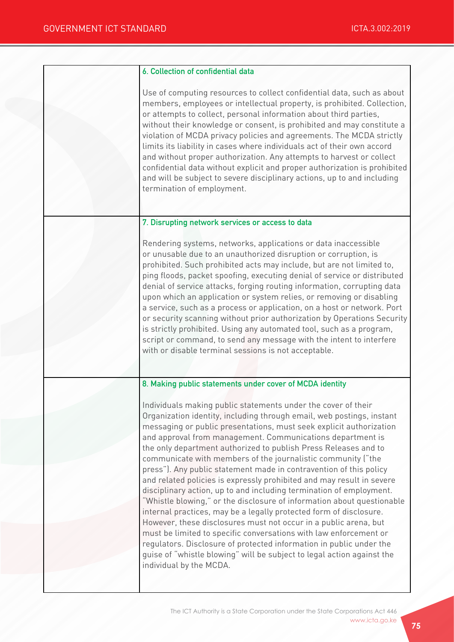| 6. Collection of confidential data                                                                                                                                                                                                                                                                                                                                                                                                                                                                                                                                                                                                                                                                                                                                                                                                                                                                                                                                                                                                                                                                        |
|-----------------------------------------------------------------------------------------------------------------------------------------------------------------------------------------------------------------------------------------------------------------------------------------------------------------------------------------------------------------------------------------------------------------------------------------------------------------------------------------------------------------------------------------------------------------------------------------------------------------------------------------------------------------------------------------------------------------------------------------------------------------------------------------------------------------------------------------------------------------------------------------------------------------------------------------------------------------------------------------------------------------------------------------------------------------------------------------------------------|
| Use of computing resources to collect confidential data, such as about<br>members, employees or intellectual property, is prohibited. Collection,<br>or attempts to collect, personal information about third parties,<br>without their knowledge or consent, is prohibited and may constitute a<br>violation of MCDA privacy policies and agreements. The MCDA strictly<br>limits its liability in cases where individuals act of their own accord<br>and without proper authorization. Any attempts to harvest or collect<br>confidential data without explicit and proper authorization is prohibited<br>and will be subject to severe disciplinary actions, up to and including<br>termination of employment.                                                                                                                                                                                                                                                                                                                                                                                         |
| 7. Disrupting network services or access to data                                                                                                                                                                                                                                                                                                                                                                                                                                                                                                                                                                                                                                                                                                                                                                                                                                                                                                                                                                                                                                                          |
| Rendering systems, networks, applications or data inaccessible<br>or unusable due to an unauthorized disruption or corruption, is<br>prohibited. Such prohibited acts may include, but are not limited to,<br>ping floods, packet spoofing, executing denial of service or distributed<br>denial of service attacks, forging routing information, corrupting data<br>upon which an application or system relies, or removing or disabling<br>a service, such as a process or application, on a host or network. Port<br>or security scanning without prior authorization by Operations Security<br>is strictly prohibited. Using any automated tool, such as a program,<br>script or command, to send any message with the intent to interfere<br>with or disable terminal sessions is not acceptable.                                                                                                                                                                                                                                                                                                    |
| 8. Making public statements under cover of MCDA identity                                                                                                                                                                                                                                                                                                                                                                                                                                                                                                                                                                                                                                                                                                                                                                                                                                                                                                                                                                                                                                                  |
| Individuals making public statements under the cover of their<br>Organization identity, including through email, web postings, instant<br>messaging or public presentations, must seek explicit authorization<br>and approval from management. Communications department is<br>the only department authorized to publish Press Releases and to<br>communicate with members of the journalistic community ("the<br>press"). Any public statement made in contravention of this policy<br>and related policies is expressly prohibited and may result in severe<br>disciplinary action, up to and including termination of employment.<br>"Whistle blowing," or the disclosure of information about questionable<br>internal practices, may be a legally protected form of disclosure.<br>However, these disclosures must not occur in a public arena, but<br>must be limited to specific conversations with law enforcement or<br>regulators. Disclosure of protected information in public under the<br>guise of "whistle blowing" will be subject to legal action against the<br>individual by the MCDA. |
|                                                                                                                                                                                                                                                                                                                                                                                                                                                                                                                                                                                                                                                                                                                                                                                                                                                                                                                                                                                                                                                                                                           |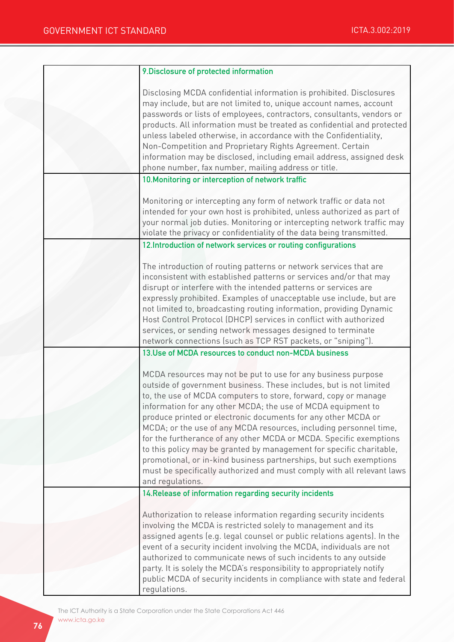| 9. Disclosure of protected information                                                                                                          |
|-------------------------------------------------------------------------------------------------------------------------------------------------|
| Disclosing MCDA confidential information is prohibited. Disclosures                                                                             |
| may include, but are not limited to, unique account names, account                                                                              |
| passwords or lists of employees, contractors, consultants, vendors or                                                                           |
| products. All information must be treated as confidential and protected                                                                         |
| unless labeled otherwise, in accordance with the Confidentiality,                                                                               |
| Non-Competition and Proprietary Rights Agreement. Certain                                                                                       |
| information may be disclosed, including email address, assigned desk                                                                            |
| phone number, fax number, mailing address or title.                                                                                             |
| 10. Monitoring or interception of network traffic                                                                                               |
|                                                                                                                                                 |
| Monitoring or intercepting any form of network traffic or data not                                                                              |
| intended for your own host is prohibited, unless authorized as part of                                                                          |
| your normal job duties. Monitoring or intercepting network traffic may<br>violate the privacy or confidentiality of the data being transmitted. |
|                                                                                                                                                 |
| 12. Introduction of network services or routing configurations                                                                                  |
| The introduction of routing patterns or network services that are                                                                               |
| inconsistent with established patterns or services and/or that may                                                                              |
| disrupt or interfere with the intended patterns or services are                                                                                 |
| expressly prohibited. Examples of unacceptable use include, but are                                                                             |
| not limited to, broadcasting routing information, providing Dynamic                                                                             |
| Host Control Protocol (DHCP) services in conflict with authorized                                                                               |
| services, or sending network messages designed to terminate                                                                                     |
| network connections (such as TCP RST packets, or "sniping").                                                                                    |
| 13. Use of MCDA resources to conduct non-MCDA business                                                                                          |
| MCDA resources may not be put to use for any business purpose                                                                                   |
| outside of government business. These includes, but is not limited                                                                              |
| to, the use of MCDA computers to store, forward, copy or manage                                                                                 |
| information for any other MCDA; the use of MCDA equipment to                                                                                    |
| produce printed or electronic documents for any other MCDA or                                                                                   |
| MCDA; or the use of any MCDA resources, including personnel time,                                                                               |
| for the furtherance of any other MCDA or MCDA. Specific exemptions                                                                              |
| to this policy may be granted by management for specific charitable,                                                                            |
| promotional, or in-kind business partnerships, but such exemptions                                                                              |
| must be specifically authorized and must comply with all relevant laws                                                                          |
| and regulations.                                                                                                                                |
| 14. Release of information regarding security incidents                                                                                         |
| Authorization to release information regarding security incidents                                                                               |
| involving the MCDA is restricted solely to management and its                                                                                   |
| assigned agents (e.g. legal counsel or public relations agents). In the                                                                         |
| event of a security incident involving the MCDA, individuals are not                                                                            |
| authorized to communicate news of such incidents to any outside                                                                                 |
| party. It is solely the MCDA's responsibility to appropriately notify                                                                           |
| public MCDA of security incidents in compliance with state and federal                                                                          |
| regulations.                                                                                                                                    |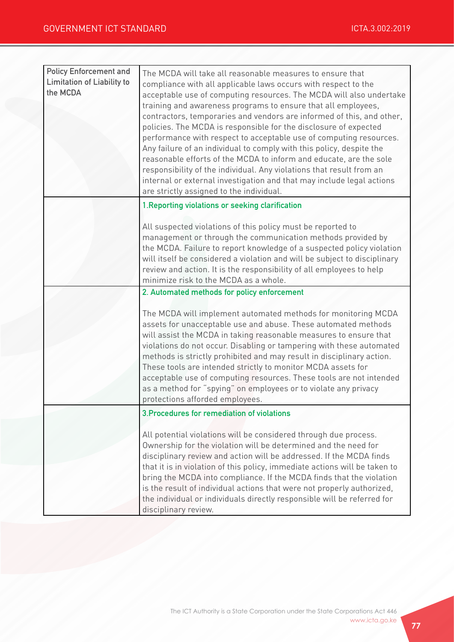| <b>Policy Enforcement and</b><br><b>Limitation of Liability to</b><br>the MCDA | The MCDA will take all reasonable measures to ensure that<br>compliance with all applicable laws occurs with respect to the<br>acceptable use of computing resources. The MCDA will also undertake<br>training and awareness programs to ensure that all employees,<br>contractors, temporaries and vendors are informed of this, and other,<br>policies. The MCDA is responsible for the disclosure of expected<br>performance with respect to acceptable use of computing resources.<br>Any failure of an individual to comply with this policy, despite the<br>reasonable efforts of the MCDA to inform and educate, are the sole<br>responsibility of the individual. Any violations that result from an<br>internal or external investigation and that may include legal actions<br>are strictly assigned to the individual. |
|--------------------------------------------------------------------------------|-----------------------------------------------------------------------------------------------------------------------------------------------------------------------------------------------------------------------------------------------------------------------------------------------------------------------------------------------------------------------------------------------------------------------------------------------------------------------------------------------------------------------------------------------------------------------------------------------------------------------------------------------------------------------------------------------------------------------------------------------------------------------------------------------------------------------------------|
|                                                                                | 1. Reporting violations or seeking clarification                                                                                                                                                                                                                                                                                                                                                                                                                                                                                                                                                                                                                                                                                                                                                                                  |
|                                                                                | All suspected violations of this policy must be reported to<br>management or through the communication methods provided by<br>the MCDA. Failure to report knowledge of a suspected policy violation<br>will itself be considered a violation and will be subject to disciplinary<br>review and action. It is the responsibility of all employees to help<br>minimize risk to the MCDA as a whole.                                                                                                                                                                                                                                                                                                                                                                                                                                 |
|                                                                                | 2. Automated methods for policy enforcement                                                                                                                                                                                                                                                                                                                                                                                                                                                                                                                                                                                                                                                                                                                                                                                       |
|                                                                                | The MCDA will implement automated methods for monitoring MCDA<br>assets for unacceptable use and abuse. These automated methods<br>will assist the MCDA in taking reasonable measures to ensure that<br>violations do not occur. Disabling or tampering with these automated<br>methods is strictly prohibited and may result in disciplinary action.<br>These tools are intended strictly to monitor MCDA assets for<br>acceptable use of computing resources. These tools are not intended<br>as a method for "spying" on employees or to violate any privacy<br>protections afforded employees.                                                                                                                                                                                                                                |
|                                                                                | 3. Procedures for remediation of violations                                                                                                                                                                                                                                                                                                                                                                                                                                                                                                                                                                                                                                                                                                                                                                                       |
|                                                                                | All potential violations will be considered through due process.<br>Ownership for the violation will be determined and the need for<br>disciplinary review and action will be addressed. If the MCDA finds<br>that it is in violation of this policy, immediate actions will be taken to<br>bring the MCDA into compliance. If the MCDA finds that the violation<br>is the result of individual actions that were not properly authorized,<br>the individual or individuals directly responsible will be referred for<br>disciplinary review.                                                                                                                                                                                                                                                                                     |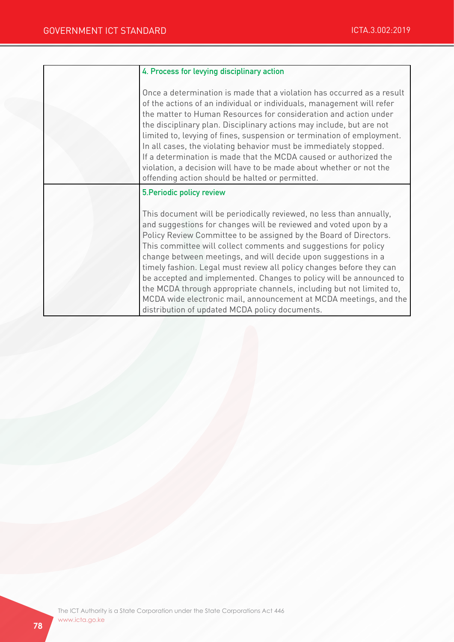| 4. Process for levying disciplinary action                                                                                                                                                                                                                                                                                                                                                                                                                                                                                                                                                                                                                                                      |
|-------------------------------------------------------------------------------------------------------------------------------------------------------------------------------------------------------------------------------------------------------------------------------------------------------------------------------------------------------------------------------------------------------------------------------------------------------------------------------------------------------------------------------------------------------------------------------------------------------------------------------------------------------------------------------------------------|
| Once a determination is made that a violation has occurred as a result<br>of the actions of an individual or individuals, management will refer<br>the matter to Human Resources for consideration and action under<br>the disciplinary plan. Disciplinary actions may include, but are not<br>limited to, levying of fines, suspension or termination of employment.<br>In all cases, the violating behavior must be immediately stopped.<br>If a determination is made that the MCDA caused or authorized the<br>violation, a decision will have to be made about whether or not the<br>offending action should be halted or permitted.                                                       |
| 5. Periodic policy review                                                                                                                                                                                                                                                                                                                                                                                                                                                                                                                                                                                                                                                                       |
| This document will be periodically reviewed, no less than annually,<br>and suggestions for changes will be reviewed and voted upon by a<br>Policy Review Committee to be assigned by the Board of Directors.<br>This committee will collect comments and suggestions for policy<br>change between meetings, and will decide upon suggestions in a<br>timely fashion. Legal must review all policy changes before they can<br>be accepted and implemented. Changes to policy will be announced to<br>the MCDA through appropriate channels, including but not limited to,<br>MCDA wide electronic mail, announcement at MCDA meetings, and the<br>distribution of updated MCDA policy documents. |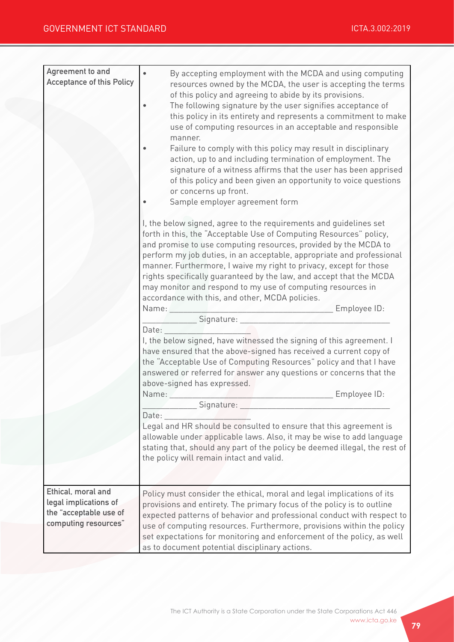| Agreement to and<br><b>Acceptance of this Policy</b>                                          | By accepting employment with the MCDA and using computing<br>resources owned by the MCDA, the user is accepting the terms<br>of this policy and agreeing to abide by its provisions.<br>The following signature by the user signifies acceptance of<br>this policy in its entirety and represents a commitment to make<br>use of computing resources in an acceptable and responsible<br>manner.<br>Failure to comply with this policy may result in disciplinary<br>action, up to and including termination of employment. The<br>signature of a witness affirms that the user has been apprised<br>of this policy and been given an opportunity to voice questions<br>or concerns up front.<br>Sample employer agreement form<br>I, the below signed, agree to the requirements and guidelines set<br>forth in this, the "Acceptable Use of Computing Resources" policy,<br>and promise to use computing resources, provided by the MCDA to<br>perform my job duties, in an acceptable, appropriate and professional<br>manner. Furthermore, I waive my right to privacy, except for those<br>rights specifically guaranteed by the law, and accept that the MCDA<br>may monitor and respond to my use of computing resources in<br>accordance with this, and other, MCDA policies.<br>Signature: New York Signature:<br>Date:<br>I, the below signed, have witnessed the signing of this agreement. I<br>have ensured that the above-signed has received a current copy of<br>the "Acceptable Use of Computing Resources" policy and that I have<br>answered or referred for answer any questions or concerns that the<br>above-signed has expressed.<br>Name:<br>Employee ID:<br>Signature:<br>Date:<br>Legal and HR should be consulted to ensure that this agreement is<br>allowable under applicable laws. Also, it may be wise to add language<br>stating that, should any part of the policy be deemed illegal, the rest of<br>the policy will remain intact and valid. |
|-----------------------------------------------------------------------------------------------|----------------------------------------------------------------------------------------------------------------------------------------------------------------------------------------------------------------------------------------------------------------------------------------------------------------------------------------------------------------------------------------------------------------------------------------------------------------------------------------------------------------------------------------------------------------------------------------------------------------------------------------------------------------------------------------------------------------------------------------------------------------------------------------------------------------------------------------------------------------------------------------------------------------------------------------------------------------------------------------------------------------------------------------------------------------------------------------------------------------------------------------------------------------------------------------------------------------------------------------------------------------------------------------------------------------------------------------------------------------------------------------------------------------------------------------------------------------------------------------------------------------------------------------------------------------------------------------------------------------------------------------------------------------------------------------------------------------------------------------------------------------------------------------------------------------------------------------------------------------------------------------------------------------------------------------------------------------------------------|
| Ethical, moral and<br>legal implications of<br>the "acceptable use of<br>computing resources" | Policy must consider the ethical, moral and legal implications of its<br>provisions and entirety. The primary focus of the policy is to outline<br>expected patterns of behavior and professional conduct with respect to<br>use of computing resources. Furthermore, provisions within the policy<br>set expectations for monitoring and enforcement of the policy, as well<br>as to document potential disciplinary actions.                                                                                                                                                                                                                                                                                                                                                                                                                                                                                                                                                                                                                                                                                                                                                                                                                                                                                                                                                                                                                                                                                                                                                                                                                                                                                                                                                                                                                                                                                                                                                   |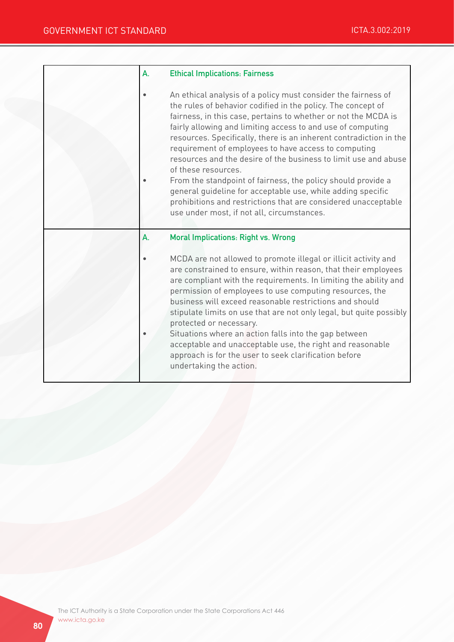| A. | <b>Ethical Implications: Fairness</b>                                                                                                                                                                                                                                                                                                                                                                                                                                                                                                                                                                                                                                                                                                 |
|----|---------------------------------------------------------------------------------------------------------------------------------------------------------------------------------------------------------------------------------------------------------------------------------------------------------------------------------------------------------------------------------------------------------------------------------------------------------------------------------------------------------------------------------------------------------------------------------------------------------------------------------------------------------------------------------------------------------------------------------------|
|    | An ethical analysis of a policy must consider the fairness of<br>the rules of behavior codified in the policy. The concept of<br>fairness, in this case, pertains to whether or not the MCDA is<br>fairly allowing and limiting access to and use of computing<br>resources. Specifically, there is an inherent contradiction in the<br>requirement of employees to have access to computing<br>resources and the desire of the business to limit use and abuse<br>of these resources.<br>From the standpoint of fairness, the policy should provide a<br>general quideline for acceptable use, while adding specific<br>prohibitions and restrictions that are considered unacceptable<br>use under most, if not all, circumstances. |
| А. | <b>Moral Implications: Right vs. Wrong</b>                                                                                                                                                                                                                                                                                                                                                                                                                                                                                                                                                                                                                                                                                            |
|    | MCDA are not allowed to promote illegal or illicit activity and<br>are constrained to ensure, within reason, that their employees<br>are compliant with the requirements. In limiting the ability and<br>permission of employees to use computing resources, the<br>business will exceed reasonable restrictions and should<br>stipulate limits on use that are not only legal, but quite possibly<br>protected or necessary.<br>Situations where an action falls into the gap between<br>acceptable and unacceptable use, the right and reasonable<br>approach is for the user to seek clarification before<br>undertaking the action.                                                                                               |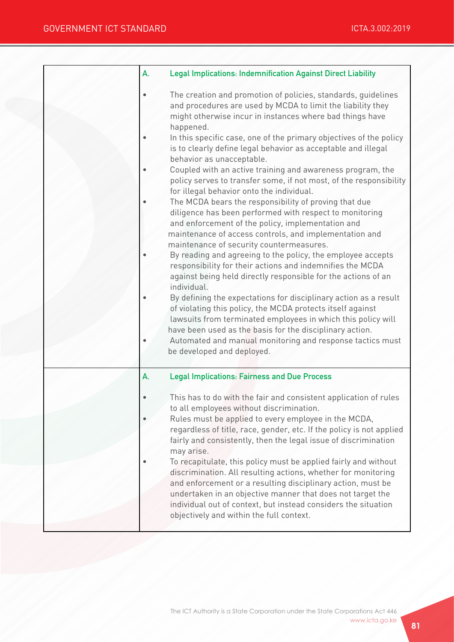| А. | <b>Legal Implications: Indemnification Against Direct Liability</b>                                                                                                                                                                                                                                                                                                                                                                                                                                                                                                                                                                                                                                                                                                                                                                                                                                                                                                                                                                                                                                                                                                                                                                                                                                                                                                                                            |
|----|----------------------------------------------------------------------------------------------------------------------------------------------------------------------------------------------------------------------------------------------------------------------------------------------------------------------------------------------------------------------------------------------------------------------------------------------------------------------------------------------------------------------------------------------------------------------------------------------------------------------------------------------------------------------------------------------------------------------------------------------------------------------------------------------------------------------------------------------------------------------------------------------------------------------------------------------------------------------------------------------------------------------------------------------------------------------------------------------------------------------------------------------------------------------------------------------------------------------------------------------------------------------------------------------------------------------------------------------------------------------------------------------------------------|
|    | The creation and promotion of policies, standards, guidelines<br>and procedures are used by MCDA to limit the liability they<br>might otherwise incur in instances where bad things have<br>happened.<br>In this specific case, one of the primary objectives of the policy<br>is to clearly define legal behavior as acceptable and illegal<br>behavior as unacceptable.<br>Coupled with an active training and awareness program, the<br>policy serves to transfer some, if not most, of the responsibility<br>for illegal behavior onto the individual.<br>The MCDA bears the responsibility of proving that due<br>diligence has been performed with respect to monitoring<br>and enforcement of the policy, implementation and<br>maintenance of access controls, and implementation and<br>maintenance of security countermeasures.<br>By reading and agreeing to the policy, the employee accepts<br>responsibility for their actions and indemnifies the MCDA<br>against being held directly responsible for the actions of an<br>individual.<br>By defining the expectations for disciplinary action as a result<br>of violating this policy, the MCDA protects itself against<br>lawsuits from terminated employees in which this policy will<br>have been used as the basis for the disciplinary action.<br>Automated and manual monitoring and response tactics must<br>be developed and deployed. |
| А. | <b>Legal Implications: Fairness and Due Process</b><br>This has to do with the fair and consistent application of rules<br>to all employees without discrimination.<br>Rules must be applied to every employee in the MCDA,<br>regardless of title, race, gender, etc. If the policy is not applied<br>fairly and consistently, then the legal issue of discrimination<br>may arise.<br>To recapitulate, this policy must be applied fairly and without<br>discrimination. All resulting actions, whether for monitoring<br>and enforcement or a resulting disciplinary action, must be<br>undertaken in an objective manner that does not target the<br>individual out of context, but instead considers the situation<br>objectively and within the full context.                                                                                                                                                                                                                                                                                                                                                                                                                                                                                                                                                                                                                                            |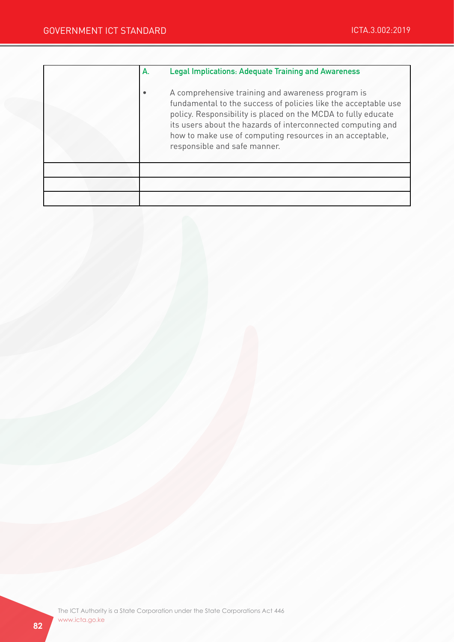| А. | <b>Legal Implications: Adequate Training and Awareness</b>                                                                                                                                                                                                                                                                                      |
|----|-------------------------------------------------------------------------------------------------------------------------------------------------------------------------------------------------------------------------------------------------------------------------------------------------------------------------------------------------|
|    | A comprehensive training and awareness program is<br>fundamental to the success of policies like the acceptable use<br>policy. Responsibility is placed on the MCDA to fully educate<br>its users about the hazards of interconnected computing and<br>how to make use of computing resources in an acceptable,<br>responsible and safe manner. |
|    |                                                                                                                                                                                                                                                                                                                                                 |
|    |                                                                                                                                                                                                                                                                                                                                                 |
|    |                                                                                                                                                                                                                                                                                                                                                 |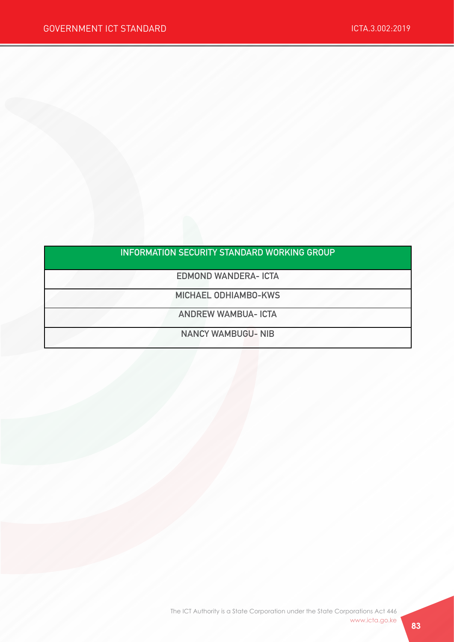## INFORMATION SECURITY STANDARD WORKING GROUP

EDMOND WANDERA- ICTA

MICHAEL ODHIAMBO-KWS

ANDREW WAMBUA- ICTA

NANCY WAMBUGU- NIB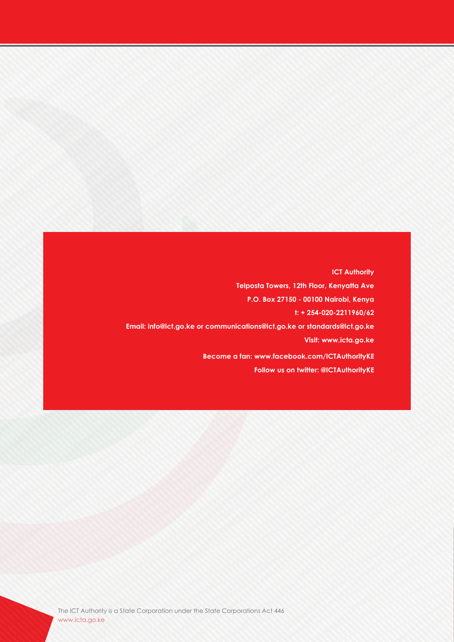**ICT Authority Telposta Towers, 12th Floor, Kenyatta Ave P.O. Box 27150 - 00100 Nairobi, Kenya t: + 254-020-2211960/62 Email: info@ict.go.ke or communications@ict.go.ke or standards@ict.go.ke Visit: www.icta.go.ke Become a fan: www.facebook.com/ICTAuthorityKE Follow us on twitter: @ICTAuthorityKE**